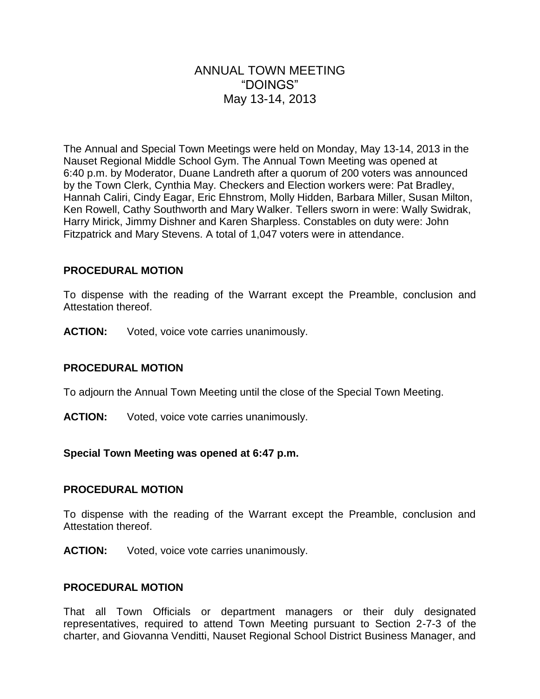# ANNUAL TOWN MEETING "DOINGS" May 13-14, 2013

The Annual and Special Town Meetings were held on Monday, May 13-14, 2013 in the Nauset Regional Middle School Gym. The Annual Town Meeting was opened at 6:40 p.m. by Moderator, Duane Landreth after a quorum of 200 voters was announced by the Town Clerk, Cynthia May. Checkers and Election workers were: Pat Bradley, Hannah Caliri, Cindy Eagar, Eric Ehnstrom, Molly Hidden, Barbara Miller, Susan Milton, Ken Rowell, Cathy Southworth and Mary Walker. Tellers sworn in were: Wally Swidrak, Harry Mirick, Jimmy Dishner and Karen Sharpless. Constables on duty were: John Fitzpatrick and Mary Stevens. A total of 1,047 voters were in attendance.

#### **PROCEDURAL MOTION**

To dispense with the reading of the Warrant except the Preamble, conclusion and Attestation thereof.

**ACTION:** Voted, voice vote carries unanimously.

#### **PROCEDURAL MOTION**

To adjourn the Annual Town Meeting until the close of the Special Town Meeting.

**ACTION:** Voted, voice vote carries unanimously.

#### **Special Town Meeting was opened at 6:47 p.m.**

#### **PROCEDURAL MOTION**

To dispense with the reading of the Warrant except the Preamble, conclusion and Attestation thereof.

**ACTION:** Voted, voice vote carries unanimously.

#### **PROCEDURAL MOTION**

That all Town Officials or department managers or their duly designated representatives, required to attend Town Meeting pursuant to Section 2-7-3 of the charter, and Giovanna Venditti, Nauset Regional School District Business Manager, and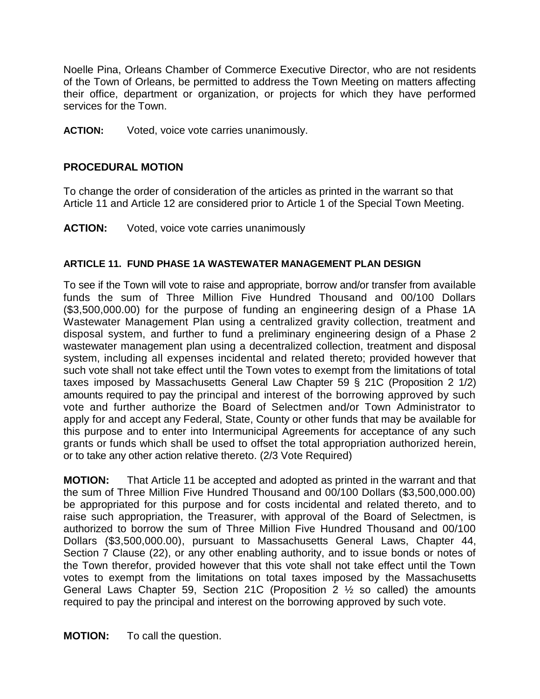Noelle Pina, Orleans Chamber of Commerce Executive Director, who are not residents of the Town of Orleans, be permitted to address the Town Meeting on matters affecting their office, department or organization, or projects for which they have performed services for the Town.

**ACTION:** Voted, voice vote carries unanimously.

### **PROCEDURAL MOTION**

To change the order of consideration of the articles as printed in the warrant so that Article 11 and Article 12 are considered prior to Article 1 of the Special Town Meeting.

**ACTION:** Voted, voice vote carries unanimously

#### **ARTICLE 11. FUND PHASE 1A WASTEWATER MANAGEMENT PLAN DESIGN**

To see if the Town will vote to raise and appropriate, borrow and/or transfer from available funds the sum of Three Million Five Hundred Thousand and 00/100 Dollars (\$3,500,000.00) for the purpose of funding an engineering design of a Phase 1A Wastewater Management Plan using a centralized gravity collection, treatment and disposal system, and further to fund a preliminary engineering design of a Phase 2 wastewater management plan using a decentralized collection, treatment and disposal system, including all expenses incidental and related thereto; provided however that such vote shall not take effect until the Town votes to exempt from the limitations of total taxes imposed by Massachusetts General Law Chapter 59 § 21C (Proposition 2 1/2) amounts required to pay the principal and interest of the borrowing approved by such vote and further authorize the Board of Selectmen and/or Town Administrator to apply for and accept any Federal, State, County or other funds that may be available for this purpose and to enter into Intermunicipal Agreements for acceptance of any such grants or funds which shall be used to offset the total appropriation authorized herein, or to take any other action relative thereto. (2/3 Vote Required)

**MOTION:** That Article 11 be accepted and adopted as printed in the warrant and that the sum of Three Million Five Hundred Thousand and 00/100 Dollars (\$3,500,000.00) be appropriated for this purpose and for costs incidental and related thereto, and to raise such appropriation, the Treasurer, with approval of the Board of Selectmen, is authorized to borrow the sum of Three Million Five Hundred Thousand and 00/100 Dollars (\$3,500,000.00), pursuant to Massachusetts General Laws, Chapter 44, Section 7 Clause (22), or any other enabling authority, and to issue bonds or notes of the Town therefor, provided however that this vote shall not take effect until the Town votes to exempt from the limitations on total taxes imposed by the Massachusetts General Laws Chapter 59, Section 21C (Proposition  $2 \frac{1}{2}$  so called) the amounts required to pay the principal and interest on the borrowing approved by such vote.

**MOTION:** To call the question.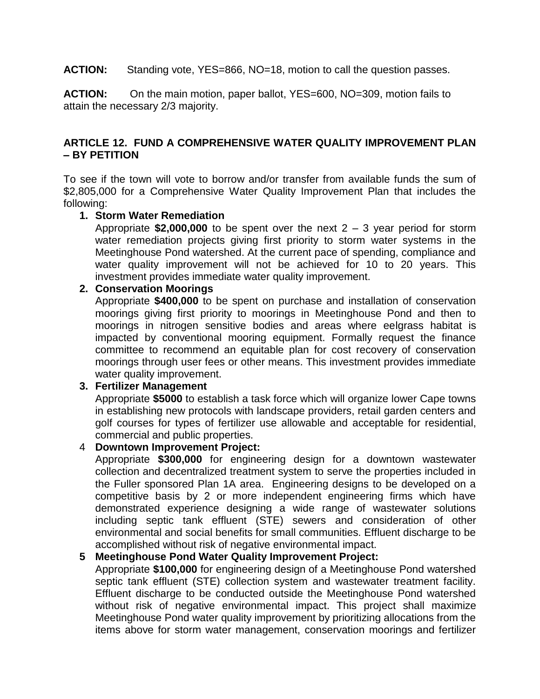**ACTION:** Standing vote, YES=866, NO=18, motion to call the question passes.

**ACTION:** On the main motion, paper ballot, YES=600, NO=309, motion fails to attain the necessary 2/3 majority.

### **ARTICLE 12. FUND A COMPREHENSIVE WATER QUALITY IMPROVEMENT PLAN – BY PETITION**

To see if the town will vote to borrow and/or transfer from available funds the sum of \$2,805,000 for a Comprehensive Water Quality Improvement Plan that includes the following:

#### **1. Storm Water Remediation**

Appropriate **\$2,000,000** to be spent over the next 2 – 3 year period for storm water remediation projects giving first priority to storm water systems in the Meetinghouse Pond watershed. At the current pace of spending, compliance and water quality improvement will not be achieved for 10 to 20 years. This investment provides immediate water quality improvement.

### **2. Conservation Moorings**

Appropriate **\$400,000** to be spent on purchase and installation of conservation moorings giving first priority to moorings in Meetinghouse Pond and then to moorings in nitrogen sensitive bodies and areas where eelgrass habitat is impacted by conventional mooring equipment. Formally request the finance committee to recommend an equitable plan for cost recovery of conservation moorings through user fees or other means. This investment provides immediate water quality improvement.

#### **3. Fertilizer Management**

Appropriate **\$5000** to establish a task force which will organize lower Cape towns in establishing new protocols with landscape providers, retail garden centers and golf courses for types of fertilizer use allowable and acceptable for residential, commercial and public properties.

# 4 **Downtown Improvement Project:**

Appropriate **\$300,000** for engineering design for a downtown wastewater collection and decentralized treatment system to serve the properties included in the Fuller sponsored Plan 1A area. Engineering designs to be developed on a competitive basis by 2 or more independent engineering firms which have demonstrated experience designing a wide range of wastewater solutions including septic tank effluent (STE) sewers and consideration of other environmental and social benefits for small communities. Effluent discharge to be accomplished without risk of negative environmental impact.

#### **5 Meetinghouse Pond Water Quality Improvement Project:**

Appropriate **\$100,000** for engineering design of a Meetinghouse Pond watershed septic tank effluent (STE) collection system and wastewater treatment facility. Effluent discharge to be conducted outside the Meetinghouse Pond watershed without risk of negative environmental impact. This project shall maximize Meetinghouse Pond water quality improvement by prioritizing allocations from the items above for storm water management, conservation moorings and fertilizer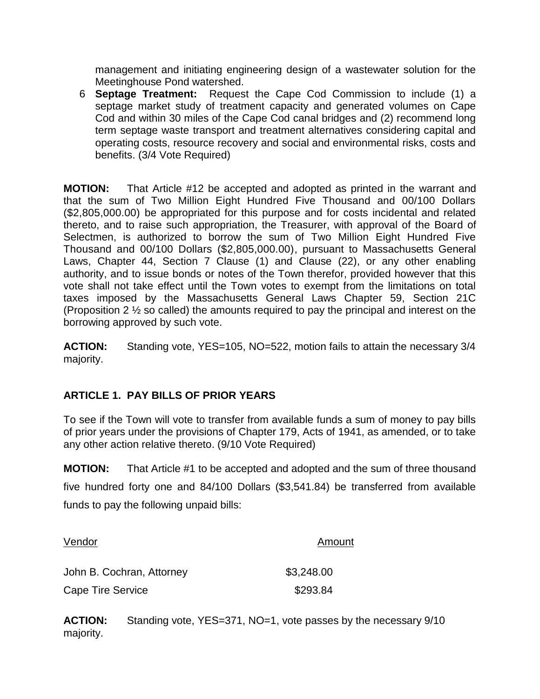management and initiating engineering design of a wastewater solution for the Meetinghouse Pond watershed.

6 **Septage Treatment:** Request the Cape Cod Commission to include (1) a septage market study of treatment capacity and generated volumes on Cape Cod and within 30 miles of the Cape Cod canal bridges and (2) recommend long term septage waste transport and treatment alternatives considering capital and operating costs, resource recovery and social and environmental risks, costs and benefits. (3/4 Vote Required)

**MOTION:** That Article #12 be accepted and adopted as printed in the warrant and that the sum of Two Million Eight Hundred Five Thousand and 00/100 Dollars (\$2,805,000.00) be appropriated for this purpose and for costs incidental and related thereto, and to raise such appropriation, the Treasurer, with approval of the Board of Selectmen, is authorized to borrow the sum of Two Million Eight Hundred Five Thousand and 00/100 Dollars (\$2,805,000.00), pursuant to Massachusetts General Laws, Chapter 44, Section 7 Clause (1) and Clause (22), or any other enabling authority, and to issue bonds or notes of the Town therefor, provided however that this vote shall not take effect until the Town votes to exempt from the limitations on total taxes imposed by the Massachusetts General Laws Chapter 59, Section 21C (Proposition 2 ½ so called) the amounts required to pay the principal and interest on the borrowing approved by such vote.

**ACTION:** Standing vote, YES=105, NO=522, motion fails to attain the necessary 3/4 majority.

### **ARTICLE 1. PAY BILLS OF PRIOR YEARS**

To see if the Town will vote to transfer from available funds a sum of money to pay bills of prior years under the provisions of Chapter 179, Acts of 1941, as amended, or to take any other action relative thereto. (9/10 Vote Required)

**MOTION:** That Article #1 to be accepted and adopted and the sum of three thousand five hundred forty one and 84/100 Dollars (\$3,541.84) be transferred from available funds to pay the following unpaid bills:

| Vendor                    | Amount     |
|---------------------------|------------|
| John B. Cochran, Attorney | \$3,248.00 |
| Cape Tire Service         | \$293.84   |

**ACTION:** Standing vote, YES=371, NO=1, vote passes by the necessary 9/10 majority.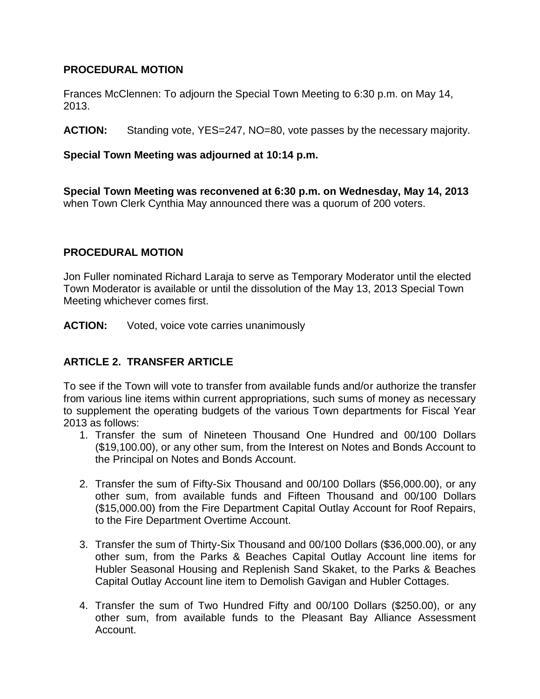#### **PROCEDURAL MOTION**

Frances McClennen: To adjourn the Special Town Meeting to 6:30 p.m. on May 14, 2013.

**ACTION:** Standing vote, YES=247, NO=80, vote passes by the necessary majority.

### **Special Town Meeting was adjourned at 10:14 p.m.**

**Special Town Meeting was reconvened at 6:30 p.m. on Wednesday, May 14, 2013** when Town Clerk Cynthia May announced there was a quorum of 200 voters.

### **PROCEDURAL MOTION**

Jon Fuller nominated Richard Laraja to serve as Temporary Moderator until the elected Town Moderator is available or until the dissolution of the May 13, 2013 Special Town Meeting whichever comes first.

**ACTION:** Voted, voice vote carries unanimously

# **ARTICLE 2. TRANSFER ARTICLE**

To see if the Town will vote to transfer from available funds and/or authorize the transfer from various line items within current appropriations, such sums of money as necessary to supplement the operating budgets of the various Town departments for Fiscal Year 2013 as follows:

- 1. Transfer the sum of Nineteen Thousand One Hundred and 00/100 Dollars (\$19,100.00), or any other sum, from the Interest on Notes and Bonds Account to the Principal on Notes and Bonds Account.
- 2. Transfer the sum of Fifty-Six Thousand and 00/100 Dollars (\$56,000.00), or any other sum, from available funds and Fifteen Thousand and 00/100 Dollars (\$15,000.00) from the Fire Department Capital Outlay Account for Roof Repairs, to the Fire Department Overtime Account.
- 3. Transfer the sum of Thirty-Six Thousand and 00/100 Dollars (\$36,000.00), or any other sum, from the Parks & Beaches Capital Outlay Account line items for Hubler Seasonal Housing and Replenish Sand Skaket, to the Parks & Beaches Capital Outlay Account line item to Demolish Gavigan and Hubler Cottages.
- 4. Transfer the sum of Two Hundred Fifty and 00/100 Dollars (\$250.00), or any other sum, from available funds to the Pleasant Bay Alliance Assessment Account.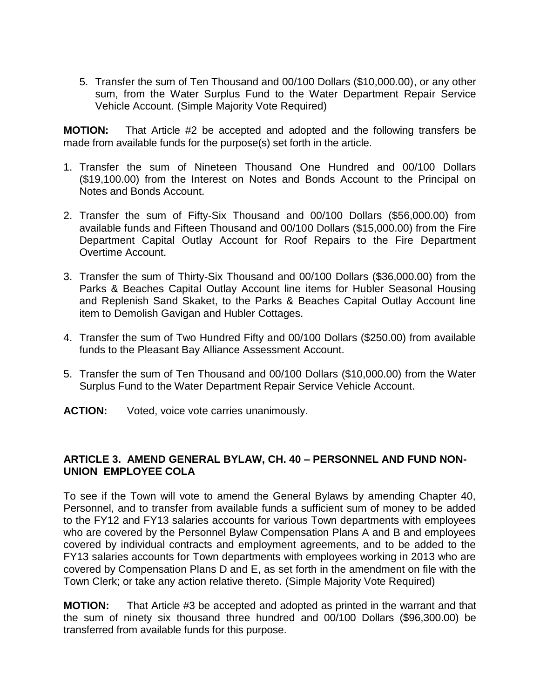5. Transfer the sum of Ten Thousand and 00/100 Dollars (\$10,000.00), or any other sum, from the Water Surplus Fund to the Water Department Repair Service Vehicle Account. (Simple Majority Vote Required)

**MOTION:** That Article #2 be accepted and adopted and the following transfers be made from available funds for the purpose(s) set forth in the article.

- 1. Transfer the sum of Nineteen Thousand One Hundred and 00/100 Dollars (\$19,100.00) from the Interest on Notes and Bonds Account to the Principal on Notes and Bonds Account.
- 2. Transfer the sum of Fifty-Six Thousand and 00/100 Dollars (\$56,000.00) from available funds and Fifteen Thousand and 00/100 Dollars (\$15,000.00) from the Fire Department Capital Outlay Account for Roof Repairs to the Fire Department Overtime Account.
- 3. Transfer the sum of Thirty-Six Thousand and 00/100 Dollars (\$36,000.00) from the Parks & Beaches Capital Outlay Account line items for Hubler Seasonal Housing and Replenish Sand Skaket, to the Parks & Beaches Capital Outlay Account line item to Demolish Gavigan and Hubler Cottages.
- 4. Transfer the sum of Two Hundred Fifty and 00/100 Dollars (\$250.00) from available funds to the Pleasant Bay Alliance Assessment Account.
- 5. Transfer the sum of Ten Thousand and 00/100 Dollars (\$10,000.00) from the Water Surplus Fund to the Water Department Repair Service Vehicle Account.
- **ACTION:** Voted, voice vote carries unanimously.

### **ARTICLE 3. AMEND GENERAL BYLAW, CH. 40 – PERSONNEL AND FUND NON-UNION EMPLOYEE COLA**

To see if the Town will vote to amend the General Bylaws by amending Chapter 40, Personnel, and to transfer from available funds a sufficient sum of money to be added to the FY12 and FY13 salaries accounts for various Town departments with employees who are covered by the Personnel Bylaw Compensation Plans A and B and employees covered by individual contracts and employment agreements, and to be added to the FY13 salaries accounts for Town departments with employees working in 2013 who are covered by Compensation Plans D and E, as set forth in the amendment on file with the Town Clerk; or take any action relative thereto. (Simple Majority Vote Required)

**MOTION:** That Article #3 be accepted and adopted as printed in the warrant and that the sum of ninety six thousand three hundred and 00/100 Dollars (\$96,300.00) be transferred from available funds for this purpose.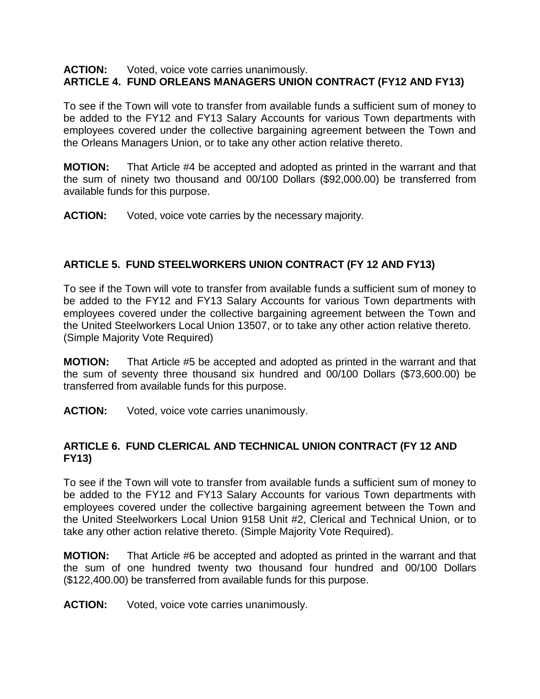#### **ACTION:** Voted, voice vote carries unanimously. **ARTICLE 4. FUND ORLEANS MANAGERS UNION CONTRACT (FY12 AND FY13)**

To see if the Town will vote to transfer from available funds a sufficient sum of money to be added to the FY12 and FY13 Salary Accounts for various Town departments with employees covered under the collective bargaining agreement between the Town and the Orleans Managers Union, or to take any other action relative thereto.

**MOTION:** That Article #4 be accepted and adopted as printed in the warrant and that the sum of ninety two thousand and 00/100 Dollars (\$92,000.00) be transferred from available funds for this purpose.

**ACTION:** Voted, voice vote carries by the necessary majority.

### **ARTICLE 5. FUND STEELWORKERS UNION CONTRACT (FY 12 AND FY13)**

To see if the Town will vote to transfer from available funds a sufficient sum of money to be added to the FY12 and FY13 Salary Accounts for various Town departments with employees covered under the collective bargaining agreement between the Town and the United Steelworkers Local Union 13507, or to take any other action relative thereto. (Simple Majority Vote Required)

**MOTION:** That Article #5 be accepted and adopted as printed in the warrant and that the sum of seventy three thousand six hundred and 00/100 Dollars (\$73,600.00) be transferred from available funds for this purpose.

**ACTION:** Voted, voice vote carries unanimously.

#### **ARTICLE 6. FUND CLERICAL AND TECHNICAL UNION CONTRACT (FY 12 AND FY13)**

To see if the Town will vote to transfer from available funds a sufficient sum of money to be added to the FY12 and FY13 Salary Accounts for various Town departments with employees covered under the collective bargaining agreement between the Town and the United Steelworkers Local Union 9158 Unit #2, Clerical and Technical Union, or to take any other action relative thereto. (Simple Majority Vote Required).

**MOTION:** That Article #6 be accepted and adopted as printed in the warrant and that the sum of one hundred twenty two thousand four hundred and 00/100 Dollars (\$122,400.00) be transferred from available funds for this purpose.

**ACTION:** Voted, voice vote carries unanimously.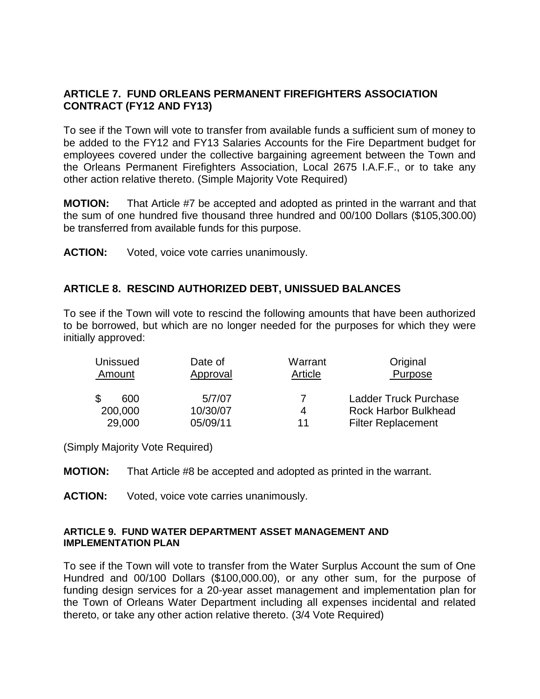#### **ARTICLE 7. FUND ORLEANS PERMANENT FIREFIGHTERS ASSOCIATION CONTRACT (FY12 AND FY13)**

To see if the Town will vote to transfer from available funds a sufficient sum of money to be added to the FY12 and FY13 Salaries Accounts for the Fire Department budget for employees covered under the collective bargaining agreement between the Town and the Orleans Permanent Firefighters Association, Local 2675 I.A.F.F., or to take any other action relative thereto. (Simple Majority Vote Required)

**MOTION:** That Article #7 be accepted and adopted as printed in the warrant and that the sum of one hundred five thousand three hundred and 00/100 Dollars (\$105,300.00) be transferred from available funds for this purpose.

**ACTION:** Voted, voice vote carries unanimously.

### **ARTICLE 8. RESCIND AUTHORIZED DEBT, UNISSUED BALANCES**

To see if the Town will vote to rescind the following amounts that have been authorized to be borrowed, but which are no longer needed for the purposes for which they were initially approved:

| <b>Unissued</b><br>Amount | Date of<br>Approval | Warrant<br>Article | Original<br>Purpose          |
|---------------------------|---------------------|--------------------|------------------------------|
| 600                       | 5/7/07              |                    | <b>Ladder Truck Purchase</b> |
| 200,000                   | 10/30/07            | 4                  | <b>Rock Harbor Bulkhead</b>  |
| 29,000                    | 05/09/11            | 11                 | <b>Filter Replacement</b>    |

(Simply Majority Vote Required)

**MOTION:** That Article #8 be accepted and adopted as printed in the warrant.

**ACTION:** Voted, voice vote carries unanimously.

#### **ARTICLE 9. FUND WATER DEPARTMENT ASSET MANAGEMENT AND IMPLEMENTATION PLAN**

To see if the Town will vote to transfer from the Water Surplus Account the sum of One Hundred and 00/100 Dollars (\$100,000.00), or any other sum, for the purpose of funding design services for a 20-year asset management and implementation plan for the Town of Orleans Water Department including all expenses incidental and related thereto, or take any other action relative thereto. (3/4 Vote Required)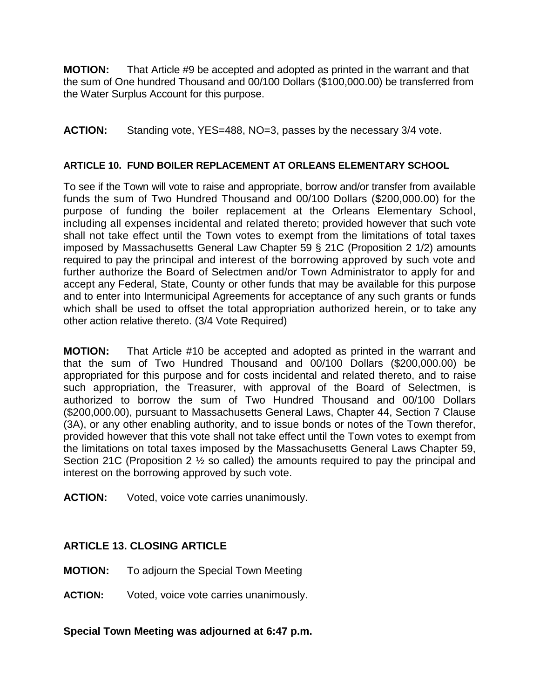**MOTION:** That Article #9 be accepted and adopted as printed in the warrant and that the sum of One hundred Thousand and 00/100 Dollars (\$100,000.00) be transferred from the Water Surplus Account for this purpose.

**ACTION:** Standing vote, YES=488, NO=3, passes by the necessary 3/4 vote.

### **ARTICLE 10. FUND BOILER REPLACEMENT AT ORLEANS ELEMENTARY SCHOOL**

To see if the Town will vote to raise and appropriate, borrow and/or transfer from available funds the sum of Two Hundred Thousand and 00/100 Dollars (\$200,000.00) for the purpose of funding the boiler replacement at the Orleans Elementary School, including all expenses incidental and related thereto; provided however that such vote shall not take effect until the Town votes to exempt from the limitations of total taxes imposed by Massachusetts General Law Chapter 59 § 21C (Proposition 2 1/2) amounts required to pay the principal and interest of the borrowing approved by such vote and further authorize the Board of Selectmen and/or Town Administrator to apply for and accept any Federal, State, County or other funds that may be available for this purpose and to enter into Intermunicipal Agreements for acceptance of any such grants or funds which shall be used to offset the total appropriation authorized herein, or to take any other action relative thereto. (3/4 Vote Required)

**MOTION:** That Article #10 be accepted and adopted as printed in the warrant and that the sum of Two Hundred Thousand and 00/100 Dollars (\$200,000.00) be appropriated for this purpose and for costs incidental and related thereto, and to raise such appropriation, the Treasurer, with approval of the Board of Selectmen, is authorized to borrow the sum of Two Hundred Thousand and 00/100 Dollars (\$200,000.00), pursuant to Massachusetts General Laws, Chapter 44, Section 7 Clause (3A), or any other enabling authority, and to issue bonds or notes of the Town therefor, provided however that this vote shall not take effect until the Town votes to exempt from the limitations on total taxes imposed by the Massachusetts General Laws Chapter 59, Section 21C (Proposition 2 ½ so called) the amounts required to pay the principal and interest on the borrowing approved by such vote.

**ACTION:** Voted, voice vote carries unanimously.

# **ARTICLE 13. CLOSING ARTICLE**

**MOTION:** To adjourn the Special Town Meeting

**ACTION:** Voted, voice vote carries unanimously.

**Special Town Meeting was adjourned at 6:47 p.m.**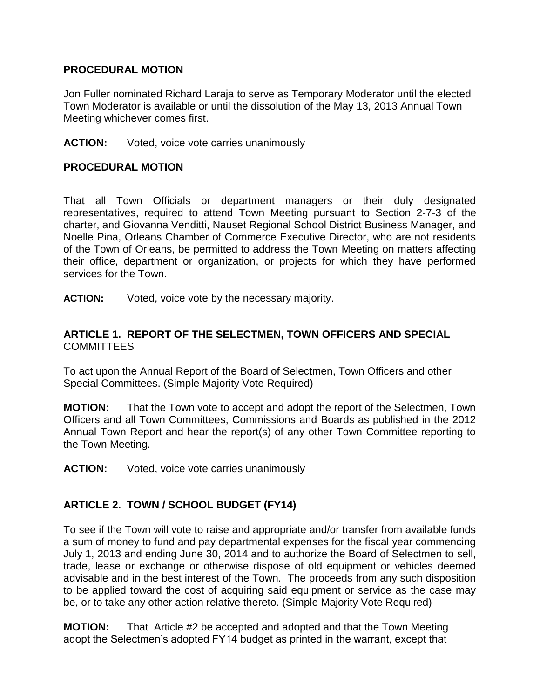#### **PROCEDURAL MOTION**

Jon Fuller nominated Richard Laraja to serve as Temporary Moderator until the elected Town Moderator is available or until the dissolution of the May 13, 2013 Annual Town Meeting whichever comes first.

#### **ACTION:** Voted, voice vote carries unanimously

### **PROCEDURAL MOTION**

That all Town Officials or department managers or their duly designated representatives, required to attend Town Meeting pursuant to Section 2-7-3 of the charter, and Giovanna Venditti, Nauset Regional School District Business Manager, and Noelle Pina, Orleans Chamber of Commerce Executive Director, who are not residents of the Town of Orleans, be permitted to address the Town Meeting on matters affecting their office, department or organization, or projects for which they have performed services for the Town.

**ACTION:** Voted, voice vote by the necessary majority.

### **ARTICLE 1. REPORT OF THE SELECTMEN, TOWN OFFICERS AND SPECIAL**  COMMITTEES

To act upon the Annual Report of the Board of Selectmen, Town Officers and other Special Committees. (Simple Majority Vote Required)

**MOTION:** That the Town vote to accept and adopt the report of the Selectmen, Town Officers and all Town Committees, Commissions and Boards as published in the 2012 Annual Town Report and hear the report(s) of any other Town Committee reporting to the Town Meeting.

**ACTION:** Voted, voice vote carries unanimously

### **ARTICLE 2. TOWN / SCHOOL BUDGET (FY14)**

To see if the Town will vote to raise and appropriate and/or transfer from available funds a sum of money to fund and pay departmental expenses for the fiscal year commencing July 1, 2013 and ending June 30, 2014 and to authorize the Board of Selectmen to sell, trade, lease or exchange or otherwise dispose of old equipment or vehicles deemed advisable and in the best interest of the Town. The proceeds from any such disposition to be applied toward the cost of acquiring said equipment or service as the case may be, or to take any other action relative thereto. (Simple Majority Vote Required)

**MOTION:** That Article #2 be accepted and adopted and that the Town Meeting adopt the Selectmen's adopted FY14 budget as printed in the warrant, except that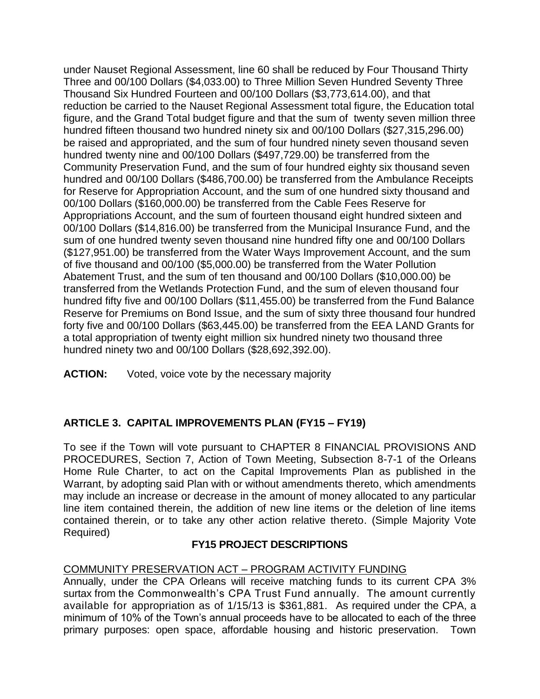under Nauset Regional Assessment, line 60 shall be reduced by Four Thousand Thirty Three and 00/100 Dollars (\$4,033.00) to Three Million Seven Hundred Seventy Three Thousand Six Hundred Fourteen and 00/100 Dollars (\$3,773,614.00), and that reduction be carried to the Nauset Regional Assessment total figure, the Education total figure, and the Grand Total budget figure and that the sum of twenty seven million three hundred fifteen thousand two hundred ninety six and 00/100 Dollars (\$27,315,296.00) be raised and appropriated, and the sum of four hundred ninety seven thousand seven hundred twenty nine and 00/100 Dollars (\$497,729.00) be transferred from the Community Preservation Fund, and the sum of four hundred eighty six thousand seven hundred and 00/100 Dollars (\$486,700.00) be transferred from the Ambulance Receipts for Reserve for Appropriation Account, and the sum of one hundred sixty thousand and 00/100 Dollars (\$160,000.00) be transferred from the Cable Fees Reserve for Appropriations Account, and the sum of fourteen thousand eight hundred sixteen and 00/100 Dollars (\$14,816.00) be transferred from the Municipal Insurance Fund, and the sum of one hundred twenty seven thousand nine hundred fifty one and 00/100 Dollars (\$127,951.00) be transferred from the Water Ways Improvement Account, and the sum of five thousand and 00/100 (\$5,000.00) be transferred from the Water Pollution Abatement Trust, and the sum of ten thousand and 00/100 Dollars (\$10,000.00) be transferred from the Wetlands Protection Fund, and the sum of eleven thousand four hundred fifty five and 00/100 Dollars (\$11,455.00) be transferred from the Fund Balance Reserve for Premiums on Bond Issue, and the sum of sixty three thousand four hundred forty five and 00/100 Dollars (\$63,445.00) be transferred from the EEA LAND Grants for a total appropriation of twenty eight million six hundred ninety two thousand three hundred ninety two and 00/100 Dollars (\$28,692,392.00).

**ACTION:** Voted, voice vote by the necessary majority

# **ARTICLE 3. CAPITAL IMPROVEMENTS PLAN (FY15 – FY19)**

To see if the Town will vote pursuant to CHAPTER 8 FINANCIAL PROVISIONS AND PROCEDURES, Section 7, Action of Town Meeting, Subsection 8-7-1 of the Orleans Home Rule Charter, to act on the Capital Improvements Plan as published in the Warrant, by adopting said Plan with or without amendments thereto, which amendments may include an increase or decrease in the amount of money allocated to any particular line item contained therein, the addition of new line items or the deletion of line items contained therein, or to take any other action relative thereto. (Simple Majority Vote Required)

# **FY15 PROJECT DESCRIPTIONS**

### COMMUNITY PRESERVATION ACT – PROGRAM ACTIVITY FUNDING

Annually, under the CPA Orleans will receive matching funds to its current CPA 3% surtax from the Commonwealth's CPA Trust Fund annually. The amount currently available for appropriation as of 1/15/13 is \$361,881. As required under the CPA, a minimum of 10% of the Town's annual proceeds have to be allocated to each of the three primary purposes: open space, affordable housing and historic preservation. Town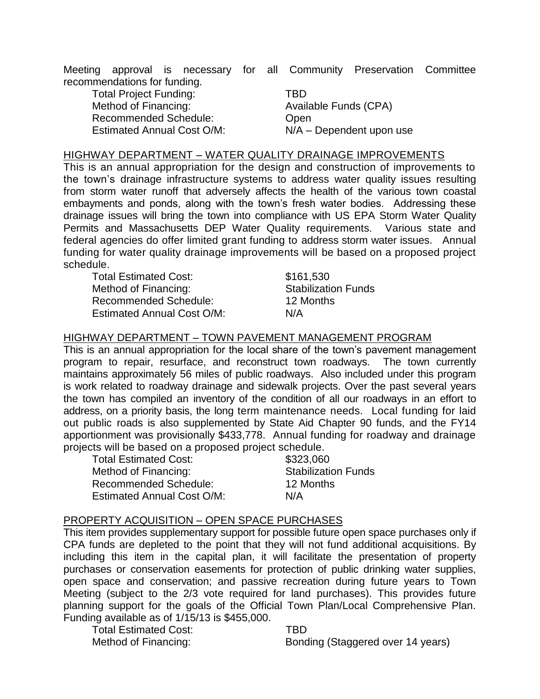Meeting approval is necessary for all Community Preservation Committee recommendations for funding.

Total Project Funding: TBD Method of Financing: Available Funds (CPA) Recommended Schedule: Chen Estimated Annual Cost O/M: N/A – Dependent upon use

#### HIGHWAY DEPARTMENT – WATER QUALITY DRAINAGE IMPROVEMENTS

This is an annual appropriation for the design and construction of improvements to the town's drainage infrastructure systems to address water quality issues resulting from storm water runoff that adversely affects the health of the various town coastal embayments and ponds, along with the town's fresh water bodies. Addressing these drainage issues will bring the town into compliance with US EPA Storm Water Quality Permits and Massachusetts DEP Water Quality requirements. Various state and federal agencies do offer limited grant funding to address storm water issues. Annual funding for water quality drainage improvements will be based on a proposed project schedule.

Total Estimated Cost: \$161,530 Method of Financing: Stabilization Funds Recommended Schedule: 12 Months Estimated Annual Cost O/M: N/A

#### HIGHWAY DEPARTMENT – TOWN PAVEMENT MANAGEMENT PROGRAM

This is an annual appropriation for the local share of the town's pavement management program to repair, resurface, and reconstruct town roadways. The town currently maintains approximately 56 miles of public roadways. Also included under this program is work related to roadway drainage and sidewalk projects. Over the past several years the town has compiled an inventory of the condition of all our roadways in an effort to address, on a priority basis, the long term maintenance needs. Local funding for laid out public roads is also supplemented by State Aid Chapter 90 funds, and the FY14 apportionment was provisionally \$433,778. Annual funding for roadway and drainage projects will be based on a proposed project schedule.

Total Estimated Cost: \$323,060 Method of Financing: Stabilization Funds Recommended Schedule: 12 Months Estimated Annual Cost O/M: N/A

#### PROPERTY ACQUISITION – OPEN SPACE PURCHASES

This item provides supplementary support for possible future open space purchases only if CPA funds are depleted to the point that they will not fund additional acquisitions. By including this item in the capital plan, it will facilitate the presentation of property purchases or conservation easements for protection of public drinking water supplies, open space and conservation; and passive recreation during future years to Town Meeting (subject to the 2/3 vote required for land purchases). This provides future planning support for the goals of the Official Town Plan/Local Comprehensive Plan. Funding available as of 1/15/13 is \$455,000.

Total Estimated Cost: TBD

Method of Financing: Bonding (Staggered over 14 years)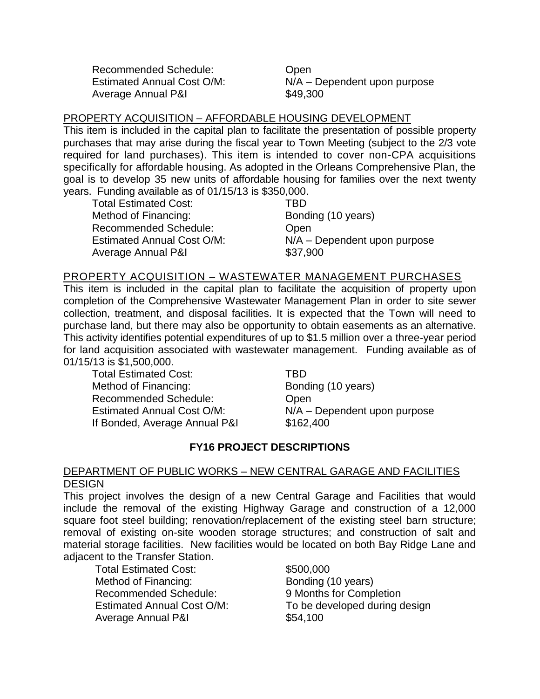Recommended Schedule: Chem Average Annual P&I  $$49,300$ 

Estimated Annual Cost O/M: N/A – Dependent upon purpose

### PROPERTY ACQUISITION – AFFORDABLE HOUSING DEVELOPMENT

This item is included in the capital plan to facilitate the presentation of possible property purchases that may arise during the fiscal year to Town Meeting (subject to the 2/3 vote required for land purchases). This item is intended to cover non-CPA acquisitions specifically for affordable housing. As adopted in the Orleans Comprehensive Plan, the goal is to develop 35 new units of affordable housing for families over the next twenty years. Funding available as of 01/15/13 is \$350,000.

Total Estimated Cost: TBD Method of Financing: Bonding (10 years) Recommended Schedule: Chem Estimated Annual Cost O/M: N/A – Dependent upon purpose Average Annual P&I **\$37,900** 

#### PROPERTY ACQUISITION – WASTEWATER MANAGEMENT PURCHASES

This item is included in the capital plan to facilitate the acquisition of property upon completion of the Comprehensive Wastewater Management Plan in order to site sewer collection, treatment, and disposal facilities. It is expected that the Town will need to purchase land, but there may also be opportunity to obtain easements as an alternative. This activity identifies potential expenditures of up to \$1.5 million over a three-year period for land acquisition associated with wastewater management. Funding available as of 01/15/13 is \$1,500,000.

Total Estimated Cost: TBD Method of Financing: Bonding (10 years) Recommended Schedule: Chem If Bonded, Average Annual P&I \$162,400

Estimated Annual Cost O/M: N/A – Dependent upon purpose

#### **FY16 PROJECT DESCRIPTIONS**

#### DEPARTMENT OF PUBLIC WORKS – NEW CENTRAL GARAGE AND FACILITIES **DESIGN**

This project involves the design of a new Central Garage and Facilities that would include the removal of the existing Highway Garage and construction of a 12,000 square foot steel building; renovation/replacement of the existing steel barn structure; removal of existing on-site wooden storage structures; and construction of salt and material storage facilities. New facilities would be located on both Bay Ridge Lane and adjacent to the Transfer Station.

Total Estimated Cost: \$500,000 Method of Financing: Bonding (10 years) Recommended Schedule: 9 Months for Completion Average Annual P&I **\$54,100** 

Estimated Annual Cost O/M: To be developed during design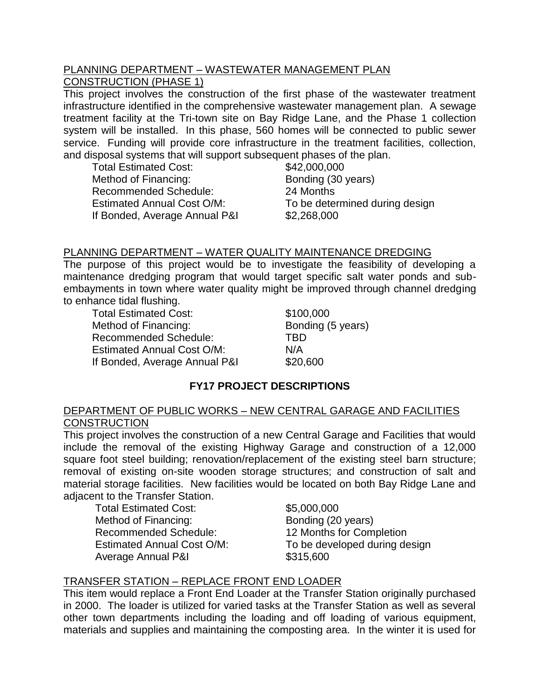#### PLANNING DEPARTMENT – WASTEWATER MANAGEMENT PLAN CONSTRUCTION (PHASE 1)

This project involves the construction of the first phase of the wastewater treatment infrastructure identified in the comprehensive wastewater management plan. A sewage treatment facility at the Tri-town site on Bay Ridge Lane, and the Phase 1 collection system will be installed. In this phase, 560 homes will be connected to public sewer service. Funding will provide core infrastructure in the treatment facilities, collection, and disposal systems that will support subsequent phases of the plan.

Total Estimated Cost: \$42,000,000 Method of Financing: Bonding (30 years) Recommended Schedule: 24 Months Estimated Annual Cost O/M: To be determined during design If Bonded, Average Annual P&I \$2,268,000

#### PLANNING DEPARTMENT – WATER QUALITY MAINTENANCE DREDGING

The purpose of this project would be to investigate the feasibility of developing a maintenance dredging program that would target specific salt water ponds and subembayments in town where water quality might be improved through channel dredging to enhance tidal flushing.

Total Estimated Cost: \$100,000 Method of Financing: Bonding (5 years) Recommended Schedule: TBD Estimated Annual Cost O/M: N/A If Bonded, Average Annual P&I \$20,600

### **FY17 PROJECT DESCRIPTIONS**

### DEPARTMENT OF PUBLIC WORKS – NEW CENTRAL GARAGE AND FACILITIES **CONSTRUCTION**

This project involves the construction of a new Central Garage and Facilities that would include the removal of the existing Highway Garage and construction of a 12,000 square foot steel building; renovation/replacement of the existing steel barn structure; removal of existing on-site wooden storage structures; and construction of salt and material storage facilities. New facilities would be located on both Bay Ridge Lane and adjacent to the Transfer Station.

Total Estimated Cost: \$5,000,000 Method of Financing: Bonding (20 years) Recommended Schedule: 12 Months for Completion Average Annual P&I **\$315,600** 

Estimated Annual Cost O/M: To be developed during design

#### TRANSFER STATION – REPLACE FRONT END LOADER

This item would replace a Front End Loader at the Transfer Station originally purchased in 2000. The loader is utilized for varied tasks at the Transfer Station as well as several other town departments including the loading and off loading of various equipment, materials and supplies and maintaining the composting area. In the winter it is used for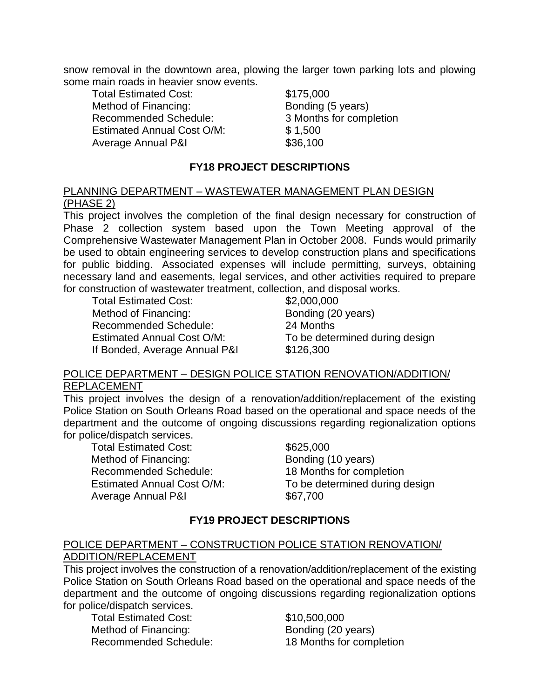snow removal in the downtown area, plowing the larger town parking lots and plowing some main roads in heavier snow events.

Total Estimated Cost: \$175,000 Method of Financing: Bonding (5 years) Recommended Schedule: 3 Months for completion Estimated Annual Cost O/M: \$ 1,500 Average Annual P&I **\$36,100** 

#### **FY18 PROJECT DESCRIPTIONS**

#### PLANNING DEPARTMENT – WASTEWATER MANAGEMENT PLAN DESIGN (PHASE 2)

This project involves the completion of the final design necessary for construction of Phase 2 collection system based upon the Town Meeting approval of the Comprehensive Wastewater Management Plan in October 2008. Funds would primarily be used to obtain engineering services to develop construction plans and specifications for public bidding. Associated expenses will include permitting, surveys, obtaining necessary land and easements, legal services, and other activities required to prepare for construction of wastewater treatment, collection, and disposal works.

Total Estimated Cost: \$2,000,000 Method of Financing: Bonding (20 years) Recommended Schedule: 24 Months If Bonded, Average Annual P&I \$126,300

Estimated Annual Cost O/M: To be determined during design

#### POLICE DEPARTMENT – DESIGN POLICE STATION RENOVATION/ADDITION/ REPLACEMENT

This project involves the design of a renovation/addition/replacement of the existing Police Station on South Orleans Road based on the operational and space needs of the department and the outcome of ongoing discussions regarding regionalization options for police/dispatch services.

Total Estimated Cost: \$625,000 Method of Financing: Bonding (10 years) Recommended Schedule: 18 Months for completion Average Annual P&I **\$67,700** 

Estimated Annual Cost O/M: To be determined during design

#### **FY19 PROJECT DESCRIPTIONS**

### POLICE DEPARTMENT – CONSTRUCTION POLICE STATION RENOVATION/ ADDITION/REPLACEMENT

This project involves the construction of a renovation/addition/replacement of the existing Police Station on South Orleans Road based on the operational and space needs of the department and the outcome of ongoing discussions regarding regionalization options for police/dispatch services.

Total Estimated Cost: \$10,500,000 Method of Financing: Bonding (20 years)

Recommended Schedule: 18 Months for completion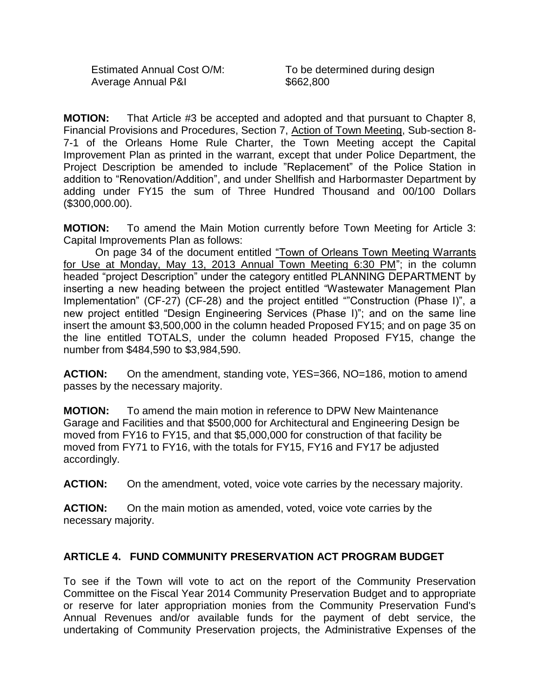Average Annual P&I **\$662,800** 

Estimated Annual Cost O/M: To be determined during design

**MOTION:** That Article #3 be accepted and adopted and that pursuant to Chapter 8, Financial Provisions and Procedures, Section 7, Action of Town Meeting, Sub-section 8- 7-1 of the Orleans Home Rule Charter, the Town Meeting accept the Capital Improvement Plan as printed in the warrant, except that under Police Department, the Project Description be amended to include "Replacement" of the Police Station in addition to "Renovation/Addition", and under Shellfish and Harbormaster Department by adding under FY15 the sum of Three Hundred Thousand and 00/100 Dollars (\$300,000.00).

**MOTION:** To amend the Main Motion currently before Town Meeting for Article 3: Capital Improvements Plan as follows:

On page 34 of the document entitled "Town of Orleans Town Meeting Warrants for Use at Monday, May 13, 2013 Annual Town Meeting 6:30 PM"; in the column headed "project Description" under the category entitled PLANNING DEPARTMENT by inserting a new heading between the project entitled "Wastewater Management Plan Implementation" (CF-27) (CF-28) and the project entitled ""Construction (Phase I)", a new project entitled "Design Engineering Services (Phase I)"; and on the same line insert the amount \$3,500,000 in the column headed Proposed FY15; and on page 35 on the line entitled TOTALS, under the column headed Proposed FY15, change the number from \$484,590 to \$3,984,590.

**ACTION:** On the amendment, standing vote, YES=366, NO=186, motion to amend passes by the necessary majority.

**MOTION:** To amend the main motion in reference to DPW New Maintenance Garage and Facilities and that \$500,000 for Architectural and Engineering Design be moved from FY16 to FY15, and that \$5,000,000 for construction of that facility be moved from FY71 to FY16, with the totals for FY15, FY16 and FY17 be adjusted accordingly.

**ACTION:** On the amendment, voted, voice vote carries by the necessary majority.

**ACTION:** On the main motion as amended, voted, voice vote carries by the necessary majority.

### **ARTICLE 4. FUND COMMUNITY PRESERVATION ACT PROGRAM BUDGET**

To see if the Town will vote to act on the report of the Community Preservation Committee on the Fiscal Year 2014 Community Preservation Budget and to appropriate or reserve for later appropriation monies from the Community Preservation Fund's Annual Revenues and/or available funds for the payment of debt service, the undertaking of Community Preservation projects, the Administrative Expenses of the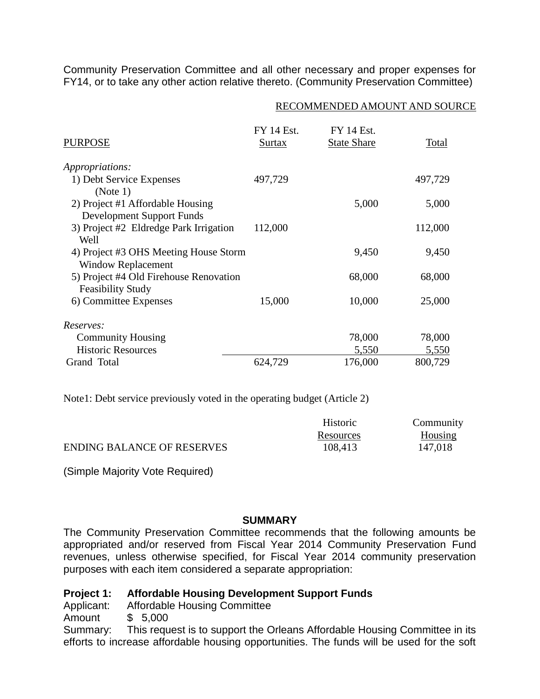Community Preservation Committee and all other necessary and proper expenses for FY14, or to take any other action relative thereto. (Community Preservation Committee)

#### RECOMMENDED AMOUNT AND SOURCE

| <b>PURPOSE</b>                                                     | <b>FY 14 Est.</b><br>Surtax | <b>FY 14 Est.</b><br><b>State Share</b> | Total   |
|--------------------------------------------------------------------|-----------------------------|-----------------------------------------|---------|
| <i>Appropriations:</i>                                             |                             |                                         |         |
| 1) Debt Service Expenses                                           | 497,729                     |                                         | 497,729 |
| (Note 1)                                                           |                             |                                         |         |
| 2) Project #1 Affordable Housing<br>Development Support Funds      |                             | 5,000                                   | 5,000   |
| 3) Project #2 Eldredge Park Irrigation<br>Well                     | 112,000                     |                                         | 112,000 |
| 4) Project #3 OHS Meeting House Storm<br><b>Window Replacement</b> |                             | 9,450                                   | 9,450   |
| 5) Project #4 Old Firehouse Renovation<br><b>Feasibility Study</b> |                             | 68,000                                  | 68,000  |
| 6) Committee Expenses                                              | 15,000                      | 10,000                                  | 25,000  |
| Reserves:                                                          |                             |                                         |         |
| <b>Community Housing</b>                                           |                             | 78,000                                  | 78,000  |
| <b>Historic Resources</b>                                          |                             | 5,550                                   | 5,550   |
| Grand Total                                                        | 624,729                     | 176,000                                 | 800,729 |

Note1: Debt service previously voted in the operating budget (Article 2)

|                                   | <b>Historic</b> | Community |
|-----------------------------------|-----------------|-----------|
|                                   | Resources       | Housing   |
| <b>ENDING BALANCE OF RESERVES</b> | 108,413         | 147,018   |

(Simple Majority Vote Required)

#### **SUMMARY**

The Community Preservation Committee recommends that the following amounts be appropriated and/or reserved from Fiscal Year 2014 Community Preservation Fund revenues, unless otherwise specified, for Fiscal Year 2014 community preservation purposes with each item considered a separate appropriation:

#### **Project 1: Affordable Housing Development Support Funds**

Applicant: Affordable Housing Committee

Amount \$ 5,000

Summary: This request is to support the Orleans Affordable Housing Committee in its efforts to increase affordable housing opportunities. The funds will be used for the soft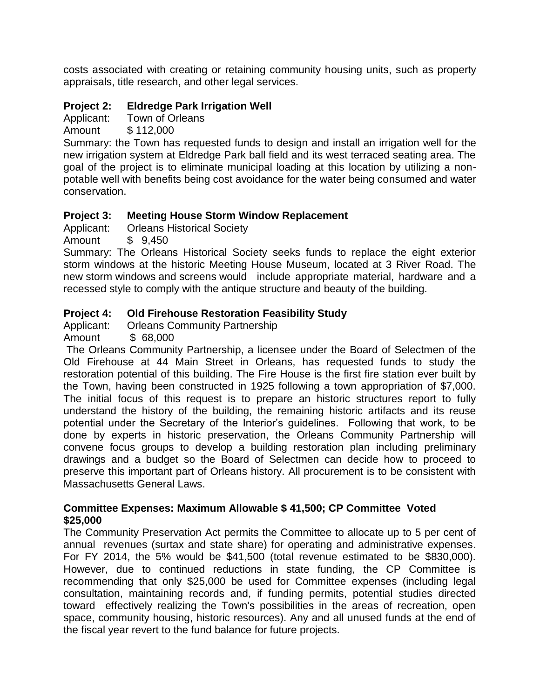costs associated with creating or retaining community housing units, such as property appraisals, title research, and other legal services.

# **Project 2: Eldredge Park Irrigation Well**

Applicant: Town of Orleans

Amount \$ 112,000

Summary: the Town has requested funds to design and install an irrigation well for the new irrigation system at Eldredge Park ball field and its west terraced seating area. The goal of the project is to eliminate municipal loading at this location by utilizing a nonpotable well with benefits being cost avoidance for the water being consumed and water conservation.

### **Project 3: Meeting House Storm Window Replacement**

Applicant: Orleans Historical Society

Amount \$ 9,450

Summary: The Orleans Historical Society seeks funds to replace the eight exterior storm windows at the historic Meeting House Museum, located at 3 River Road. The new storm windows and screens would include appropriate material, hardware and a recessed style to comply with the antique structure and beauty of the building.

# **Project 4: Old Firehouse Restoration Feasibility Study**

Applicant: Orleans Community Partnership

Amount \$ 68,000

The Orleans Community Partnership, a licensee under the Board of Selectmen of the Old Firehouse at 44 Main Street in Orleans, has requested funds to study the restoration potential of this building. The Fire House is the first fire station ever built by the Town, having been constructed in 1925 following a town appropriation of \$7,000. The initial focus of this request is to prepare an historic structures report to fully understand the history of the building, the remaining historic artifacts and its reuse potential under the Secretary of the Interior's guidelines. Following that work, to be done by experts in historic preservation, the Orleans Community Partnership will convene focus groups to develop a building restoration plan including preliminary drawings and a budget so the Board of Selectmen can decide how to proceed to preserve this important part of Orleans history. All procurement is to be consistent with Massachusetts General Laws.

### **Committee Expenses: Maximum Allowable \$ 41,500; CP Committee Voted \$25,000**

The Community Preservation Act permits the Committee to allocate up to 5 per cent of annual revenues (surtax and state share) for operating and administrative expenses. For FY 2014, the 5% would be \$41,500 (total revenue estimated to be \$830,000). However, due to continued reductions in state funding, the CP Committee is recommending that only \$25,000 be used for Committee expenses (including legal consultation, maintaining records and, if funding permits, potential studies directed toward effectively realizing the Town's possibilities in the areas of recreation, open space, community housing, historic resources). Any and all unused funds at the end of the fiscal year revert to the fund balance for future projects.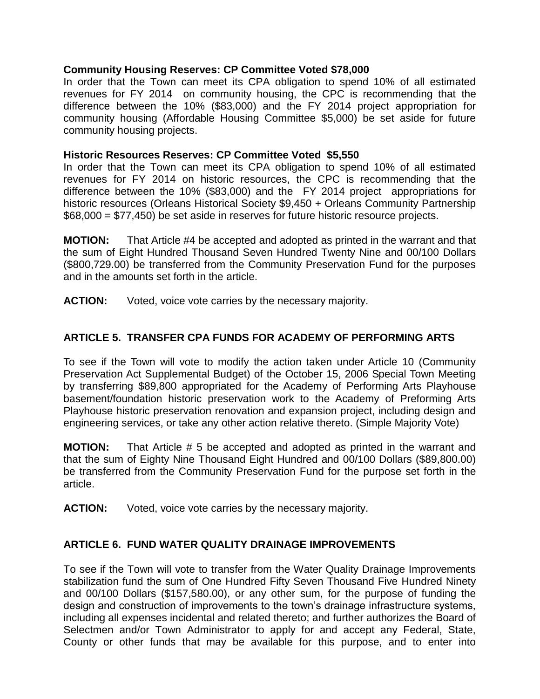#### **Community Housing Reserves: CP Committee Voted \$78,000**

In order that the Town can meet its CPA obligation to spend 10% of all estimated revenues for FY 2014 on community housing, the CPC is recommending that the difference between the 10% (\$83,000) and the FY 2014 project appropriation for community housing (Affordable Housing Committee \$5,000) be set aside for future community housing projects.

#### **Historic Resources Reserves: CP Committee Voted \$5,550**

In order that the Town can meet its CPA obligation to spend 10% of all estimated revenues for FY 2014 on historic resources, the CPC is recommending that the difference between the 10% (\$83,000) and the FY 2014 project appropriations for historic resources (Orleans Historical Society \$9,450 + Orleans Community Partnership \$68,000 = \$77,450) be set aside in reserves for future historic resource projects.

**MOTION:** That Article #4 be accepted and adopted as printed in the warrant and that the sum of Eight Hundred Thousand Seven Hundred Twenty Nine and 00/100 Dollars (\$800,729.00) be transferred from the Community Preservation Fund for the purposes and in the amounts set forth in the article.

**ACTION:** Voted, voice vote carries by the necessary majority.

### **ARTICLE 5. TRANSFER CPA FUNDS FOR ACADEMY OF PERFORMING ARTS**

To see if the Town will vote to modify the action taken under Article 10 (Community Preservation Act Supplemental Budget) of the October 15, 2006 Special Town Meeting by transferring \$89,800 appropriated for the Academy of Performing Arts Playhouse basement/foundation historic preservation work to the Academy of Preforming Arts Playhouse historic preservation renovation and expansion project, including design and engineering services, or take any other action relative thereto. (Simple Majority Vote)

**MOTION:** That Article # 5 be accepted and adopted as printed in the warrant and that the sum of Eighty Nine Thousand Eight Hundred and 00/100 Dollars (\$89,800.00) be transferred from the Community Preservation Fund for the purpose set forth in the article.

**ACTION:** Voted, voice vote carries by the necessary majority.

#### **ARTICLE 6. FUND WATER QUALITY DRAINAGE IMPROVEMENTS**

To see if the Town will vote to transfer from the Water Quality Drainage Improvements stabilization fund the sum of One Hundred Fifty Seven Thousand Five Hundred Ninety and 00/100 Dollars (\$157,580.00), or any other sum, for the purpose of funding the design and construction of improvements to the town's drainage infrastructure systems, including all expenses incidental and related thereto; and further authorizes the Board of Selectmen and/or Town Administrator to apply for and accept any Federal, State, County or other funds that may be available for this purpose, and to enter into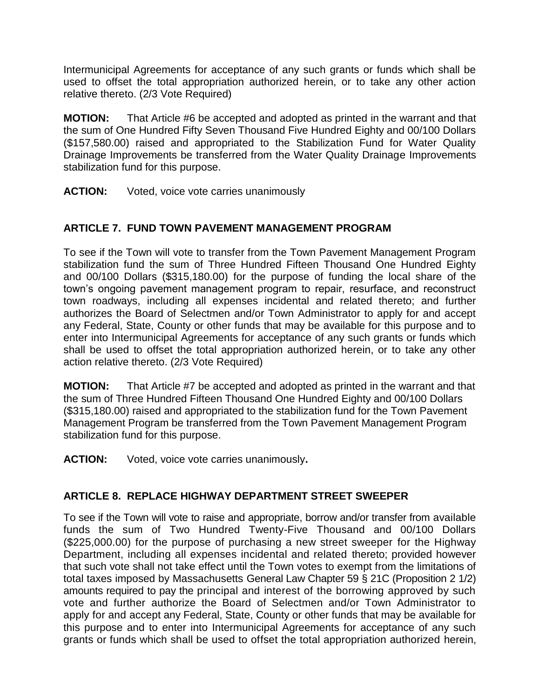Intermunicipal Agreements for acceptance of any such grants or funds which shall be used to offset the total appropriation authorized herein, or to take any other action relative thereto. (2/3 Vote Required)

**MOTION:** That Article #6 be accepted and adopted as printed in the warrant and that the sum of One Hundred Fifty Seven Thousand Five Hundred Eighty and 00/100 Dollars (\$157,580.00) raised and appropriated to the Stabilization Fund for Water Quality Drainage Improvements be transferred from the Water Quality Drainage Improvements stabilization fund for this purpose.

**ACTION:** Voted, voice vote carries unanimously

# **ARTICLE 7. FUND TOWN PAVEMENT MANAGEMENT PROGRAM**

To see if the Town will vote to transfer from the Town Pavement Management Program stabilization fund the sum of Three Hundred Fifteen Thousand One Hundred Eighty and 00/100 Dollars (\$315,180.00) for the purpose of funding the local share of the town's ongoing pavement management program to repair, resurface, and reconstruct town roadways, including all expenses incidental and related thereto; and further authorizes the Board of Selectmen and/or Town Administrator to apply for and accept any Federal, State, County or other funds that may be available for this purpose and to enter into Intermunicipal Agreements for acceptance of any such grants or funds which shall be used to offset the total appropriation authorized herein, or to take any other action relative thereto. (2/3 Vote Required)

**MOTION:** That Article #7 be accepted and adopted as printed in the warrant and that the sum of Three Hundred Fifteen Thousand One Hundred Eighty and 00/100 Dollars (\$315,180.00) raised and appropriated to the stabilization fund for the Town Pavement Management Program be transferred from the Town Pavement Management Program stabilization fund for this purpose.

**ACTION:** Voted, voice vote carries unanimously**.**

### **ARTICLE 8. REPLACE HIGHWAY DEPARTMENT STREET SWEEPER**

To see if the Town will vote to raise and appropriate, borrow and/or transfer from available funds the sum of Two Hundred Twenty-Five Thousand and 00/100 Dollars (\$225,000.00) for the purpose of purchasing a new street sweeper for the Highway Department, including all expenses incidental and related thereto; provided however that such vote shall not take effect until the Town votes to exempt from the limitations of total taxes imposed by Massachusetts General Law Chapter 59 § 21C (Proposition 2 1/2) amounts required to pay the principal and interest of the borrowing approved by such vote and further authorize the Board of Selectmen and/or Town Administrator to apply for and accept any Federal, State, County or other funds that may be available for this purpose and to enter into Intermunicipal Agreements for acceptance of any such grants or funds which shall be used to offset the total appropriation authorized herein,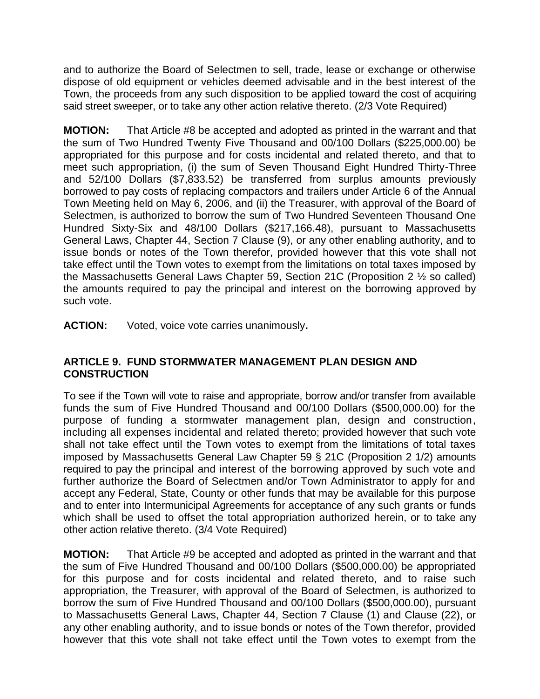and to authorize the Board of Selectmen to sell, trade, lease or exchange or otherwise dispose of old equipment or vehicles deemed advisable and in the best interest of the Town, the proceeds from any such disposition to be applied toward the cost of acquiring said street sweeper, or to take any other action relative thereto. (2/3 Vote Required)

**MOTION:** That Article #8 be accepted and adopted as printed in the warrant and that the sum of Two Hundred Twenty Five Thousand and 00/100 Dollars (\$225,000.00) be appropriated for this purpose and for costs incidental and related thereto, and that to meet such appropriation, (i) the sum of Seven Thousand Eight Hundred Thirty-Three and 52/100 Dollars (\$7,833.52) be transferred from surplus amounts previously borrowed to pay costs of replacing compactors and trailers under Article 6 of the Annual Town Meeting held on May 6, 2006, and (ii) the Treasurer, with approval of the Board of Selectmen, is authorized to borrow the sum of Two Hundred Seventeen Thousand One Hundred Sixty-Six and 48/100 Dollars (\$217,166.48), pursuant to Massachusetts General Laws, Chapter 44, Section 7 Clause (9), or any other enabling authority, and to issue bonds or notes of the Town therefor, provided however that this vote shall not take effect until the Town votes to exempt from the limitations on total taxes imposed by the Massachusetts General Laws Chapter 59, Section 21C (Proposition 2 ½ so called) the amounts required to pay the principal and interest on the borrowing approved by such vote.

**ACTION:** Voted, voice vote carries unanimously**.**

### **ARTICLE 9. FUND STORMWATER MANAGEMENT PLAN DESIGN AND CONSTRUCTION**

To see if the Town will vote to raise and appropriate, borrow and/or transfer from available funds the sum of Five Hundred Thousand and 00/100 Dollars (\$500,000.00) for the purpose of funding a stormwater management plan, design and construction, including all expenses incidental and related thereto; provided however that such vote shall not take effect until the Town votes to exempt from the limitations of total taxes imposed by Massachusetts General Law Chapter 59 § 21C (Proposition 2 1/2) amounts required to pay the principal and interest of the borrowing approved by such vote and further authorize the Board of Selectmen and/or Town Administrator to apply for and accept any Federal, State, County or other funds that may be available for this purpose and to enter into Intermunicipal Agreements for acceptance of any such grants or funds which shall be used to offset the total appropriation authorized herein, or to take any other action relative thereto. (3/4 Vote Required)

**MOTION:** That Article #9 be accepted and adopted as printed in the warrant and that the sum of Five Hundred Thousand and 00/100 Dollars (\$500,000.00) be appropriated for this purpose and for costs incidental and related thereto, and to raise such appropriation, the Treasurer, with approval of the Board of Selectmen, is authorized to borrow the sum of Five Hundred Thousand and 00/100 Dollars (\$500,000.00), pursuant to Massachusetts General Laws, Chapter 44, Section 7 Clause (1) and Clause (22), or any other enabling authority, and to issue bonds or notes of the Town therefor, provided however that this vote shall not take effect until the Town votes to exempt from the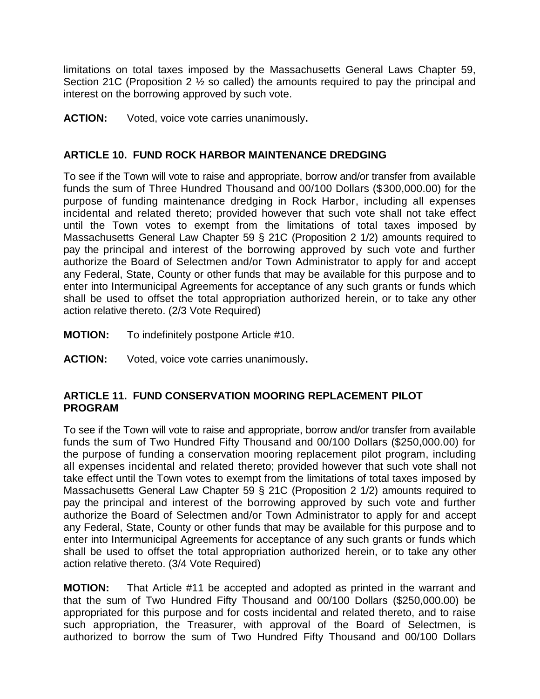limitations on total taxes imposed by the Massachusetts General Laws Chapter 59, Section 21C (Proposition 2 ½ so called) the amounts required to pay the principal and interest on the borrowing approved by such vote.

**ACTION:** Voted, voice vote carries unanimously**.**

### **ARTICLE 10. FUND ROCK HARBOR MAINTENANCE DREDGING**

To see if the Town will vote to raise and appropriate, borrow and/or transfer from available funds the sum of Three Hundred Thousand and 00/100 Dollars (\$300,000.00) for the purpose of funding maintenance dredging in Rock Harbor, including all expenses incidental and related thereto; provided however that such vote shall not take effect until the Town votes to exempt from the limitations of total taxes imposed by Massachusetts General Law Chapter 59 § 21C (Proposition 2 1/2) amounts required to pay the principal and interest of the borrowing approved by such vote and further authorize the Board of Selectmen and/or Town Administrator to apply for and accept any Federal, State, County or other funds that may be available for this purpose and to enter into Intermunicipal Agreements for acceptance of any such grants or funds which shall be used to offset the total appropriation authorized herein, or to take any other action relative thereto. (2/3 Vote Required)

- **MOTION:** To indefinitely postpone Article #10.
- **ACTION:** Voted, voice vote carries unanimously**.**

#### **ARTICLE 11. FUND CONSERVATION MOORING REPLACEMENT PILOT PROGRAM**

To see if the Town will vote to raise and appropriate, borrow and/or transfer from available funds the sum of Two Hundred Fifty Thousand and 00/100 Dollars (\$250,000.00) for the purpose of funding a conservation mooring replacement pilot program, including all expenses incidental and related thereto; provided however that such vote shall not take effect until the Town votes to exempt from the limitations of total taxes imposed by Massachusetts General Law Chapter 59 § 21C (Proposition 2 1/2) amounts required to pay the principal and interest of the borrowing approved by such vote and further authorize the Board of Selectmen and/or Town Administrator to apply for and accept any Federal, State, County or other funds that may be available for this purpose and to enter into Intermunicipal Agreements for acceptance of any such grants or funds which shall be used to offset the total appropriation authorized herein, or to take any other action relative thereto. (3/4 Vote Required)

**MOTION:** That Article #11 be accepted and adopted as printed in the warrant and that the sum of Two Hundred Fifty Thousand and 00/100 Dollars (\$250,000.00) be appropriated for this purpose and for costs incidental and related thereto, and to raise such appropriation, the Treasurer, with approval of the Board of Selectmen, is authorized to borrow the sum of Two Hundred Fifty Thousand and 00/100 Dollars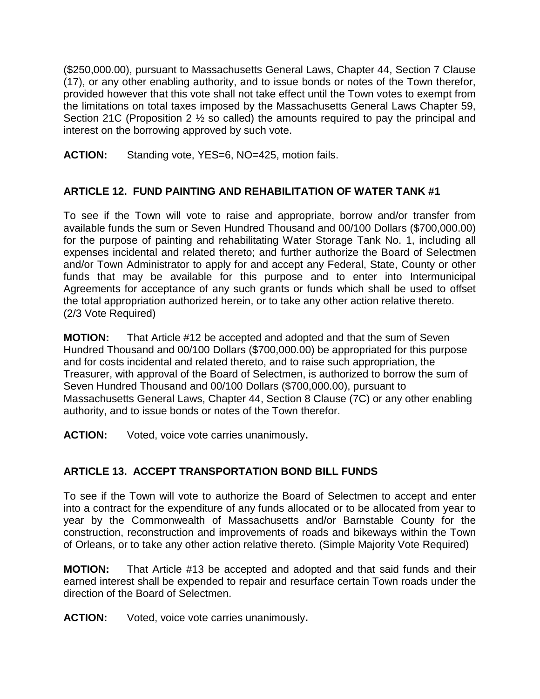(\$250,000.00), pursuant to Massachusetts General Laws, Chapter 44, Section 7 Clause (17), or any other enabling authority, and to issue bonds or notes of the Town therefor, provided however that this vote shall not take effect until the Town votes to exempt from the limitations on total taxes imposed by the Massachusetts General Laws Chapter 59, Section 21C (Proposition 2 ½ so called) the amounts required to pay the principal and interest on the borrowing approved by such vote.

**ACTION:** Standing vote, YES=6, NO=425, motion fails.

# **ARTICLE 12. FUND PAINTING AND REHABILITATION OF WATER TANK #1**

To see if the Town will vote to raise and appropriate, borrow and/or transfer from available funds the sum or Seven Hundred Thousand and 00/100 Dollars (\$700,000.00) for the purpose of painting and rehabilitating Water Storage Tank No. 1, including all expenses incidental and related thereto; and further authorize the Board of Selectmen and/or Town Administrator to apply for and accept any Federal, State, County or other funds that may be available for this purpose and to enter into Intermunicipal Agreements for acceptance of any such grants or funds which shall be used to offset the total appropriation authorized herein, or to take any other action relative thereto. (2/3 Vote Required)

**MOTION:** That Article #12 be accepted and adopted and that the sum of Seven Hundred Thousand and 00/100 Dollars (\$700,000.00) be appropriated for this purpose and for costs incidental and related thereto, and to raise such appropriation, the Treasurer, with approval of the Board of Selectmen, is authorized to borrow the sum of Seven Hundred Thousand and 00/100 Dollars (\$700,000.00), pursuant to Massachusetts General Laws, Chapter 44, Section 8 Clause (7C) or any other enabling authority, and to issue bonds or notes of the Town therefor.

**ACTION:** Voted, voice vote carries unanimously**.**

# **ARTICLE 13. ACCEPT TRANSPORTATION BOND BILL FUNDS**

To see if the Town will vote to authorize the Board of Selectmen to accept and enter into a contract for the expenditure of any funds allocated or to be allocated from year to year by the Commonwealth of Massachusetts and/or Barnstable County for the construction, reconstruction and improvements of roads and bikeways within the Town of Orleans, or to take any other action relative thereto. (Simple Majority Vote Required)

**MOTION:** That Article #13 be accepted and adopted and that said funds and their earned interest shall be expended to repair and resurface certain Town roads under the direction of the Board of Selectmen.

**ACTION:** Voted, voice vote carries unanimously**.**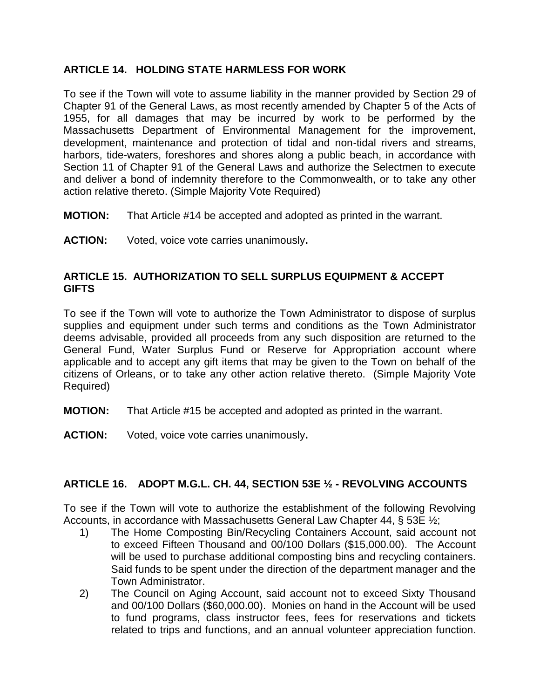### **ARTICLE 14. HOLDING STATE HARMLESS FOR WORK**

To see if the Town will vote to assume liability in the manner provided by Section 29 of Chapter 91 of the General Laws, as most recently amended by Chapter 5 of the Acts of 1955, for all damages that may be incurred by work to be performed by the Massachusetts Department of Environmental Management for the improvement, development, maintenance and protection of tidal and non-tidal rivers and streams, harbors, tide-waters, foreshores and shores along a public beach, in accordance with Section 11 of Chapter 91 of the General Laws and authorize the Selectmen to execute and deliver a bond of indemnity therefore to the Commonwealth, or to take any other action relative thereto. (Simple Majority Vote Required)

- **MOTION:** That Article #14 be accepted and adopted as printed in the warrant.
- **ACTION:** Voted, voice vote carries unanimously**.**

#### **ARTICLE 15. AUTHORIZATION TO SELL SURPLUS EQUIPMENT & ACCEPT GIFTS**

To see if the Town will vote to authorize the Town Administrator to dispose of surplus supplies and equipment under such terms and conditions as the Town Administrator deems advisable, provided all proceeds from any such disposition are returned to the General Fund, Water Surplus Fund or Reserve for Appropriation account where applicable and to accept any gift items that may be given to the Town on behalf of the citizens of Orleans, or to take any other action relative thereto. (Simple Majority Vote Required)

- **MOTION:** That Article #15 be accepted and adopted as printed in the warrant.
- **ACTION:** Voted, voice vote carries unanimously**.**

### **ARTICLE 16. ADOPT M.G.L. CH. 44, SECTION 53E ½ - REVOLVING ACCOUNTS**

To see if the Town will vote to authorize the establishment of the following Revolving Accounts, in accordance with Massachusetts General Law Chapter 44, § 53E ½;

- 1) The Home Composting Bin/Recycling Containers Account, said account not to exceed Fifteen Thousand and 00/100 Dollars (\$15,000.00). The Account will be used to purchase additional composting bins and recycling containers. Said funds to be spent under the direction of the department manager and the Town Administrator.
- 2) The Council on Aging Account, said account not to exceed Sixty Thousand and 00/100 Dollars (\$60,000.00). Monies on hand in the Account will be used to fund programs, class instructor fees, fees for reservations and tickets related to trips and functions, and an annual volunteer appreciation function.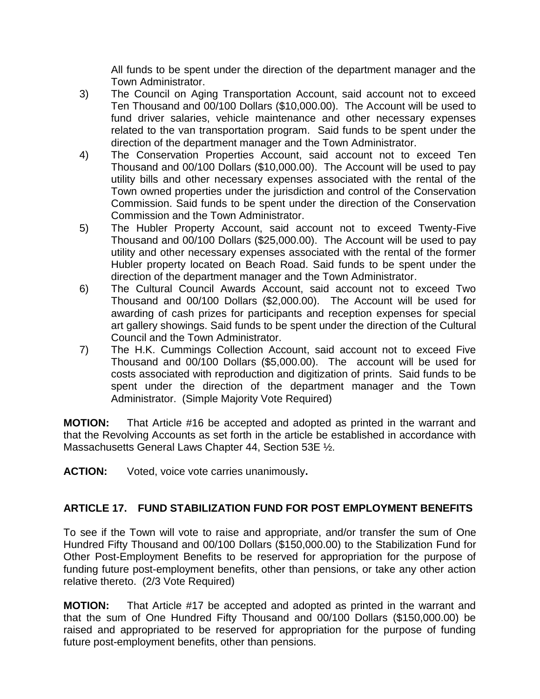All funds to be spent under the direction of the department manager and the Town Administrator.

- 3) The Council on Aging Transportation Account, said account not to exceed Ten Thousand and 00/100 Dollars (\$10,000.00). The Account will be used to fund driver salaries, vehicle maintenance and other necessary expenses related to the van transportation program. Said funds to be spent under the direction of the department manager and the Town Administrator.
- 4) The Conservation Properties Account, said account not to exceed Ten Thousand and 00/100 Dollars (\$10,000.00). The Account will be used to pay utility bills and other necessary expenses associated with the rental of the Town owned properties under the jurisdiction and control of the Conservation Commission. Said funds to be spent under the direction of the Conservation Commission and the Town Administrator.
- 5) The Hubler Property Account, said account not to exceed Twenty-Five Thousand and 00/100 Dollars (\$25,000.00). The Account will be used to pay utility and other necessary expenses associated with the rental of the former Hubler property located on Beach Road. Said funds to be spent under the direction of the department manager and the Town Administrator.
- 6) The Cultural Council Awards Account, said account not to exceed Two Thousand and 00/100 Dollars (\$2,000.00). The Account will be used for awarding of cash prizes for participants and reception expenses for special art gallery showings. Said funds to be spent under the direction of the Cultural Council and the Town Administrator.
- 7) The H.K. Cummings Collection Account, said account not to exceed Five Thousand and 00/100 Dollars (\$5,000.00). The account will be used for costs associated with reproduction and digitization of prints. Said funds to be spent under the direction of the department manager and the Town Administrator. (Simple Majority Vote Required)

**MOTION:** That Article #16 be accepted and adopted as printed in the warrant and that the Revolving Accounts as set forth in the article be established in accordance with Massachusetts General Laws Chapter 44, Section 53E ½.

**ACTION:** Voted, voice vote carries unanimously**.**

# **ARTICLE 17. FUND STABILIZATION FUND FOR POST EMPLOYMENT BENEFITS**

To see if the Town will vote to raise and appropriate, and/or transfer the sum of One Hundred Fifty Thousand and 00/100 Dollars (\$150,000.00) to the Stabilization Fund for Other Post-Employment Benefits to be reserved for appropriation for the purpose of funding future post-employment benefits, other than pensions, or take any other action relative thereto. (2/3 Vote Required)

**MOTION:** That Article #17 be accepted and adopted as printed in the warrant and that the sum of One Hundred Fifty Thousand and 00/100 Dollars (\$150,000.00) be raised and appropriated to be reserved for appropriation for the purpose of funding future post-employment benefits, other than pensions.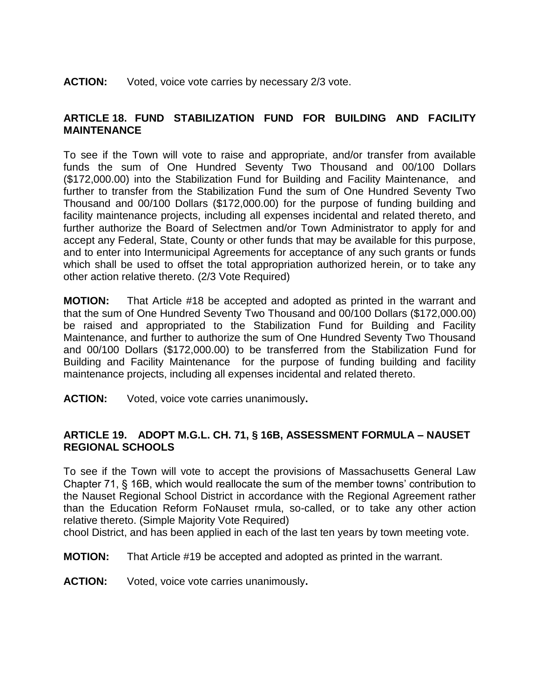#### **ACTION:** Voted, voice vote carries by necessary 2/3 vote.

### **ARTICLE 18. FUND STABILIZATION FUND FOR BUILDING AND FACILITY MAINTENANCE**

To see if the Town will vote to raise and appropriate, and/or transfer from available funds the sum of One Hundred Seventy Two Thousand and 00/100 Dollars (\$172,000.00) into the Stabilization Fund for Building and Facility Maintenance, and further to transfer from the Stabilization Fund the sum of One Hundred Seventy Two Thousand and 00/100 Dollars (\$172,000.00) for the purpose of funding building and facility maintenance projects, including all expenses incidental and related thereto, and further authorize the Board of Selectmen and/or Town Administrator to apply for and accept any Federal, State, County or other funds that may be available for this purpose, and to enter into Intermunicipal Agreements for acceptance of any such grants or funds which shall be used to offset the total appropriation authorized herein, or to take any other action relative thereto. (2/3 Vote Required)

**MOTION:** That Article #18 be accepted and adopted as printed in the warrant and that the sum of One Hundred Seventy Two Thousand and 00/100 Dollars (\$172,000.00) be raised and appropriated to the Stabilization Fund for Building and Facility Maintenance, and further to authorize the sum of One Hundred Seventy Two Thousand and 00/100 Dollars (\$172,000.00) to be transferred from the Stabilization Fund for Building and Facility Maintenance for the purpose of funding building and facility maintenance projects, including all expenses incidental and related thereto.

**ACTION:** Voted, voice vote carries unanimously**.**

#### **ARTICLE 19. ADOPT M.G.L. CH. 71, § 16B, ASSESSMENT FORMULA – NAUSET REGIONAL SCHOOLS**

To see if the Town will vote to accept the provisions of Massachusetts General Law Chapter 71, § 16B, which would reallocate the sum of the member towns' contribution to the Nauset Regional School District in accordance with the Regional Agreement rather than the Education Reform FoNauset rmula, so-called, or to take any other action relative thereto. (Simple Majority Vote Required)

chool District, and has been applied in each of the last ten years by town meeting vote.

**MOTION:** That Article #19 be accepted and adopted as printed in the warrant.

**ACTION:** Voted, voice vote carries unanimously**.**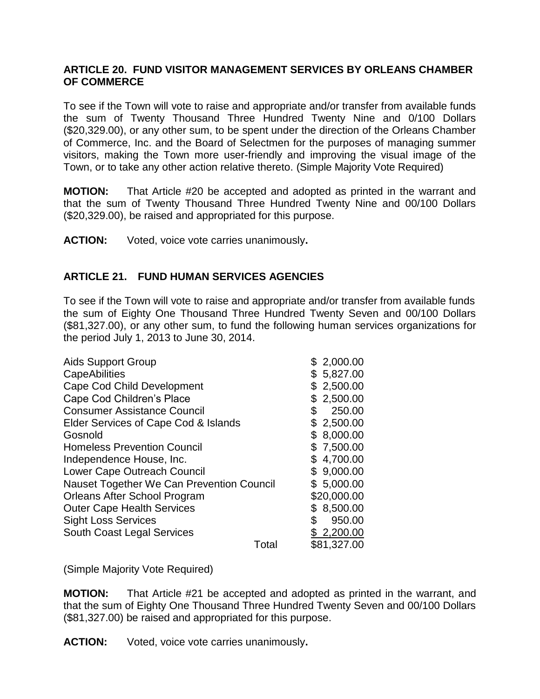#### **ARTICLE 20. FUND VISITOR MANAGEMENT SERVICES BY ORLEANS CHAMBER OF COMMERCE**

To see if the Town will vote to raise and appropriate and/or transfer from available funds the sum of Twenty Thousand Three Hundred Twenty Nine and 0/100 Dollars (\$20,329.00), or any other sum, to be spent under the direction of the Orleans Chamber of Commerce, Inc. and the Board of Selectmen for the purposes of managing summer visitors, making the Town more user-friendly and improving the visual image of the Town, or to take any other action relative thereto. (Simple Majority Vote Required)

**MOTION:** That Article #20 be accepted and adopted as printed in the warrant and that the sum of Twenty Thousand Three Hundred Twenty Nine and 00/100 Dollars (\$20,329.00), be raised and appropriated for this purpose.

**ACTION:** Voted, voice vote carries unanimously**.**

### **ARTICLE 21. FUND HUMAN SERVICES AGENCIES**

To see if the Town will vote to raise and appropriate and/or transfer from available funds the sum of Eighty One Thousand Three Hundred Twenty Seven and 00/100 Dollars (\$81,327.00), or any other sum, to fund the following human services organizations for the period July 1, 2013 to June 30, 2014.

| <b>Aids Support Group</b>                 | 2,000.00       |
|-------------------------------------------|----------------|
| <b>CapeAbilities</b>                      | 5,827.00<br>\$ |
| Cape Cod Child Development                | 2,500.00       |
| Cape Cod Children's Place                 | 2,500.00<br>\$ |
| <b>Consumer Assistance Council</b>        | 250.00<br>\$   |
| Elder Services of Cape Cod & Islands      | 2,500.00<br>\$ |
| Gosnold                                   | 8,000.00<br>\$ |
| <b>Homeless Prevention Council</b>        | \$7,500.00     |
| Independence House, Inc.                  | 4,700.00<br>\$ |
| Lower Cape Outreach Council               | \$9,000.00     |
| Nauset Together We Can Prevention Council | \$5,000.00     |
| Orleans After School Program              | \$20,000.00    |
| <b>Outer Cape Health Services</b>         | \$8,500.00     |
| <b>Sight Loss Services</b>                | \$<br>950.00   |
| South Coast Legal Services                | \$2,200.00     |
| Total                                     | \$81,327.00    |

(Simple Majority Vote Required)

**MOTION:** That Article #21 be accepted and adopted as printed in the warrant, and that the sum of Eighty One Thousand Three Hundred Twenty Seven and 00/100 Dollars (\$81,327.00) be raised and appropriated for this purpose.

**ACTION:** Voted, voice vote carries unanimously**.**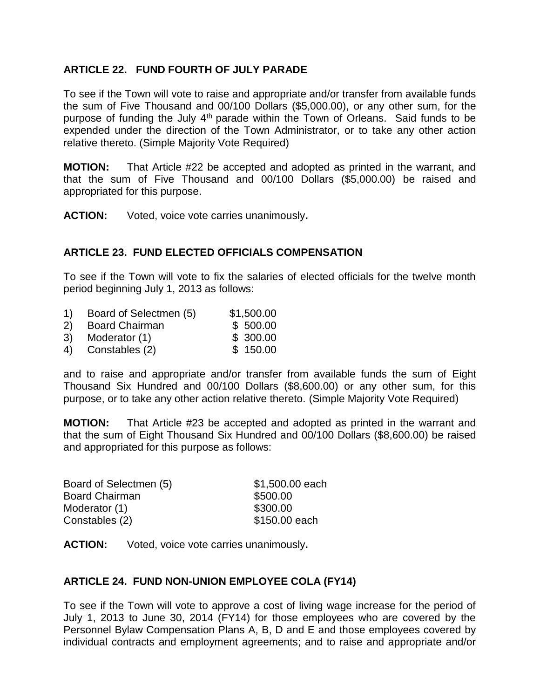### **ARTICLE 22. FUND FOURTH OF JULY PARADE**

To see if the Town will vote to raise and appropriate and/or transfer from available funds the sum of Five Thousand and 00/100 Dollars (\$5,000.00), or any other sum, for the purpose of funding the July  $4<sup>th</sup>$  parade within the Town of Orleans. Said funds to be expended under the direction of the Town Administrator, or to take any other action relative thereto. (Simple Majority Vote Required)

**MOTION:** That Article #22 be accepted and adopted as printed in the warrant, and that the sum of Five Thousand and 00/100 Dollars (\$5,000.00) be raised and appropriated for this purpose.

**ACTION:** Voted, voice vote carries unanimously**.**

### **ARTICLE 23. FUND ELECTED OFFICIALS COMPENSATION**

To see if the Town will vote to fix the salaries of elected officials for the twelve month period beginning July 1, 2013 as follows:

- 1) Board of Selectmen (5) \$1,500.00
- 2) Board Chairman \$ 500.00
- 3) Moderator (1) \$ 300.00
- 4) Constables (2) \$ 150.00

and to raise and appropriate and/or transfer from available funds the sum of Eight Thousand Six Hundred and 00/100 Dollars (\$8,600.00) or any other sum, for this purpose, or to take any other action relative thereto. (Simple Majority Vote Required)

**MOTION:** That Article #23 be accepted and adopted as printed in the warrant and that the sum of Eight Thousand Six Hundred and 00/100 Dollars (\$8,600.00) be raised and appropriated for this purpose as follows:

| \$1,500.00 each |
|-----------------|
| \$500.00        |
| \$300.00        |
| \$150.00 each   |
|                 |

**ACTION:** Voted, voice vote carries unanimously**.**

#### **ARTICLE 24. FUND NON-UNION EMPLOYEE COLA (FY14)**

To see if the Town will vote to approve a cost of living wage increase for the period of July 1, 2013 to June 30, 2014 (FY14) for those employees who are covered by the Personnel Bylaw Compensation Plans A, B, D and E and those employees covered by individual contracts and employment agreements; and to raise and appropriate and/or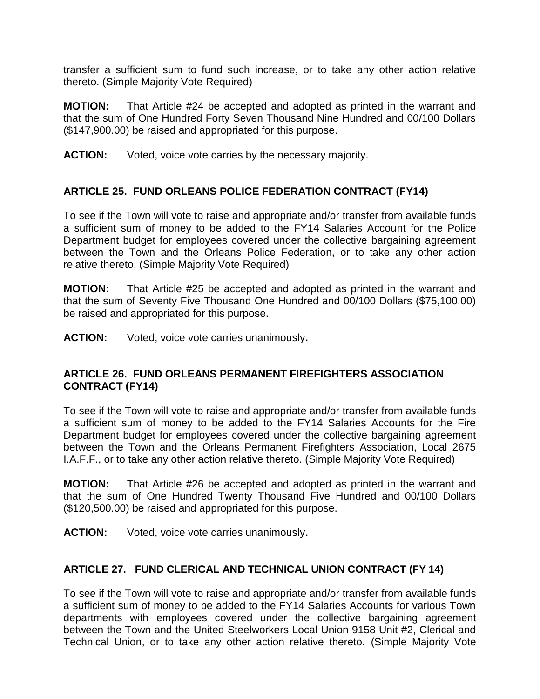transfer a sufficient sum to fund such increase, or to take any other action relative thereto. (Simple Majority Vote Required)

**MOTION:** That Article #24 be accepted and adopted as printed in the warrant and that the sum of One Hundred Forty Seven Thousand Nine Hundred and 00/100 Dollars (\$147,900.00) be raised and appropriated for this purpose.

**ACTION:** Voted, voice vote carries by the necessary majority.

### **ARTICLE 25. FUND ORLEANS POLICE FEDERATION CONTRACT (FY14)**

To see if the Town will vote to raise and appropriate and/or transfer from available funds a sufficient sum of money to be added to the FY14 Salaries Account for the Police Department budget for employees covered under the collective bargaining agreement between the Town and the Orleans Police Federation, or to take any other action relative thereto. (Simple Majority Vote Required)

**MOTION:** That Article #25 be accepted and adopted as printed in the warrant and that the sum of Seventy Five Thousand One Hundred and 00/100 Dollars (\$75,100.00) be raised and appropriated for this purpose.

**ACTION:** Voted, voice vote carries unanimously**.**

#### **ARTICLE 26. FUND ORLEANS PERMANENT FIREFIGHTERS ASSOCIATION CONTRACT (FY14)**

To see if the Town will vote to raise and appropriate and/or transfer from available funds a sufficient sum of money to be added to the FY14 Salaries Accounts for the Fire Department budget for employees covered under the collective bargaining agreement between the Town and the Orleans Permanent Firefighters Association, Local 2675 I.A.F.F., or to take any other action relative thereto. (Simple Majority Vote Required)

**MOTION:** That Article #26 be accepted and adopted as printed in the warrant and that the sum of One Hundred Twenty Thousand Five Hundred and 00/100 Dollars (\$120,500.00) be raised and appropriated for this purpose.

**ACTION:** Voted, voice vote carries unanimously**.**

#### **ARTICLE 27. FUND CLERICAL AND TECHNICAL UNION CONTRACT (FY 14)**

To see if the Town will vote to raise and appropriate and/or transfer from available funds a sufficient sum of money to be added to the FY14 Salaries Accounts for various Town departments with employees covered under the collective bargaining agreement between the Town and the United Steelworkers Local Union 9158 Unit #2, Clerical and Technical Union, or to take any other action relative thereto. (Simple Majority Vote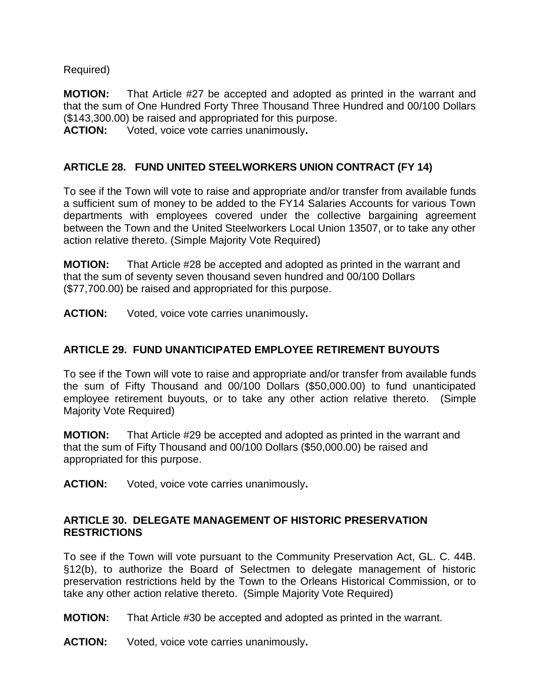### Required)

**MOTION:** That Article #27 be accepted and adopted as printed in the warrant and that the sum of One Hundred Forty Three Thousand Three Hundred and 00/100 Dollars (\$143,300.00) be raised and appropriated for this purpose.

**ACTION:** Voted, voice vote carries unanimously**.**

### **ARTICLE 28. FUND UNITED STEELWORKERS UNION CONTRACT (FY 14)**

To see if the Town will vote to raise and appropriate and/or transfer from available funds a sufficient sum of money to be added to the FY14 Salaries Accounts for various Town departments with employees covered under the collective bargaining agreement between the Town and the United Steelworkers Local Union 13507, or to take any other action relative thereto. (Simple Majority Vote Required)

**MOTION:** That Article #28 be accepted and adopted as printed in the warrant and that the sum of seventy seven thousand seven hundred and 00/100 Dollars (\$77,700.00) be raised and appropriated for this purpose.

**ACTION:** Voted, voice vote carries unanimously**.**

#### **ARTICLE 29. FUND UNANTICIPATED EMPLOYEE RETIREMENT BUYOUTS**

To see if the Town will vote to raise and appropriate and/or transfer from available funds the sum of Fifty Thousand and 00/100 Dollars (\$50,000.00) to fund unanticipated employee retirement buyouts, or to take any other action relative thereto. (Simple Majority Vote Required)

**MOTION:** That Article #29 be accepted and adopted as printed in the warrant and that the sum of Fifty Thousand and 00/100 Dollars (\$50,000.00) be raised and appropriated for this purpose.

**ACTION:** Voted, voice vote carries unanimously**.**

#### **ARTICLE 30. DELEGATE MANAGEMENT OF HISTORIC PRESERVATION RESTRICTIONS**

To see if the Town will vote pursuant to the Community Preservation Act, GL. C. 44B. §12(b), to authorize the Board of Selectmen to delegate management of historic preservation restrictions held by the Town to the Orleans Historical Commission, or to take any other action relative thereto. (Simple Majority Vote Required)

**MOTION:** That Article #30 be accepted and adopted as printed in the warrant.

**ACTION:** Voted, voice vote carries unanimously**.**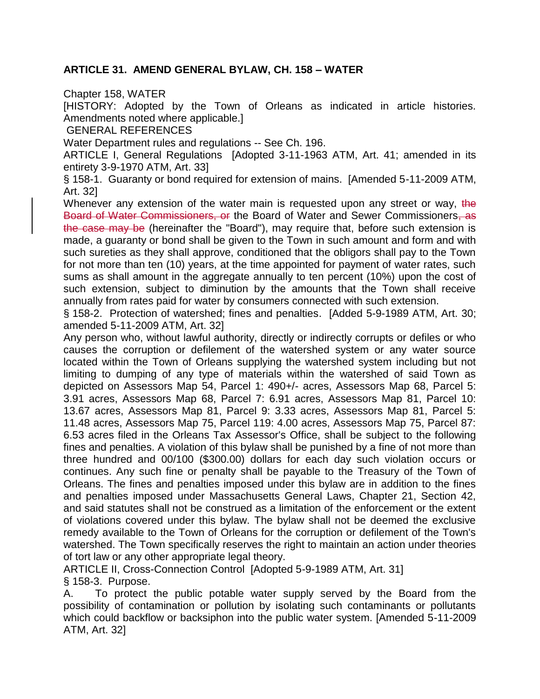### **ARTICLE 31. AMEND GENERAL BYLAW, CH. 158 – WATER**

Chapter 158, WATER

[HISTORY: Adopted by the Town of Orleans as indicated in article histories. Amendments noted where applicable.]

GENERAL REFERENCES

Water Department rules and regulations -- See Ch. 196.

ARTICLE I, General Regulations [Adopted 3-11-1963 ATM, Art. 41; amended in its entirety 3-9-1970 ATM, Art. 33]

§ 158-1. Guaranty or bond required for extension of mains. [Amended 5-11-2009 ATM, Art. 32]

Whenever any extension of the water main is requested upon any street or way, the Board of Water Commissioners, or the Board of Water and Sewer Commissioners, as the case may be (hereinafter the "Board"), may require that, before such extension is made, a guaranty or bond shall be given to the Town in such amount and form and with such sureties as they shall approve, conditioned that the obligors shall pay to the Town for not more than ten (10) years, at the time appointed for payment of water rates, such sums as shall amount in the aggregate annually to ten percent (10%) upon the cost of such extension, subject to diminution by the amounts that the Town shall receive annually from rates paid for water by consumers connected with such extension.

§ 158-2. Protection of watershed; fines and penalties. [Added 5-9-1989 ATM, Art. 30; amended 5-11-2009 ATM, Art. 32]

Any person who, without lawful authority, directly or indirectly corrupts or defiles or who causes the corruption or defilement of the watershed system or any water source located within the Town of Orleans supplying the watershed system including but not limiting to dumping of any type of materials within the watershed of said Town as depicted on Assessors Map 54, Parcel 1: 490+/- acres, Assessors Map 68, Parcel 5: 3.91 acres, Assessors Map 68, Parcel 7: 6.91 acres, Assessors Map 81, Parcel 10: 13.67 acres, Assessors Map 81, Parcel 9: 3.33 acres, Assessors Map 81, Parcel 5: 11.48 acres, Assessors Map 75, Parcel 119: 4.00 acres, Assessors Map 75, Parcel 87: 6.53 acres filed in the Orleans Tax Assessor's Office, shall be subject to the following fines and penalties. A violation of this bylaw shall be punished by a fine of not more than three hundred and 00/100 (\$300.00) dollars for each day such violation occurs or continues. Any such fine or penalty shall be payable to the Treasury of the Town of Orleans. The fines and penalties imposed under this bylaw are in addition to the fines and penalties imposed under Massachusetts General Laws, Chapter 21, Section 42, and said statutes shall not be construed as a limitation of the enforcement or the extent of violations covered under this bylaw. The bylaw shall not be deemed the exclusive remedy available to the Town of Orleans for the corruption or defilement of the Town's watershed. The Town specifically reserves the right to maintain an action under theories of tort law or any other appropriate legal theory.

ARTICLE II, Cross-Connection Control [Adopted 5-9-1989 ATM, Art. 31]

§ 158-3. Purpose.

A. To protect the public potable water supply served by the Board from the possibility of contamination or pollution by isolating such contaminants or pollutants which could backflow or backsiphon into the public water system. [Amended 5-11-2009 ATM, Art. 32]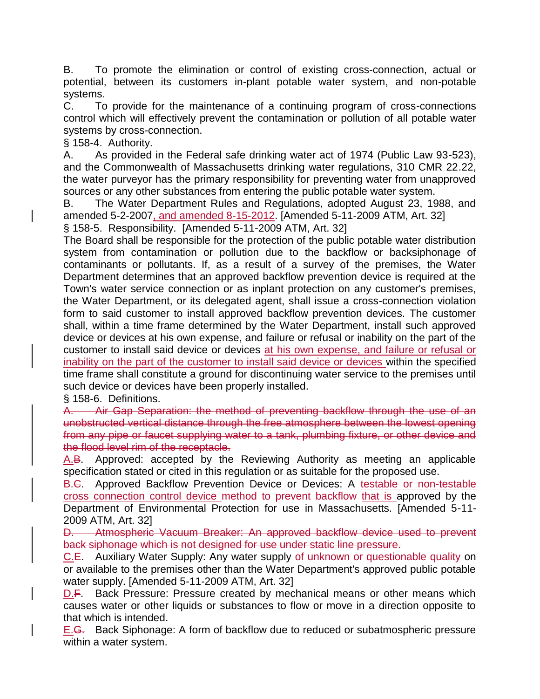B. To promote the elimination or control of existing cross-connection, actual or potential, between its customers in-plant potable water system, and non-potable systems.

C. To provide for the maintenance of a continuing program of cross-connections control which will effectively prevent the contamination or pollution of all potable water systems by cross-connection.

§ 158-4. Authority.

A. As provided in the Federal safe drinking water act of 1974 (Public Law 93-523), and the Commonwealth of Massachusetts drinking water regulations, 310 CMR 22.22, the water purveyor has the primary responsibility for preventing water from unapproved sources or any other substances from entering the public potable water system.

B. The Water Department Rules and Regulations, adopted August 23, 1988, and amended 5-2-2007, and amended 8-15-2012. [Amended 5-11-2009 ATM, Art. 32]

§ 158-5. Responsibility. [Amended 5-11-2009 ATM, Art. 32]

The Board shall be responsible for the protection of the public potable water distribution system from contamination or pollution due to the backflow or backsiphonage of contaminants or pollutants. If, as a result of a survey of the premises, the Water Department determines that an approved backflow prevention device is required at the Town's water service connection or as inplant protection on any customer's premises, the Water Department, or its delegated agent, shall issue a cross-connection violation form to said customer to install approved backflow prevention devices. The customer shall, within a time frame determined by the Water Department, install such approved device or devices at his own expense, and failure or refusal or inability on the part of the customer to install said device or devices at his own expense, and failure or refusal or inability on the part of the customer to install said device or devices within the specified time frame shall constitute a ground for discontinuing water service to the premises until such device or devices have been properly installed.

§ 158-6. Definitions.

A. Air Gap Separation: the method of preventing backflow through the use of an unobstructed vertical distance through the free atmosphere between the lowest opening from any pipe or faucet supplying water to a tank, plumbing fixture, or other device and the flood level rim of the receptacle.

A.B. Approved: accepted by the Reviewing Authority as meeting an applicable specification stated or cited in this regulation or as suitable for the proposed use.

B.C. Approved Backflow Prevention Device or Devices: A testable or non-testable cross connection control device method to prevent backflow that is approved by the Department of Environmental Protection for use in Massachusetts. [Amended 5-11- 2009 ATM, Art. 32]

D. Atmospheric Vacuum Breaker: An approved backflow device used to prevent back siphonage which is not designed for use under static line pressure.

C.E. Auxiliary Water Supply: Any water supply of unknown or questionable quality on or available to the premises other than the Water Department's approved public potable water supply. [Amended 5-11-2009 ATM, Art. 32]

D.F. Back Pressure: Pressure created by mechanical means or other means which causes water or other liquids or substances to flow or move in a direction opposite to that which is intended.

E.<del>G.</del> Back Siphonage: A form of backflow due to reduced or subatmospheric pressure within a water system.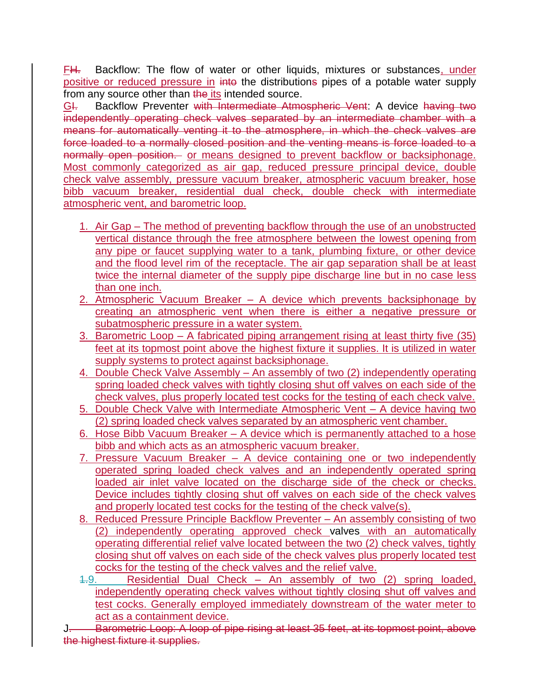FH. Backflow: The flow of water or other liquids, mixtures or substances, under positive or reduced pressure in into the distributions pipes of a potable water supply from any source other than the its intended source.

GI. Backflow Preventer with Intermediate Atmospheric Vent: A device having two independently operating check valves separated by an intermediate chamber with a means for automatically venting it to the atmosphere, in which the check valves are force loaded to a normally closed position and the venting means is force loaded to a normally open position. or means designed to prevent backflow or backsiphonage. Most commonly categorized as air gap, reduced pressure principal device, double check valve assembly, pressure vacuum breaker, atmospheric vacuum breaker, hose bibb vacuum breaker, residential dual check, double check with intermediate atmospheric vent, and barometric loop.

- 1. Air Gap The method of preventing backflow through the use of an unobstructed vertical distance through the free atmosphere between the lowest opening from any pipe or faucet supplying water to a tank, plumbing fixture, or other device and the flood level rim of the receptacle. The air gap separation shall be at least twice the internal diameter of the supply pipe discharge line but in no case less than one inch.
- 2. Atmospheric Vacuum Breaker A device which prevents backsiphonage by creating an atmospheric vent when there is either a negative pressure or subatmospheric pressure in a water system.
- 3. Barometric Loop A fabricated piping arrangement rising at least thirty five (35) feet at its topmost point above the highest fixture it supplies. It is utilized in water supply systems to protect against backsiphonage.
- 4. Double Check Valve Assembly An assembly of two (2) independently operating spring loaded check valves with tightly closing shut off valves on each side of the check valves, plus properly located test cocks for the testing of each check valve.
- 5. Double Check Valve with Intermediate Atmospheric Vent A device having two (2) spring loaded check valves separated by an atmospheric vent chamber.
- 6. Hose Bibb Vacuum Breaker A device which is permanently attached to a hose bibb and which acts as an atmospheric vacuum breaker.
- 7. Pressure Vacuum Breaker A device containing one or two independently operated spring loaded check valves and an independently operated spring loaded air inlet valve located on the discharge side of the check or checks. Device includes tightly closing shut off valves on each side of the check valves and properly located test cocks for the testing of the check valve(s).
- 8. Reduced Pressure Principle Backflow Preventer An assembly consisting of two (2) independently operating approved check valves with an automatically operating differential relief valve located between the two (2) check valves, tightly closing shut off valves on each side of the check valves plus properly located test cocks for the testing of the check valves and the relief valve.
- 1.9. Residential Dual Check An assembly of two (2) spring loaded, independently operating check valves without tightly closing shut off valves and test cocks. Generally employed immediately downstream of the water meter to act as a containment device.

J. Barometric Loop: A loop of pipe rising at least 35 feet, at its topmost point, above the highest fixture it supplies.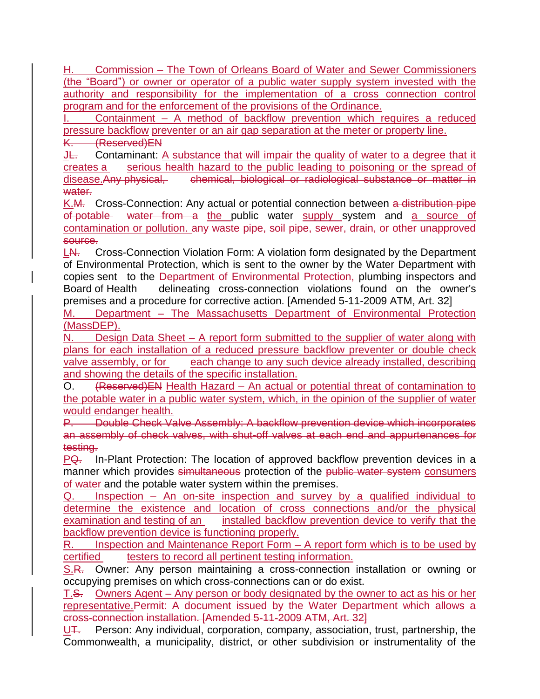H. Commission – The Town of Orleans Board of Water and Sewer Commissioners (the "Board") or owner or operator of a public water supply system invested with the authority and responsibility for the implementation of a cross connection control program and for the enforcement of the provisions of the Ordinance.

Containment – A method of backflow prevention which requires a reduced pressure backflow preventer or an air gap separation at the meter or property line. K. (Reserved)EN

**JL.** Contaminant: A substance that will impair the quality of water to a degree that it creates a serious health hazard to the public leading to poisoning or the spread of disease.Any physical, chemical, biological or radiological substance or matter in water.

K.M. Cross-Connection: Any actual or potential connection between a distribution pipe of potable water from a the public water supply system and a source of contamination or pollution. any waste pipe, soil pipe, sewer, drain, or other unapproved source.

LN. Cross-Connection Violation Form: A violation form designated by the Department of Environmental Protection, which is sent to the owner by the Water Department with copies sent to the Department of Environmental Protection, plumbing inspectors and Board of Health delineating cross-connection violations found on the owner's premises and a procedure for corrective action. [Amended 5-11-2009 ATM, Art. 32]

M. Department – The Massachusetts Department of Environmental Protection (MassDEP).

N. Design Data Sheet – A report form submitted to the supplier of water along with plans for each installation of a reduced pressure backflow preventer or double check valve assembly, or for each change to any such device already installed, describing and showing the details of the specific installation.

O. (Reserved)EN Health Hazard – An actual or potential threat of contamination to the potable water in a public water system, which, in the opinion of the supplier of water would endanger health.

P. Double Check Valve Assembly: A backflow prevention device which incorporates an assembly of check valves, with shut-off valves at each end and appurtenances for testing.

PQ. In-Plant Protection: The location of approved backflow prevention devices in a manner which provides simultaneous protection of the public water system consumers of water and the potable water system within the premises.

Q. Inspection – An on-site inspection and survey by a qualified individual to determine the existence and location of cross connections and/or the physical examination and testing of an installed backflow prevention device to verify that the backflow prevention device is functioning properly.

R. Inspection and Maintenance Report Form – A report form which is to be used by certified testers to record all pertinent testing information.

S.R. Owner: Any person maintaining a cross-connection installation or owning or occupying premises on which cross-connections can or do exist.

T.S. Owners Agent – Any person or body designated by the owner to act as his or her representative.Permit: A document issued by the Water Department which allows a cross-connection installation. [Amended 5-11-2009 ATM, Art. 32]

 $U^{\dagger}$ . Person: Any individual, corporation, company, association, trust, partnership, the Commonwealth, a municipality, district, or other subdivision or instrumentality of the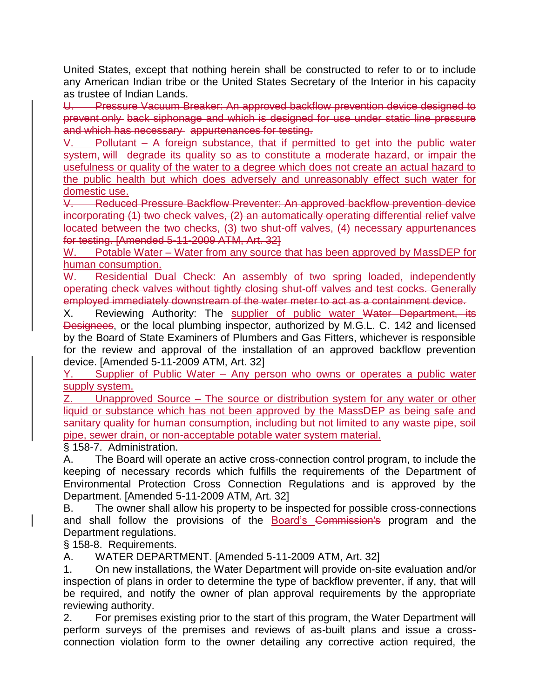United States, except that nothing herein shall be constructed to refer to or to include any American Indian tribe or the United States Secretary of the Interior in his capacity as trustee of Indian Lands.

U. Pressure Vacuum Breaker: An approved backflow prevention device designed to prevent only back siphonage and which is designed for use under static line pressure and which has necessary appurtenances for testing.

V. Pollutant – A foreign substance, that if permitted to get into the public water system, will degrade its quality so as to constitute a moderate hazard, or impair the usefulness or quality of the water to a degree which does not create an actual hazard to the public health but which does adversely and unreasonably effect such water for domestic use.

V. Reduced Pressure Backflow Preventer: An approved backflow prevention device incorporating (1) two check valves, (2) an automatically operating differential relief valve located between the two checks, (3) two shut-off valves, (4) necessary appurtenances for testing. [Amended 5-11-2009 ATM, Art. 32]

W. Potable Water – Water from any source that has been approved by MassDEP for human consumption.

W. Residential Dual Check: An assembly of two spring loaded, independently operating check valves without tightly closing shut-off valves and test cocks. Generally employed immediately downstream of the water meter to act as a containment device.

X. Reviewing Authority: The supplier of public water Water Department, its Designees, or the local plumbing inspector, authorized by M.G.L. C. 142 and licensed by the Board of State Examiners of Plumbers and Gas Fitters, whichever is responsible for the review and approval of the installation of an approved backflow prevention device. [Amended 5-11-2009 ATM, Art. 32]

Y. Supplier of Public Water – Any person who owns or operates a public water supply system.

Z. Unapproved Source – The source or distribution system for any water or other liquid or substance which has not been approved by the MassDEP as being safe and sanitary quality for human consumption, including but not limited to any waste pipe, soil pipe, sewer drain, or non-acceptable potable water system material.

§ 158-7. Administration.

A. The Board will operate an active cross-connection control program, to include the keeping of necessary records which fulfills the requirements of the Department of Environmental Protection Cross Connection Regulations and is approved by the Department. [Amended 5-11-2009 ATM, Art. 32]

B. The owner shall allow his property to be inspected for possible cross-connections and shall follow the provisions of the Board's Commission's program and the Department regulations.

§ 158-8. Requirements.

A. WATER DEPARTMENT. [Amended 5-11-2009 ATM, Art. 32]

1. On new installations, the Water Department will provide on-site evaluation and/or inspection of plans in order to determine the type of backflow preventer, if any, that will be required, and notify the owner of plan approval requirements by the appropriate reviewing authority.

2. For premises existing prior to the start of this program, the Water Department will perform surveys of the premises and reviews of as-built plans and issue a crossconnection violation form to the owner detailing any corrective action required, the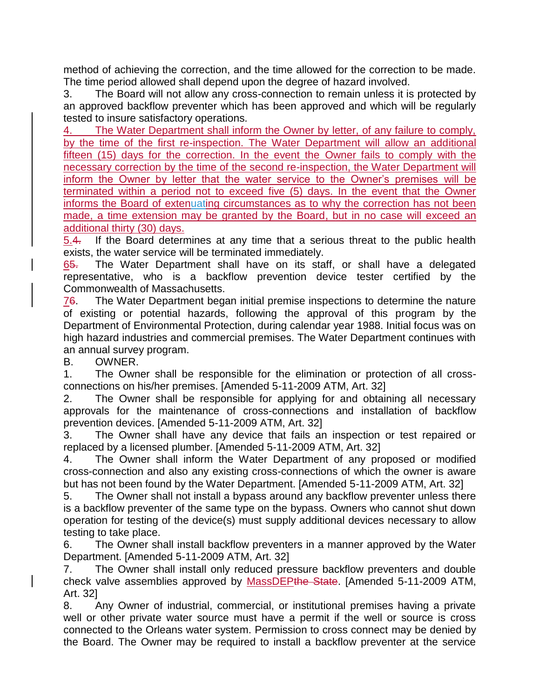method of achieving the correction, and the time allowed for the correction to be made. The time period allowed shall depend upon the degree of hazard involved.

3. The Board will not allow any cross-connection to remain unless it is protected by an approved backflow preventer which has been approved and which will be regularly tested to insure satisfactory operations.

4. The Water Department shall inform the Owner by letter, of any failure to comply, by the time of the first re-inspection. The Water Department will allow an additional fifteen (15) days for the correction. In the event the Owner fails to comply with the necessary correction by the time of the second re-inspection, the Water Department will inform the Owner by letter that the water service to the Owner's premises will be terminated within a period not to exceed five (5) days. In the event that the Owner informs the Board of extenuating circumstances as to why the correction has not been made, a time extension may be granted by the Board, but in no case will exceed an additional thirty (30) days.

5.4. If the Board determines at any time that a serious threat to the public health exists, the water service will be terminated immediately.

65. The Water Department shall have on its staff, or shall have a delegated representative, who is a backflow prevention device tester certified by the Commonwealth of Massachusetts.

76. The Water Department began initial premise inspections to determine the nature of existing or potential hazards, following the approval of this program by the Department of Environmental Protection, during calendar year 1988. Initial focus was on high hazard industries and commercial premises. The Water Department continues with an annual survey program.

B. OWNER.

1. The Owner shall be responsible for the elimination or protection of all crossconnections on his/her premises. [Amended 5-11-2009 ATM, Art. 32]

2. The Owner shall be responsible for applying for and obtaining all necessary approvals for the maintenance of cross-connections and installation of backflow prevention devices. [Amended 5-11-2009 ATM, Art. 32]

3. The Owner shall have any device that fails an inspection or test repaired or replaced by a licensed plumber. [Amended 5-11-2009 ATM, Art. 32]

4. The Owner shall inform the Water Department of any proposed or modified cross-connection and also any existing cross-connections of which the owner is aware but has not been found by the Water Department. [Amended 5-11-2009 ATM, Art. 32]

5. The Owner shall not install a bypass around any backflow preventer unless there is a backflow preventer of the same type on the bypass. Owners who cannot shut down operation for testing of the device(s) must supply additional devices necessary to allow testing to take place.

6. The Owner shall install backflow preventers in a manner approved by the Water Department. [Amended 5-11-2009 ATM, Art. 32]

7. The Owner shall install only reduced pressure backflow preventers and double check valve assemblies approved by MassDEPthe State. [Amended 5-11-2009 ATM, Art. 32]

8. Any Owner of industrial, commercial, or institutional premises having a private well or other private water source must have a permit if the well or source is cross connected to the Orleans water system. Permission to cross connect may be denied by the Board. The Owner may be required to install a backflow preventer at the service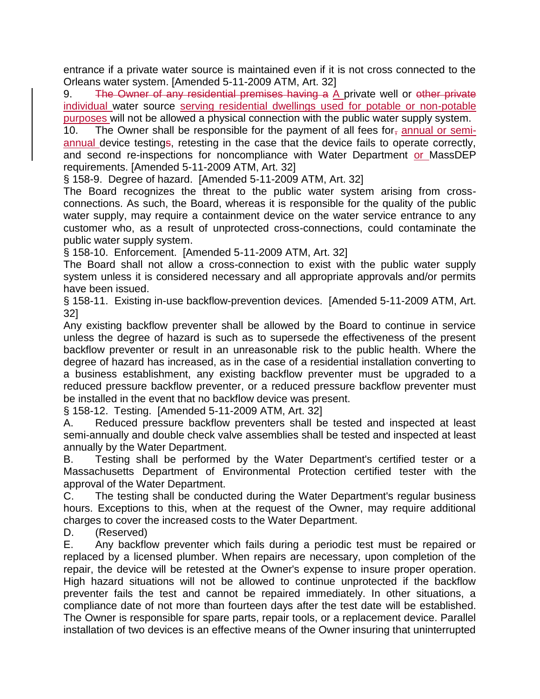entrance if a private water source is maintained even if it is not cross connected to the Orleans water system. [Amended 5-11-2009 ATM, Art. 32]

9. The Owner of any residential premises having a A private well or other private individual water source serving residential dwellings used for potable or non-potable purposes will not be allowed a physical connection with the public water supply system.

10. The Owner shall be responsible for the payment of all fees for $<sub>7</sub>$  annual or semi-</sub> annual device testings, retesting in the case that the device fails to operate correctly, and second re-inspections for noncompliance with Water Department or MassDEP requirements. [Amended 5-11-2009 ATM, Art. 32]

§ 158-9. Degree of hazard. [Amended 5-11-2009 ATM, Art. 32]

The Board recognizes the threat to the public water system arising from crossconnections. As such, the Board, whereas it is responsible for the quality of the public water supply, may require a containment device on the water service entrance to any customer who, as a result of unprotected cross-connections, could contaminate the public water supply system.

§ 158-10. Enforcement. [Amended 5-11-2009 ATM, Art. 32]

The Board shall not allow a cross-connection to exist with the public water supply system unless it is considered necessary and all appropriate approvals and/or permits have been issued.

§ 158-11. Existing in-use backflow-prevention devices. [Amended 5-11-2009 ATM, Art. 32]

Any existing backflow preventer shall be allowed by the Board to continue in service unless the degree of hazard is such as to supersede the effectiveness of the present backflow preventer or result in an unreasonable risk to the public health. Where the degree of hazard has increased, as in the case of a residential installation converting to a business establishment, any existing backflow preventer must be upgraded to a reduced pressure backflow preventer, or a reduced pressure backflow preventer must be installed in the event that no backflow device was present.

§ 158-12. Testing. [Amended 5-11-2009 ATM, Art. 32]

A. Reduced pressure backflow preventers shall be tested and inspected at least semi-annually and double check valve assemblies shall be tested and inspected at least annually by the Water Department.

B. Testing shall be performed by the Water Department's certified tester or a Massachusetts Department of Environmental Protection certified tester with the approval of the Water Department.

C. The testing shall be conducted during the Water Department's regular business hours. Exceptions to this, when at the request of the Owner, may require additional charges to cover the increased costs to the Water Department.

D. (Reserved)

E. Any backflow preventer which fails during a periodic test must be repaired or replaced by a licensed plumber. When repairs are necessary, upon completion of the repair, the device will be retested at the Owner's expense to insure proper operation. High hazard situations will not be allowed to continue unprotected if the backflow preventer fails the test and cannot be repaired immediately. In other situations, a compliance date of not more than fourteen days after the test date will be established. The Owner is responsible for spare parts, repair tools, or a replacement device. Parallel installation of two devices is an effective means of the Owner insuring that uninterrupted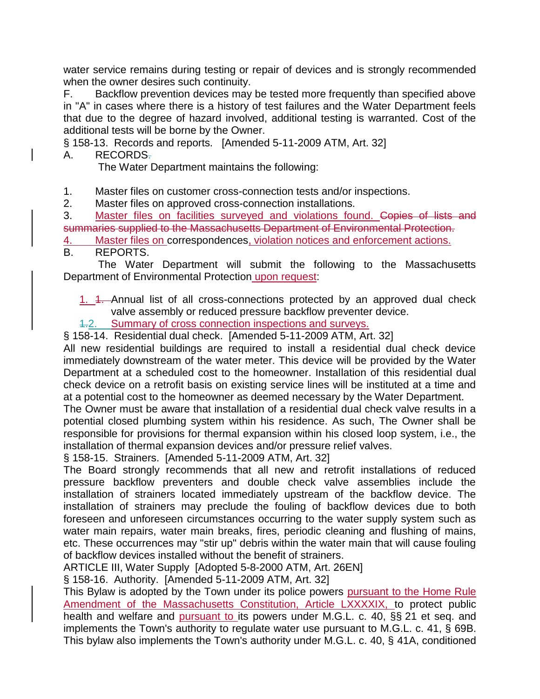water service remains during testing or repair of devices and is strongly recommended when the owner desires such continuity.

F. Backflow prevention devices may be tested more frequently than specified above in "A" in cases where there is a history of test failures and the Water Department feels that due to the degree of hazard involved, additional testing is warranted. Cost of the additional tests will be borne by the Owner.

§ 158-13. Records and reports. [Amended 5-11-2009 ATM, Art. 32]

A. RECORDS.

The Water Department maintains the following:

1. Master files on customer cross-connection tests and/or inspections.

2. Master files on approved cross-connection installations.

3. Master files on facilities surveyed and violations found. Copies of lists and summaries supplied to the Massachusetts Department of Environmental Protection.

4. Master files on correspondences, violation notices and enforcement actions.

B. REPORTS.

 The Water Department will submit the following to the Massachusetts Department of Environmental Protection upon request:

1. 1. Annual list of all cross-connections protected by an approved dual check valve assembly or reduced pressure backflow preventer device.

1.2. Summary of cross connection inspections and surveys.

§ 158-14. Residential dual check. [Amended 5-11-2009 ATM, Art. 32]

All new residential buildings are required to install a residential dual check device immediately downstream of the water meter. This device will be provided by the Water Department at a scheduled cost to the homeowner. Installation of this residential dual check device on a retrofit basis on existing service lines will be instituted at a time and at a potential cost to the homeowner as deemed necessary by the Water Department.

The Owner must be aware that installation of a residential dual check valve results in a potential closed plumbing system within his residence. As such, The Owner shall be responsible for provisions for thermal expansion within his closed loop system, i.e., the installation of thermal expansion devices and/or pressure relief valves.

§ 158-15. Strainers. [Amended 5-11-2009 ATM, Art. 32]

The Board strongly recommends that all new and retrofit installations of reduced pressure backflow preventers and double check valve assemblies include the installation of strainers located immediately upstream of the backflow device. The installation of strainers may preclude the fouling of backflow devices due to both foreseen and unforeseen circumstances occurring to the water supply system such as water main repairs, water main breaks, fires, periodic cleaning and flushing of mains, etc. These occurrences may "stir up" debris within the water main that will cause fouling of backflow devices installed without the benefit of strainers.

ARTICLE III, Water Supply [Adopted 5-8-2000 ATM, Art. 26EN]

§ 158-16. Authority. [Amended 5-11-2009 ATM, Art. 32]

This Bylaw is adopted by the Town under its police powers pursuant to the Home Rule Amendment of the Massachusetts Constitution, Article LXXXXIX, to protect public health and welfare and pursuant to its powers under M.G.L. c. 40, §§ 21 et seq. and implements the Town's authority to regulate water use pursuant to M.G.L. c. 41, § 69B. This bylaw also implements the Town's authority under M.G.L. c. 40, § 41A, conditioned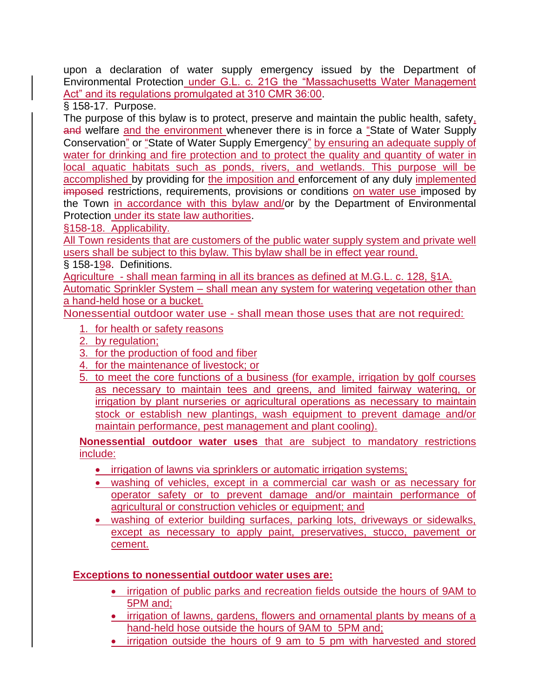upon a declaration of water supply emergency issued by the Department of Environmental Protection under G.L. c. 21G the "Massachusetts Water Management Act" and its regulations promulgated at 310 CMR 36:00.

§ 158-17. Purpose.

The purpose of this bylaw is to protect, preserve and maintain the public health, safety, and welfare and the environment whenever there is in force a "State of Water Supply Conservation" or "State of Water Supply Emergency" by ensuring an adequate supply of water for drinking and fire protection and to protect the quality and quantity of water in local aquatic habitats such as ponds, rivers, and wetlands. This purpose will be accomplished by providing for the imposition and enforcement of any duly implemented imposed restrictions, requirements, provisions or conditions on water use imposed by the Town in accordance with this bylaw and/or by the Department of Environmental Protection under its state law authorities.

§158-18. Applicability.

All Town residents that are customers of the public water supply system and private well users shall be subject to this bylaw. This bylaw shall be in effect year round.

§ 158-198. Definitions.

Agriculture - shall mean farming in all its brances as defined at M.G.L. c. 128, §1A. Automatic Sprinkler System – shall mean any system for watering vegetation other than a hand-held hose or a bucket.

Nonessential outdoor water use - shall mean those uses that are not required:

- 1. for health or safety reasons
- 2. by regulation;
- 3. for the production of food and fiber
- 4. for the maintenance of livestock; or
- 5. to meet the core functions of a business (for example, irrigation by golf courses as necessary to maintain tees and greens, and limited fairway watering, or irrigation by plant nurseries or agricultural operations as necessary to maintain stock or establish new plantings, wash equipment to prevent damage and/or maintain performance, pest management and plant cooling).

**Nonessential outdoor water uses** that are subject to mandatory restrictions include:

- **irrigation of lawns via sprinklers or automatic irrigation systems;**
- washing of vehicles, except in a commercial car wash or as necessary for operator safety or to prevent damage and/or maintain performance of agricultural or construction vehicles or equipment; and
- washing of exterior building surfaces, parking lots, driveways or sidewalks, except as necessary to apply paint, preservatives, stucco, pavement or cement.

# **Exceptions to nonessential outdoor water uses are:**

- **•** irrigation of public parks and recreation fields outside the hours of 9AM to 5PM and;
- irrigation of lawns, gardens, flowers and ornamental plants by means of a hand-held hose outside the hours of 9AM to 5PM and;
- irrigation outside the hours of 9 am to 5 pm with harvested and stored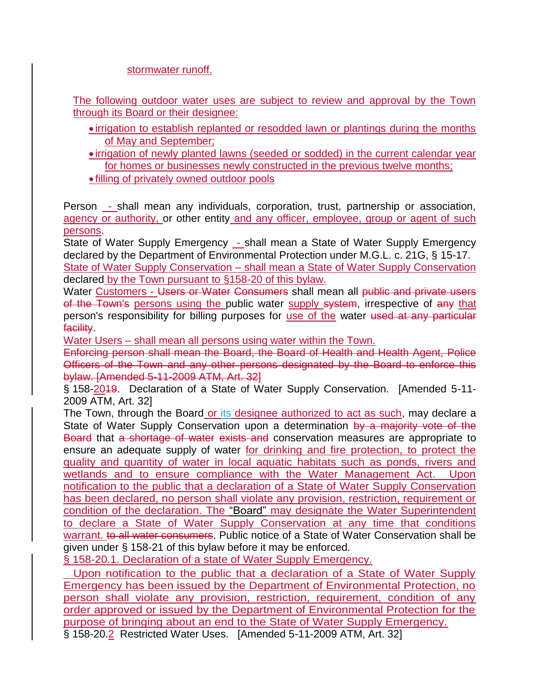stormwater runoff.

The following outdoor water uses are subject to review and approval by the Town through its Board or their designee:

- irrigation to establish replanted or resodded lawn or plantings during the months of May and September;
- $\bullet$  irrigation of newly planted lawns (seeded or sodded) in the current calendar year for homes or businesses newly constructed in the previous twelve months;

filling of privately owned outdoor pools

Person - shall mean any individuals, corporation, trust, partnership or association, agency or authority, or other entity and any officer, employee, group or agent of such persons.

State of Water Supply Emergency - shall mean a State of Water Supply Emergency declared by the Department of Environmental Protection under M.G.L. c. 21G, § 15-17. State of Water Supply Conservation – shall mean a State of Water Supply Conservation declared by the Town pursuant to §158-20 of this bylaw.

Water Customers - Users or Water Consumers shall mean all public and private users of the Town's persons using the public water supply system, irrespective of any that person's responsibility for billing purposes for use of the water used at any particular facility.

Water Users – shall mean all persons using water within the Town.

Enforcing person shall mean the Board, the Board of Health and Health Agent, Police Officers of the Town and any other persons designated by the Board to enforce this bylaw. [Amended 5-11-2009 ATM, Art. 32]

§ 158-2019. Declaration of a State of Water Supply Conservation. [Amended 5-11- 2009 ATM, Art. 32]

The Town, through the Board or its designee authorized to act as such, may declare a State of Water Supply Conservation upon a determination by a majority vote of the Board that a shortage of water exists and conservation measures are appropriate to ensure an adequate supply of water for drinking and fire protection, to protect the quality and quantity of water in local aquatic habitats such as ponds, rivers and wetlands and to ensure compliance with the Water Management Act. Upon notification to the public that a declaration of a State of Water Supply Conservation has been declared, no person shall violate any provision, restriction, requirement or condition of the declaration. The "Board" may designate the Water Superintendent to declare a State of Water Supply Conservation at any time that conditions warrant. to all water consumers. Public notice of a State of Water Conservation shall be given under § 158-21 of this bylaw before it may be enforced.

§ 158-20.1. Declaration of a state of Water Supply Emergency.

 Upon notification to the public that a declaration of a State of Water Supply Emergency has been issued by the Department of Environmental Protection, no person shall violate any provision, restriction, requirement, condition of any order approved or issued by the Department of Environmental Protection for the purpose of bringing about an end to the State of Water Supply Emergency.

§ 158-20.2 Restricted Water Uses. [Amended 5-11-2009 ATM, Art. 32]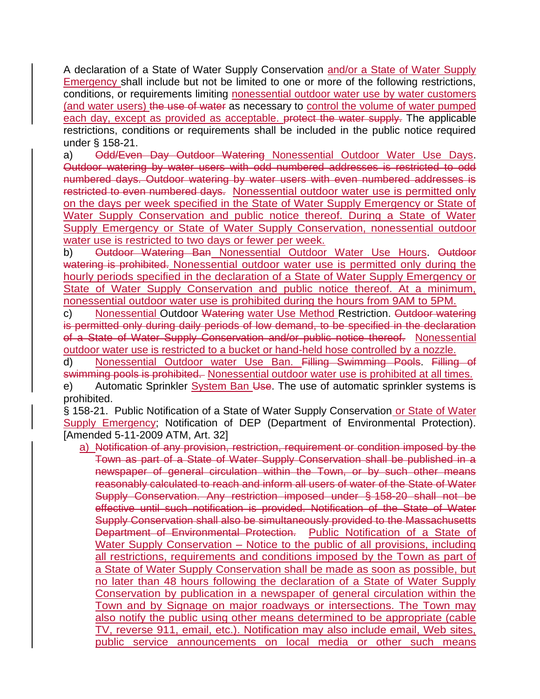A declaration of a State of Water Supply Conservation and/or a State of Water Supply Emergency shall include but not be limited to one or more of the following restrictions, conditions, or requirements limiting nonessential outdoor water use by water customers (and water users) the use of water as necessary to control the volume of water pumped each day, except as provided as acceptable. <del>protect the water supply.</del> The applicable restrictions, conditions or requirements shall be included in the public notice required under § 158-21.

a) Odd/Even Day Outdoor Watering Nonessential Outdoor Water Use Days. Outdoor watering by water users with odd numbered addresses is restricted to odd numbered days. Outdoor watering by water users with even numbered addresses is restricted to even numbered days. Nonessential outdoor water use is permitted only on the days per week specified in the State of Water Supply Emergency or State of Water Supply Conservation and public notice thereof. During a State of Water Supply Emergency or State of Water Supply Conservation, nonessential outdoor water use is restricted to two days or fewer per week.

b) Outdoor Watering Ban Nonessential Outdoor Water Use Hours. Outdoor watering is prohibited. Nonessential outdoor water use is permitted only during the hourly periods specified in the declaration of a State of Water Supply Emergency or State of Water Supply Conservation and public notice thereof. At a minimum, nonessential outdoor water use is prohibited during the hours from 9AM to 5PM.

c) Nonessential Outdoor Watering water Use Method Restriction. Outdoor watering is permitted only during daily periods of low demand, to be specified in the declaration of a State of Water Supply Conservation and/or public notice thereof. Nonessential outdoor water use is restricted to a bucket or hand-held hose controlled by a nozzle.

d) Nonessential Outdoor water Use Ban. Filling Swimming Pools. Filling of swimming pools is prohibited. Nonessential outdoor water use is prohibited at all times.

e) Automatic Sprinkler System Ban Use. The use of automatic sprinkler systems is prohibited.

§ 158-21. Public Notification of a State of Water Supply Conservation or State of Water Supply Emergency; Notification of DEP (Department of Environmental Protection). [Amended 5-11-2009 ATM, Art. 32]

a) Notification of any provision, restriction, requirement or condition imposed by the Town as part of a State of Water Supply Conservation shall be published in a newspaper of general circulation within the Town, or by such other means reasonably calculated to reach and inform all users of water of the State of Water Supply Conservation. Any restriction imposed under § 158-20 shall not be effective until such notification is provided. Notification of the State of Water Supply Conservation shall also be simultaneously provided to the Massachusetts Department of Environmental Protection. Public Notification of a State of Water Supply Conservation – Notice to the public of all provisions, including all restrictions, requirements and conditions imposed by the Town as part of a State of Water Supply Conservation shall be made as soon as possible, but no later than 48 hours following the declaration of a State of Water Supply Conservation by publication in a newspaper of general circulation within the Town and by Signage on major roadways or intersections. The Town may also notify the public using other means determined to be appropriate (cable TV, reverse 911, email, etc.). Notification may also include email, Web sites, public service announcements on local media or other such means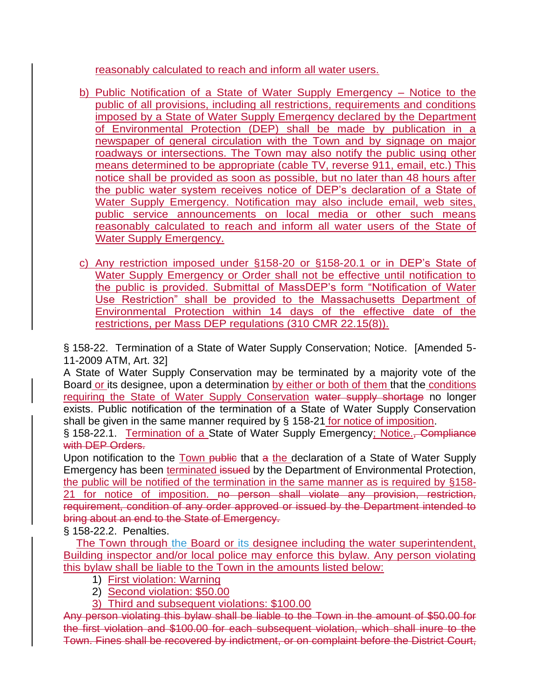reasonably calculated to reach and inform all water users.

- b) Public Notification of a State of Water Supply Emergency Notice to the public of all provisions, including all restrictions, requirements and conditions imposed by a State of Water Supply Emergency declared by the Department of Environmental Protection (DEP) shall be made by publication in a newspaper of general circulation with the Town and by signage on major roadways or intersections. The Town may also notify the public using other means determined to be appropriate (cable TV, reverse 911, email, etc.) This notice shall be provided as soon as possible, but no later than 48 hours after the public water system receives notice of DEP's declaration of a State of Water Supply Emergency. Notification may also include email, web sites, public service announcements on local media or other such means reasonably calculated to reach and inform all water users of the State of Water Supply Emergency.
- c) Any restriction imposed under §158-20 or §158-20.1 or in DEP's State of Water Supply Emergency or Order shall not be effective until notification to the public is provided. Submittal of MassDEP's form "Notification of Water Use Restriction" shall be provided to the Massachusetts Department of Environmental Protection within 14 days of the effective date of the restrictions, per Mass DEP regulations (310 CMR 22.15(8)).

§ 158-22. Termination of a State of Water Supply Conservation; Notice. [Amended 5- 11-2009 ATM, Art. 32]

A State of Water Supply Conservation may be terminated by a majority vote of the Board or its designee, upon a determination by either or both of them that the conditions requiring the State of Water Supply Conservation water supply shortage no longer exists. Public notification of the termination of a State of Water Supply Conservation shall be given in the same manner required by § 158-21 for notice of imposition.

§ 158-22.1. Termination of a State of Water Supply Emergency; Notice., Compliance with DEP Orders.

Upon notification to the Town public that a the declaration of a State of Water Supply Emergency has been terminated issued by the Department of Environmental Protection, the public will be notified of the termination in the same manner as is required by §158- 21 for notice of imposition. no person shall violate any provision, restriction, requirement, condition of any order approved or issued by the Department intended to bring about an end to the State of Emergency.

§ 158-22.2. Penalties.

The Town through the Board or its designee including the water superintendent, Building inspector and/or local police may enforce this bylaw. Any person violating this bylaw shall be liable to the Town in the amounts listed below:

- 1) First violation: Warning
- 2) Second violation: \$50.00
- 3) Third and subsequent violations: \$100.00

Any person violating this bylaw shall be liable to the Town in the amount of \$50.00 for the first violation and \$100.00 for each subsequent violation, which shall inure to the Town. Fines shall be recovered by indictment, or on complaint before the District Court,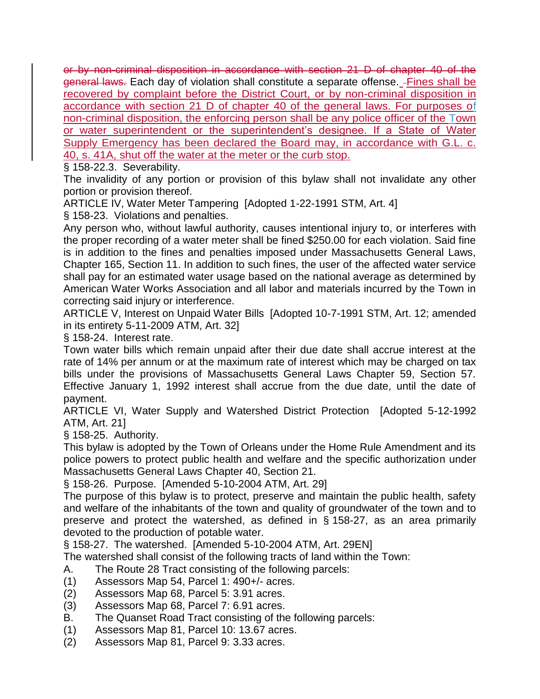or by non-criminal disposition in accordance with section 21 D of chapter 40 of the general laws. Each day of violation shall constitute a separate offense. - Fines shall be recovered by complaint before the District Court, or by non-criminal disposition in accordance with section 21 D of chapter 40 of the general laws. For purposes of non-criminal disposition, the enforcing person shall be any police officer of the Town or water superintendent or the superintendent's designee. If a State of Water Supply Emergency has been declared the Board may, in accordance with G.L. c. 40, s. 41A, shut off the water at the meter or the curb stop.

§ 158-22.3. Severability.

The invalidity of any portion or provision of this bylaw shall not invalidate any other portion or provision thereof.

ARTICLE IV, Water Meter Tampering [Adopted 1-22-1991 STM, Art. 4] § 158-23. Violations and penalties.

Any person who, without lawful authority, causes intentional injury to, or interferes with the proper recording of a water meter shall be fined \$250.00 for each violation. Said fine is in addition to the fines and penalties imposed under Massachusetts General Laws, Chapter 165, Section 11. In addition to such fines, the user of the affected water service shall pay for an estimated water usage based on the national average as determined by American Water Works Association and all labor and materials incurred by the Town in correcting said injury or interference.

ARTICLE V, Interest on Unpaid Water Bills [Adopted 10-7-1991 STM, Art. 12; amended in its entirety 5-11-2009 ATM, Art. 32]

§ 158-24. Interest rate.

Town water bills which remain unpaid after their due date shall accrue interest at the rate of 14% per annum or at the maximum rate of interest which may be charged on tax bills under the provisions of Massachusetts General Laws Chapter 59, Section 57. Effective January 1, 1992 interest shall accrue from the due date, until the date of payment.

ARTICLE VI, Water Supply and Watershed District Protection [Adopted 5-12-1992 ATM, Art. 21]

§ 158-25. Authority.

This bylaw is adopted by the Town of Orleans under the Home Rule Amendment and its police powers to protect public health and welfare and the specific authorization under Massachusetts General Laws Chapter 40, Section 21.

§ 158-26. Purpose. [Amended 5-10-2004 ATM, Art. 29]

The purpose of this bylaw is to protect, preserve and maintain the public health, safety and welfare of the inhabitants of the town and quality of groundwater of the town and to preserve and protect the watershed, as defined in § 158-27, as an area primarily devoted to the production of potable water.

§ 158-27. The watershed. [Amended 5-10-2004 ATM, Art. 29EN]

The watershed shall consist of the following tracts of land within the Town:

- A. The Route 28 Tract consisting of the following parcels:
- (1) Assessors Map 54, Parcel 1: 490+/- acres.
- (2) Assessors Map 68, Parcel 5: 3.91 acres.
- (3) Assessors Map 68, Parcel 7: 6.91 acres.
- B. The Quanset Road Tract consisting of the following parcels:
- (1) Assessors Map 81, Parcel 10: 13.67 acres.
- (2) Assessors Map 81, Parcel 9: 3.33 acres.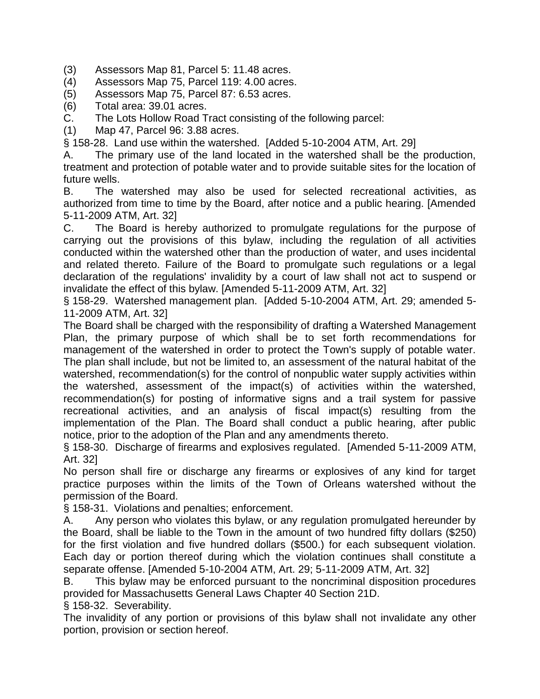- (3) Assessors Map 81, Parcel 5: 11.48 acres.
- (4) Assessors Map 75, Parcel 119: 4.00 acres.
- (5) Assessors Map 75, Parcel 87: 6.53 acres.
- (6) Total area: 39.01 acres.
- C. The Lots Hollow Road Tract consisting of the following parcel:
- (1) Map 47, Parcel 96: 3.88 acres.

§ 158-28. Land use within the watershed. [Added 5-10-2004 ATM, Art. 29]

A. The primary use of the land located in the watershed shall be the production, treatment and protection of potable water and to provide suitable sites for the location of future wells.

B. The watershed may also be used for selected recreational activities, as authorized from time to time by the Board, after notice and a public hearing. [Amended 5-11-2009 ATM, Art. 32]

C. The Board is hereby authorized to promulgate regulations for the purpose of carrying out the provisions of this bylaw, including the regulation of all activities conducted within the watershed other than the production of water, and uses incidental and related thereto. Failure of the Board to promulgate such regulations or a legal declaration of the regulations' invalidity by a court of law shall not act to suspend or invalidate the effect of this bylaw. [Amended 5-11-2009 ATM, Art. 32]

§ 158-29. Watershed management plan. [Added 5-10-2004 ATM, Art. 29; amended 5- 11-2009 ATM, Art. 32]

The Board shall be charged with the responsibility of drafting a Watershed Management Plan, the primary purpose of which shall be to set forth recommendations for management of the watershed in order to protect the Town's supply of potable water. The plan shall include, but not be limited to, an assessment of the natural habitat of the watershed, recommendation(s) for the control of nonpublic water supply activities within the watershed, assessment of the impact(s) of activities within the watershed, recommendation(s) for posting of informative signs and a trail system for passive recreational activities, and an analysis of fiscal impact(s) resulting from the implementation of the Plan. The Board shall conduct a public hearing, after public notice, prior to the adoption of the Plan and any amendments thereto.

§ 158-30. Discharge of firearms and explosives regulated. [Amended 5-11-2009 ATM, Art. 32]

No person shall fire or discharge any firearms or explosives of any kind for target practice purposes within the limits of the Town of Orleans watershed without the permission of the Board.

§ 158-31. Violations and penalties; enforcement.

A. Any person who violates this bylaw, or any regulation promulgated hereunder by the Board, shall be liable to the Town in the amount of two hundred fifty dollars (\$250) for the first violation and five hundred dollars (\$500.) for each subsequent violation. Each day or portion thereof during which the violation continues shall constitute a separate offense. [Amended 5-10-2004 ATM, Art. 29; 5-11-2009 ATM, Art. 32]

B. This bylaw may be enforced pursuant to the noncriminal disposition procedures provided for Massachusetts General Laws Chapter 40 Section 21D.

§ 158-32. Severability.

The invalidity of any portion or provisions of this bylaw shall not invalidate any other portion, provision or section hereof.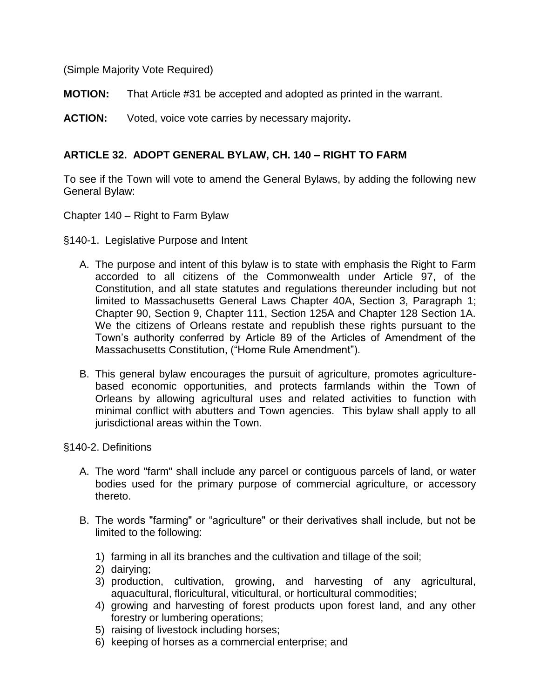(Simple Majority Vote Required)

**MOTION:** That Article #31 be accepted and adopted as printed in the warrant.

**ACTION:** Voted, voice vote carries by necessary majority**.**

### **ARTICLE 32. ADOPT GENERAL BYLAW, CH. 140 – RIGHT TO FARM**

To see if the Town will vote to amend the General Bylaws, by adding the following new General Bylaw:

Chapter 140 – Right to Farm Bylaw

- §140-1. Legislative Purpose and Intent
	- A. The purpose and intent of this bylaw is to state with emphasis the Right to Farm accorded to all citizens of the Commonwealth under Article 97, of the Constitution, and all state statutes and regulations thereunder including but not limited to Massachusetts General Laws Chapter 40A, Section 3, Paragraph 1; Chapter 90, Section 9, Chapter 111, Section 125A and Chapter 128 Section 1A. We the citizens of Orleans restate and republish these rights pursuant to the Town's authority conferred by Article 89 of the Articles of Amendment of the Massachusetts Constitution, ("Home Rule Amendment").
	- B. This general bylaw encourages the pursuit of agriculture, promotes agriculturebased economic opportunities, and protects farmlands within the Town of Orleans by allowing agricultural uses and related activities to function with minimal conflict with abutters and Town agencies. This bylaw shall apply to all jurisdictional areas within the Town.

#### §140-2. Definitions

- A. The word "farm" shall include any parcel or contiguous parcels of land, or water bodies used for the primary purpose of commercial agriculture, or accessory thereto.
- B. The words "farming" or "agriculture" or their derivatives shall include, but not be limited to the following:
	- 1) farming in all its branches and the cultivation and tillage of the soil;
	- 2) dairying;
	- 3) production, cultivation, growing, and harvesting of any agricultural, aquacultural, floricultural, viticultural, or horticultural commodities;
	- 4) growing and harvesting of forest products upon forest land, and any other forestry or lumbering operations;
	- 5) raising of livestock including horses;
	- 6) keeping of horses as a commercial enterprise; and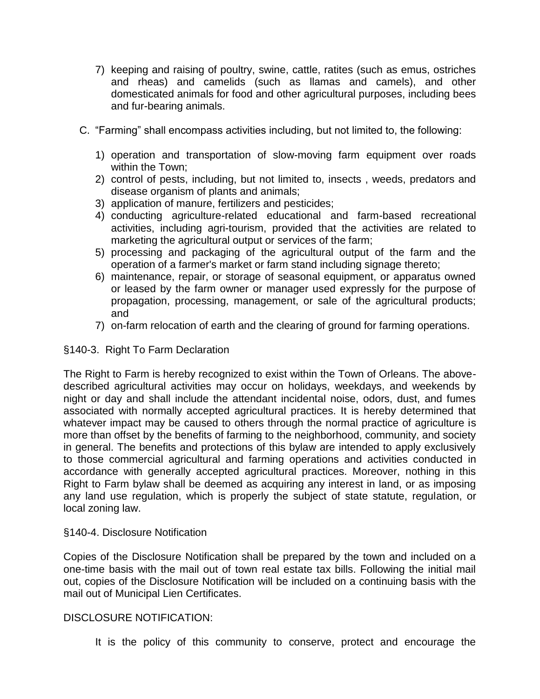- 7) keeping and raising of poultry, swine, cattle, ratites (such as emus, ostriches and rheas) and camelids (such as llamas and camels), and other domesticated animals for food and other agricultural purposes, including bees and fur-bearing animals.
- C. "Farming" shall encompass activities including, but not limited to, the following:
	- 1) operation and transportation of slow-moving farm equipment over roads within the Town;
	- 2) control of pests, including, but not limited to, insects , weeds, predators and disease organism of plants and animals;
	- 3) application of manure, fertilizers and pesticides;
	- 4) conducting agriculture-related educational and farm-based recreational activities, including agri-tourism, provided that the activities are related to marketing the agricultural output or services of the farm;
	- 5) processing and packaging of the agricultural output of the farm and the operation of a farmer's market or farm stand including signage thereto;
	- 6) maintenance, repair, or storage of seasonal equipment, or apparatus owned or leased by the farm owner or manager used expressly for the purpose of propagation, processing, management, or sale of the agricultural products; and
	- 7) on-farm relocation of earth and the clearing of ground for farming operations.

#### §140-3. Right To Farm Declaration

The Right to Farm is hereby recognized to exist within the Town of Orleans. The abovedescribed agricultural activities may occur on holidays, weekdays, and weekends by night or day and shall include the attendant incidental noise, odors, dust, and fumes associated with normally accepted agricultural practices. It is hereby determined that whatever impact may be caused to others through the normal practice of agriculture is more than offset by the benefits of farming to the neighborhood, community, and society in general. The benefits and protections of this bylaw are intended to apply exclusively to those commercial agricultural and farming operations and activities conducted in accordance with generally accepted agricultural practices. Moreover, nothing in this Right to Farm bylaw shall be deemed as acquiring any interest in land, or as imposing any land use regulation, which is properly the subject of state statute, regulation, or local zoning law.

#### §140-4. Disclosure Notification

Copies of the Disclosure Notification shall be prepared by the town and included on a one-time basis with the mail out of town real estate tax bills. Following the initial mail out, copies of the Disclosure Notification will be included on a continuing basis with the mail out of Municipal Lien Certificates.

#### DISCLOSURE NOTIFICATION:

It is the policy of this community to conserve, protect and encourage the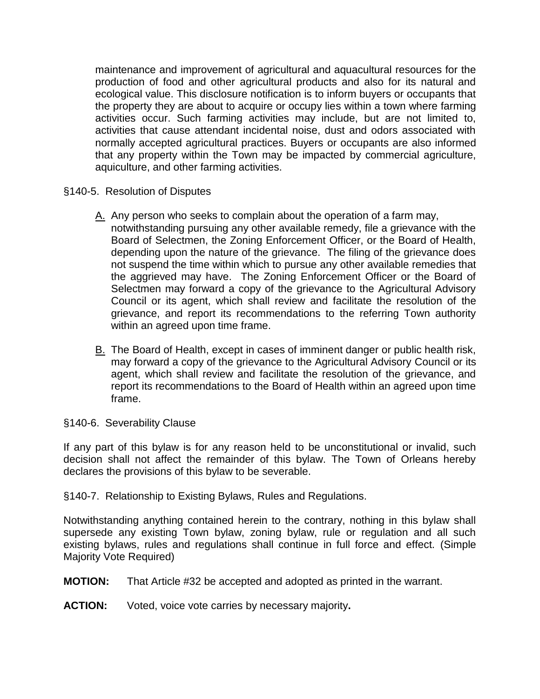maintenance and improvement of agricultural and aquacultural resources for the production of food and other agricultural products and also for its natural and ecological value. This disclosure notification is to inform buyers or occupants that the property they are about to acquire or occupy lies within a town where farming activities occur. Such farming activities may include, but are not limited to, activities that cause attendant incidental noise, dust and odors associated with normally accepted agricultural practices. Buyers or occupants are also informed that any property within the Town may be impacted by commercial agriculture, aquiculture, and other farming activities.

- §140-5. Resolution of Disputes
	- A. Any person who seeks to complain about the operation of a farm may, notwithstanding pursuing any other available remedy, file a grievance with the Board of Selectmen, the Zoning Enforcement Officer, or the Board of Health, depending upon the nature of the grievance. The filing of the grievance does not suspend the time within which to pursue any other available remedies that the aggrieved may have. The Zoning Enforcement Officer or the Board of Selectmen may forward a copy of the grievance to the Agricultural Advisory Council or its agent, which shall review and facilitate the resolution of the grievance, and report its recommendations to the referring Town authority within an agreed upon time frame.
	- B. The Board of Health, except in cases of imminent danger or public health risk, may forward a copy of the grievance to the Agricultural Advisory Council or its agent, which shall review and facilitate the resolution of the grievance, and report its recommendations to the Board of Health within an agreed upon time frame.
- §140-6. Severability Clause

If any part of this bylaw is for any reason held to be unconstitutional or invalid, such decision shall not affect the remainder of this bylaw. The Town of Orleans hereby declares the provisions of this bylaw to be severable.

§140-7. Relationship to Existing Bylaws, Rules and Regulations.

Notwithstanding anything contained herein to the contrary, nothing in this bylaw shall supersede any existing Town bylaw, zoning bylaw, rule or regulation and all such existing bylaws, rules and regulations shall continue in full force and effect. (Simple Majority Vote Required)

- **MOTION:** That Article #32 be accepted and adopted as printed in the warrant.
- **ACTION:** Voted, voice vote carries by necessary majority**.**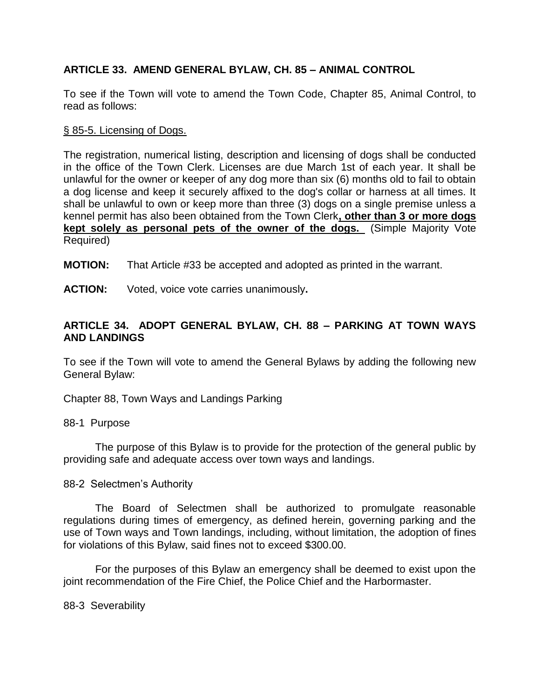### **ARTICLE 33. AMEND GENERAL BYLAW, CH. 85 – ANIMAL CONTROL**

To see if the Town will vote to amend the Town Code, Chapter 85, Animal Control, to read as follows:

#### [§ 85-5. Licensing of Dogs.](http://www.ecode360.com/14198514#14198519)

The registration, numerical listing, description and licensing of dogs shall be conducted in the office of the Town Clerk. Licenses are due March 1st of each year. It shall be unlawful for the owner or keeper of any dog more than six (6) months old to fail to obtain a dog license and keep it securely affixed to the dog's collar or harness at all times. It shall be unlawful to own or keep more than three (3) dogs on a single premise unless a kennel permit has also been obtained from the Town Clerk**, other than 3 or more dogs kept solely as personal pets of the owner of the dogs.** (Simple Majority Vote Required)

**MOTION:** That Article #33 be accepted and adopted as printed in the warrant.

**ACTION:** Voted, voice vote carries unanimously**.**

### **ARTICLE 34. ADOPT GENERAL BYLAW, CH. 88 – PARKING AT TOWN WAYS AND LANDINGS**

To see if the Town will vote to amend the General Bylaws by adding the following new General Bylaw:

Chapter 88, Town Ways and Landings Parking

88-1 Purpose

The purpose of this Bylaw is to provide for the protection of the general public by providing safe and adequate access over town ways and landings.

#### 88-2 Selectmen's Authority

The Board of Selectmen shall be authorized to promulgate reasonable regulations during times of emergency, as defined herein, governing parking and the use of Town ways and Town landings, including, without limitation, the adoption of fines for violations of this Bylaw, said fines not to exceed \$300.00.

For the purposes of this Bylaw an emergency shall be deemed to exist upon the joint recommendation of the Fire Chief, the Police Chief and the Harbormaster.

88-3 Severability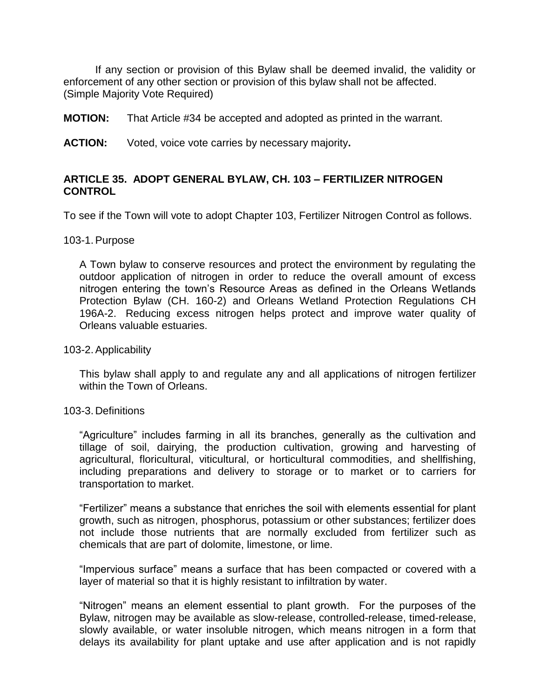If any section or provision of this Bylaw shall be deemed invalid, the validity or enforcement of any other section or provision of this bylaw shall not be affected. (Simple Majority Vote Required)

**MOTION:** That Article #34 be accepted and adopted as printed in the warrant.

**ACTION:** Voted, voice vote carries by necessary majority**.**

### **ARTICLE 35. ADOPT GENERAL BYLAW, CH. 103 – FERTILIZER NITROGEN CONTROL**

To see if the Town will vote to adopt Chapter 103, Fertilizer Nitrogen Control as follows.

#### 103-1.Purpose

A Town bylaw to conserve resources and protect the environment by regulating the outdoor application of nitrogen in order to reduce the overall amount of excess nitrogen entering the town's Resource Areas as defined in the Orleans Wetlands Protection Bylaw (CH. 160-2) and Orleans Wetland Protection Regulations CH 196A-2. Reducing excess nitrogen helps protect and improve water quality of Orleans valuable estuaries.

#### 103-2.Applicability

This bylaw shall apply to and regulate any and all applications of nitrogen fertilizer within the Town of Orleans.

#### 103-3. Definitions

"Agriculture" includes farming in all its branches, generally as the cultivation and tillage of soil, dairying, the production cultivation, growing and harvesting of agricultural, floricultural, viticultural, or horticultural commodities, and shellfishing, including preparations and delivery to storage or to market or to carriers for transportation to market.

"Fertilizer" means a substance that enriches the soil with elements essential for plant growth, such as nitrogen, phosphorus, potassium or other substances; fertilizer does not include those nutrients that are normally excluded from fertilizer such as chemicals that are part of dolomite, limestone, or lime.

"Impervious surface" means a surface that has been compacted or covered with a layer of material so that it is highly resistant to infiltration by water.

"Nitrogen" means an element essential to plant growth. For the purposes of the Bylaw, nitrogen may be available as slow-release, controlled-release, timed-release, slowly available, or water insoluble nitrogen, which means nitrogen in a form that delays its availability for plant uptake and use after application and is not rapidly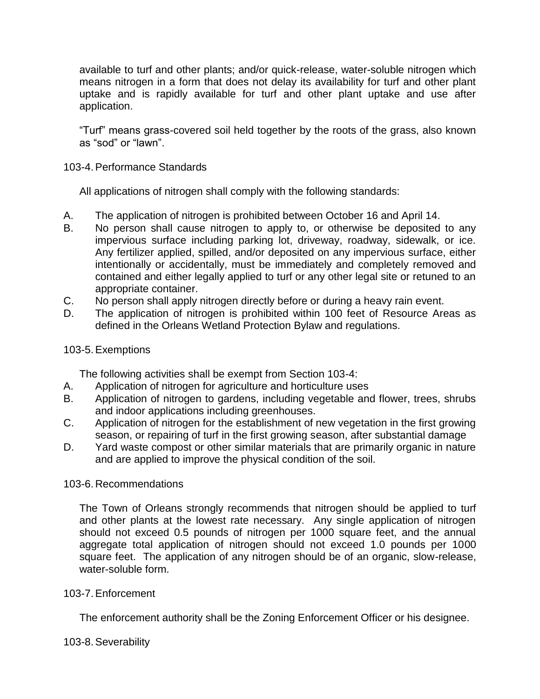available to turf and other plants; and/or quick-release, water-soluble nitrogen which means nitrogen in a form that does not delay its availability for turf and other plant uptake and is rapidly available for turf and other plant uptake and use after application.

"Turf" means grass-covered soil held together by the roots of the grass, also known as "sod" or "lawn".

#### 103-4.Performance Standards

All applications of nitrogen shall comply with the following standards:

- A. The application of nitrogen is prohibited between October 16 and April 14.
- B. No person shall cause nitrogen to apply to, or otherwise be deposited to any impervious surface including parking lot, driveway, roadway, sidewalk, or ice. Any fertilizer applied, spilled, and/or deposited on any impervious surface, either intentionally or accidentally, must be immediately and completely removed and contained and either legally applied to turf or any other legal site or retuned to an appropriate container.
- C. No person shall apply nitrogen directly before or during a heavy rain event.
- D. The application of nitrogen is prohibited within 100 feet of Resource Areas as defined in the Orleans Wetland Protection Bylaw and regulations.

#### 103-5.Exemptions

The following activities shall be exempt from Section 103-4:

- A. Application of nitrogen for agriculture and horticulture uses
- B. Application of nitrogen to gardens, including vegetable and flower, trees, shrubs and indoor applications including greenhouses.
- C. Application of nitrogen for the establishment of new vegetation in the first growing season, or repairing of turf in the first growing season, after substantial damage
- D. Yard waste compost or other similar materials that are primarily organic in nature and are applied to improve the physical condition of the soil.

#### 103-6. Recommendations

The Town of Orleans strongly recommends that nitrogen should be applied to turf and other plants at the lowest rate necessary. Any single application of nitrogen should not exceed 0.5 pounds of nitrogen per 1000 square feet, and the annual aggregate total application of nitrogen should not exceed 1.0 pounds per 1000 square feet. The application of any nitrogen should be of an organic, slow-release, water-soluble form.

#### 103-7.Enforcement

The enforcement authority shall be the Zoning Enforcement Officer or his designee.

#### 103-8.Severability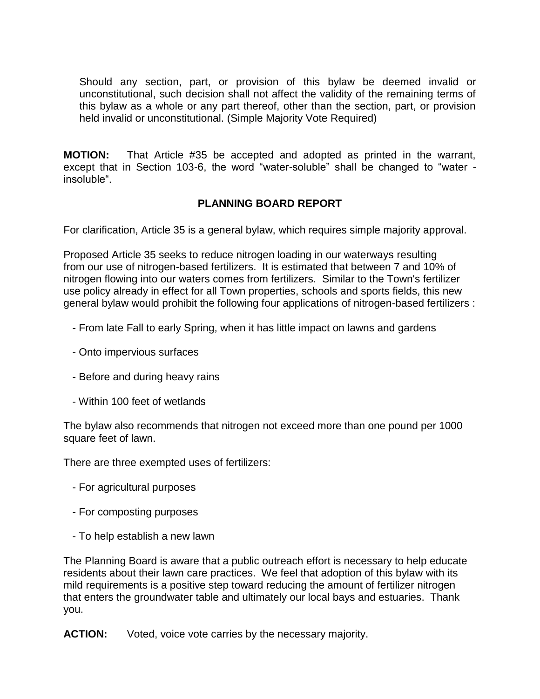Should any section, part, or provision of this bylaw be deemed invalid or unconstitutional, such decision shall not affect the validity of the remaining terms of this bylaw as a whole or any part thereof, other than the section, part, or provision held invalid or unconstitutional. (Simple Majority Vote Required)

**MOTION:** That Article #35 be accepted and adopted as printed in the warrant, except that in Section 103-6, the word "water-soluble" shall be changed to "water insoluble".

### **PLANNING BOARD REPORT**

For clarification, Article 35 is a general bylaw, which requires simple majority approval.

Proposed Article 35 seeks to reduce nitrogen loading in our waterways resulting from our use of nitrogen-based fertilizers. It is estimated that between 7 and 10% of nitrogen flowing into our waters comes from fertilizers. Similar to the Town's fertilizer use policy already in effect for all Town properties, schools and sports fields, this new general bylaw would prohibit the following four applications of nitrogen-based fertilizers :

- From late Fall to early Spring, when it has little impact on lawns and gardens
- Onto impervious surfaces
- Before and during heavy rains
- Within 100 feet of wetlands

The bylaw also recommends that nitrogen not exceed more than one pound per 1000 square feet of lawn.

There are three exempted uses of fertilizers:

- For agricultural purposes
- For composting purposes
- To help establish a new lawn

The Planning Board is aware that a public outreach effort is necessary to help educate residents about their lawn care practices. We feel that adoption of this bylaw with its mild requirements is a positive step toward reducing the amount of fertilizer nitrogen that enters the groundwater table and ultimately our local bays and estuaries. Thank you.

**ACTION:** Voted, voice vote carries by the necessary majority.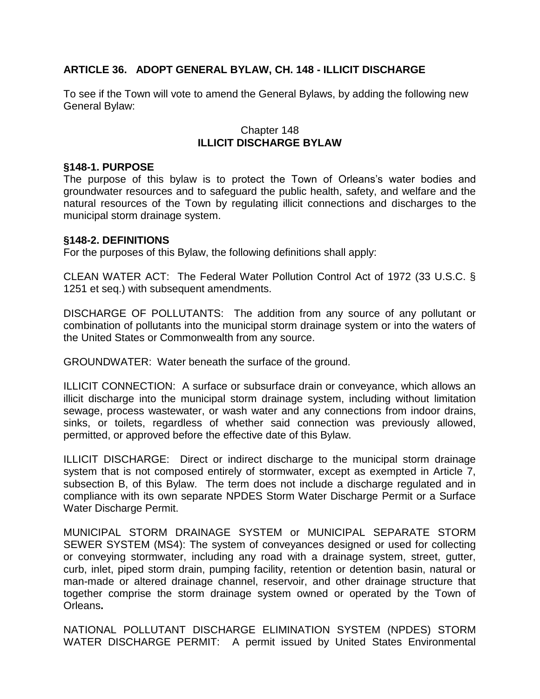### **ARTICLE 36. ADOPT GENERAL BYLAW, CH. 148 - ILLICIT DISCHARGE**

To see if the Town will vote to amend the General Bylaws, by adding the following new General Bylaw:

#### Chapter 148 **ILLICIT DISCHARGE BYLAW**

#### **§148-1. PURPOSE**

The purpose of this bylaw is to protect the Town of Orleans's water bodies and groundwater resources and to safeguard the public health, safety, and welfare and the natural resources of the Town by regulating illicit connections and discharges to the municipal storm drainage system.

#### **§148-2. DEFINITIONS**

For the purposes of this Bylaw, the following definitions shall apply:

CLEAN WATER ACT: The Federal Water Pollution Control Act of 1972 (33 U.S.C. § 1251 et seq.) with subsequent amendments.

DISCHARGE OF POLLUTANTS: The addition from any source of any pollutant or combination of pollutants into the municipal storm drainage system or into the waters of the United States or Commonwealth from any source.

GROUNDWATER: Water beneath the surface of the ground.

ILLICIT CONNECTION: A surface or subsurface drain or conveyance, which allows an illicit discharge into the municipal storm drainage system, including without limitation sewage, process wastewater, or wash water and any connections from indoor drains, sinks, or toilets, regardless of whether said connection was previously allowed, permitted, or approved before the effective date of this Bylaw.

ILLICIT DISCHARGE: Direct or indirect discharge to the municipal storm drainage system that is not composed entirely of stormwater, except as exempted in Article 7, subsection B, of this Bylaw. The term does not include a discharge regulated and in compliance with its own separate NPDES Storm Water Discharge Permit or a Surface Water Discharge Permit.

MUNICIPAL STORM DRAINAGE SYSTEM or MUNICIPAL SEPARATE STORM SEWER SYSTEM (MS4): The system of conveyances designed or used for collecting or conveying stormwater, including any road with a drainage system, street, gutter, curb, inlet, piped storm drain, pumping facility, retention or detention basin, natural or man-made or altered drainage channel, reservoir, and other drainage structure that together comprise the storm drainage system owned or operated by the Town of Orleans**.** 

NATIONAL POLLUTANT DISCHARGE ELIMINATION SYSTEM (NPDES) STORM WATER DISCHARGE PERMIT: A permit issued by United States Environmental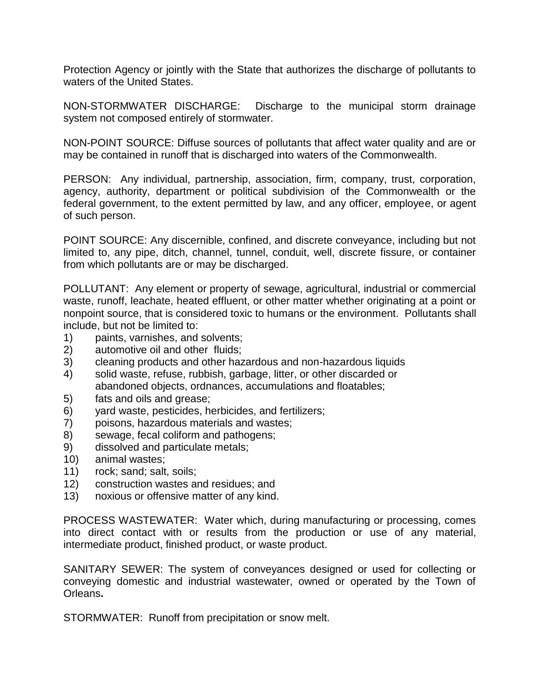Protection Agency or jointly with the State that authorizes the discharge of pollutants to waters of the United States.

NON-STORMWATER DISCHARGE: Discharge to the municipal storm drainage system not composed entirely of stormwater.

NON-POINT SOURCE: Diffuse sources of pollutants that affect water quality and are or may be contained in runoff that is discharged into waters of the Commonwealth.

PERSON: Any individual, partnership, association, firm, company, trust, corporation, agency, authority, department or political subdivision of the Commonwealth or the federal government, to the extent permitted by law, and any officer, employee, or agent of such person.

POINT SOURCE: Any discernible, confined, and discrete conveyance, including but not limited to, any pipe, ditch, channel, tunnel, conduit, well, discrete fissure, or container from which pollutants are or may be discharged.

POLLUTANT: Any element or property of sewage, agricultural, industrial or commercial waste, runoff, leachate, heated effluent, or other matter whether originating at a point or nonpoint source, that is considered toxic to humans or the environment. Pollutants shall include, but not be limited to:

- 1) paints, varnishes, and solvents;
- 2) automotive oil and other fluids;
- 3) cleaning products and other hazardous and non-hazardous liquids
- 4) solid waste, refuse, rubbish, garbage, litter, or other discarded or abandoned objects, ordnances, accumulations and floatables;
- 5) fats and oils and grease;
- 6) yard waste, pesticides, herbicides, and fertilizers;
- 7) poisons, hazardous materials and wastes;
- 8) sewage, fecal coliform and pathogens;
- 9) dissolved and particulate metals;
- 10) animal wastes;
- 11) rock; sand; salt, soils;
- 12) construction wastes and residues; and
- 13) noxious or offensive matter of any kind.

PROCESS WASTEWATER: Water which, during manufacturing or processing, comes into direct contact with or results from the production or use of any material, intermediate product, finished product, or waste product.

SANITARY SEWER: The system of conveyances designed or used for collecting or conveying domestic and industrial wastewater, owned or operated by the Town of Orleans**.**

STORMWATER: Runoff from precipitation or snow melt.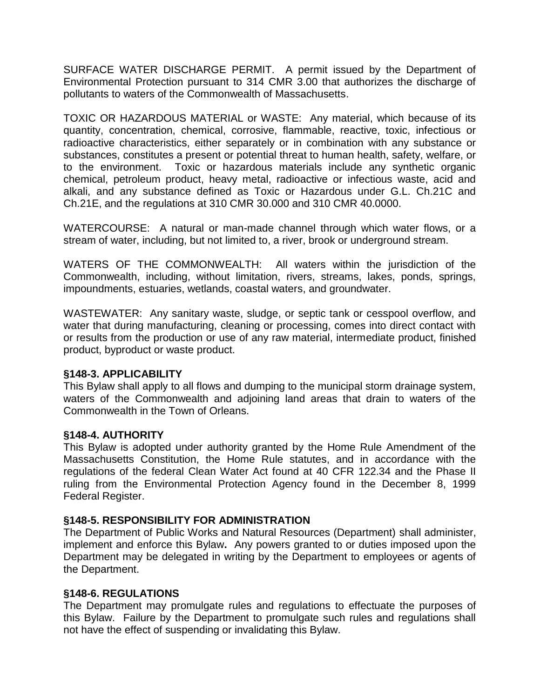SURFACE WATER DISCHARGE PERMIT. A permit issued by the Department of Environmental Protection pursuant to 314 CMR 3.00 that authorizes the discharge of pollutants to waters of the Commonwealth of Massachusetts.

TOXIC OR HAZARDOUS MATERIAL or WASTE: Any material, which because of its quantity, concentration, chemical, corrosive, flammable, reactive, toxic, infectious or radioactive characteristics, either separately or in combination with any substance or substances, constitutes a present or potential threat to human health, safety, welfare, or to the environment. Toxic or hazardous materials include any synthetic organic chemical, petroleum product, heavy metal, radioactive or infectious waste, acid and alkali, and any substance defined as Toxic or Hazardous under G.L. Ch.21C and Ch.21E, and the regulations at 310 CMR 30.000 and 310 CMR 40.0000.

WATERCOURSE: A natural or man-made channel through which water flows, or a stream of water, including, but not limited to, a river, brook or underground stream.

WATERS OF THE COMMONWEALTH: All waters within the jurisdiction of the Commonwealth, including, without limitation, rivers, streams, lakes, ponds, springs, impoundments, estuaries, wetlands, coastal waters, and groundwater.

WASTEWATER: Any sanitary waste, sludge, or septic tank or cesspool overflow, and water that during manufacturing, cleaning or processing, comes into direct contact with or results from the production or use of any raw material, intermediate product, finished product, byproduct or waste product.

#### **§148-3. APPLICABILITY**

This Bylaw shall apply to all flows and dumping to the municipal storm drainage system, waters of the Commonwealth and adjoining land areas that drain to waters of the Commonwealth in the Town of Orleans.

#### **§148-4. AUTHORITY**

This Bylaw is adopted under authority granted by the Home Rule Amendment of the Massachusetts Constitution, the Home Rule statutes, and in accordance with the regulations of the federal Clean Water Act found at 40 CFR 122.34 and the Phase II ruling from the Environmental Protection Agency found in the December 8, 1999 Federal Register.

#### **§148-5. RESPONSIBILITY FOR ADMINISTRATION**

The Department of Public Works and Natural Resources (Department) shall administer, implement and enforce this Bylaw**.** Any powers granted to or duties imposed upon the Department may be delegated in writing by the Department to employees or agents of the Department.

#### **§148-6. REGULATIONS**

The Department may promulgate rules and regulations to effectuate the purposes of this Bylaw. Failure by the Department to promulgate such rules and regulations shall not have the effect of suspending or invalidating this Bylaw.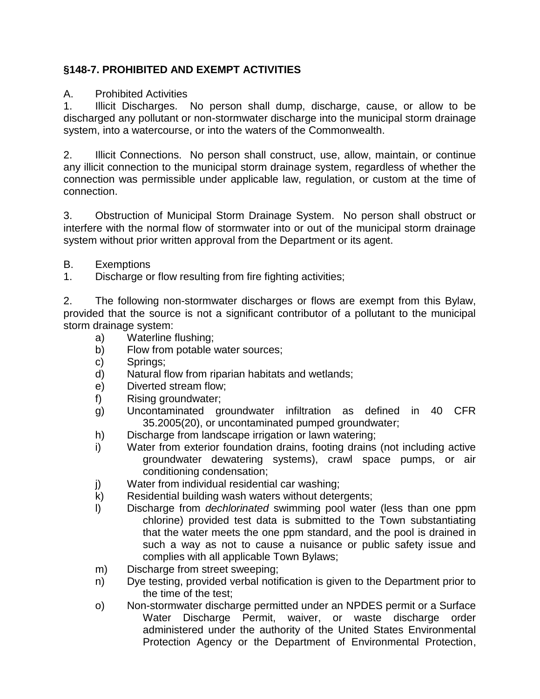# **§148-7. PROHIBITED AND EXEMPT ACTIVITIES**

#### A. Prohibited Activities

1. Illicit Discharges. No person shall dump, discharge, cause, or allow to be discharged any pollutant or non-stormwater discharge into the municipal storm drainage system, into a watercourse, or into the waters of the Commonwealth.

2. Illicit Connections. No person shall construct, use, allow, maintain, or continue any illicit connection to the municipal storm drainage system, regardless of whether the connection was permissible under applicable law, regulation, or custom at the time of connection.

3. Obstruction of Municipal Storm Drainage System. No person shall obstruct or interfere with the normal flow of stormwater into or out of the municipal storm drainage system without prior written approval from the Department or its agent.

- B. Exemptions
- 1. Discharge or flow resulting from fire fighting activities;

2. The following non-stormwater discharges or flows are exempt from this Bylaw, provided that the source is not a significant contributor of a pollutant to the municipal storm drainage system:

- a) Waterline flushing;
- b) Flow from potable water sources;
- c) Springs;
- d) Natural flow from riparian habitats and wetlands;
- e) Diverted stream flow;
- f) Rising groundwater;
- g) Uncontaminated groundwater infiltration as defined in 40 CFR 35.2005(20), or uncontaminated pumped groundwater;
- h) Discharge from landscape irrigation or lawn watering;
- i) Water from exterior foundation drains, footing drains (not including active groundwater dewatering systems), crawl space pumps, or air conditioning condensation;
- j) Water from individual residential car washing;
- k) Residential building wash waters without detergents;
- l) Discharge from *dechlorinated* swimming pool water (less than one ppm chlorine) provided test data is submitted to the Town substantiating that the water meets the one ppm standard, and the pool is drained in such a way as not to cause a nuisance or public safety issue and complies with all applicable Town Bylaws;
- m) Discharge from street sweeping;
- n) Dye testing, provided verbal notification is given to the Department prior to the time of the test;
- o) Non-stormwater discharge permitted under an NPDES permit or a Surface Water Discharge Permit, waiver, or waste discharge order administered under the authority of the United States Environmental Protection Agency or the Department of Environmental Protection,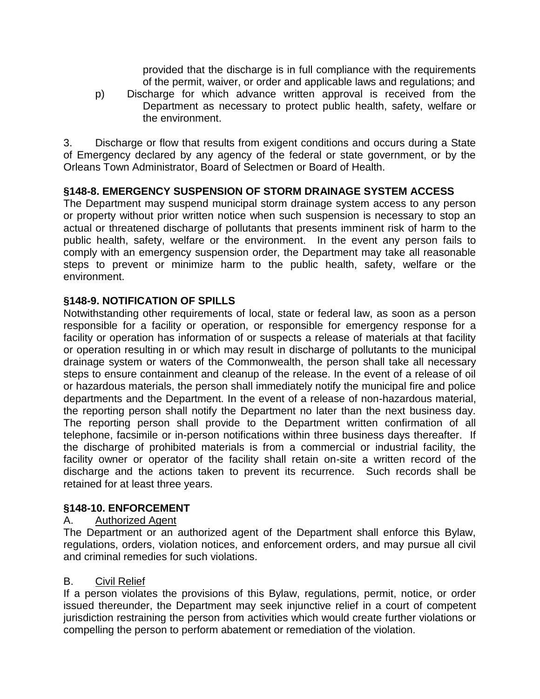provided that the discharge is in full compliance with the requirements of the permit, waiver, or order and applicable laws and regulations; and

p) Discharge for which advance written approval is received from the Department as necessary to protect public health, safety, welfare or the environment.

3. Discharge or flow that results from exigent conditions and occurs during a State of Emergency declared by any agency of the federal or state government, or by the Orleans Town Administrator, Board of Selectmen or Board of Health.

# **§148-8. EMERGENCY SUSPENSION OF STORM DRAINAGE SYSTEM ACCESS**

The Department may suspend municipal storm drainage system access to any person or property without prior written notice when such suspension is necessary to stop an actual or threatened discharge of pollutants that presents imminent risk of harm to the public health, safety, welfare or the environment.In the event any person fails to comply with an emergency suspension order, the Department may take all reasonable steps to prevent or minimize harm to the public health, safety, welfare or the environment.

# **§148-9. NOTIFICATION OF SPILLS**

Notwithstanding other requirements of local, state or federal law, as soon as a person responsible for a facility or operation, or responsible for emergency response for a facility or operation has information of or suspects a release of materials at that facility or operation resulting in or which may result in discharge of pollutants to the municipal drainage system or waters of the Commonwealth, the person shall take all necessary steps to ensure containment and cleanup of the release. In the event of a release of oil or hazardous materials, the person shall immediately notify the municipal fire and police departments and the Department. In the event of a release of non-hazardous material, the reporting person shall notify the Department no later than the next business day. The reporting person shall provide to the Department written confirmation of all telephone, facsimile or in-person notifications within three business days thereafter. If the discharge of prohibited materials is from a commercial or industrial facility, the facility owner or operator of the facility shall retain on-site a written record of the discharge and the actions taken to prevent its recurrence. Such records shall be retained for at least three years.

### **§148-10. ENFORCEMENT**

### A. Authorized Agent

The Department or an authorized agent of the Department shall enforce this Bylaw, regulations, orders, violation notices, and enforcement orders, and may pursue all civil and criminal remedies for such violations.

#### B. Civil Relief

If a person violates the provisions of this Bylaw, regulations, permit, notice, or order issued thereunder, the Department may seek injunctive relief in a court of competent jurisdiction restraining the person from activities which would create further violations or compelling the person to perform abatement or remediation of the violation.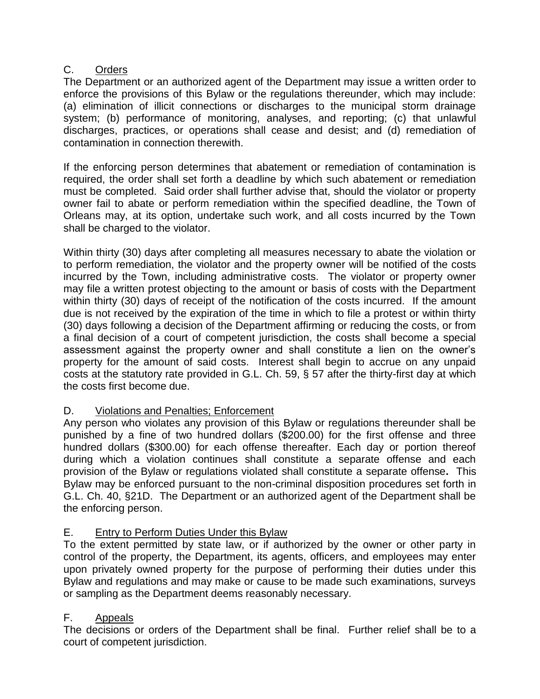### C. Orders

The Department or an authorized agent of the Department may issue a written order to enforce the provisions of this Bylaw or the regulations thereunder, which may include: (a) elimination of illicit connections or discharges to the municipal storm drainage system; (b) performance of monitoring, analyses, and reporting; (c) that unlawful discharges, practices, or operations shall cease and desist; and (d) remediation of contamination in connection therewith.

If the enforcing person determines that abatement or remediation of contamination is required, the order shall set forth a deadline by which such abatement or remediation must be completed. Said order shall further advise that, should the violator or property owner fail to abate or perform remediation within the specified deadline, the Town of Orleans may, at its option, undertake such work, and all costs incurred by the Town shall be charged to the violator.

Within thirty (30) days after completing all measures necessary to abate the violation or to perform remediation, the violator and the property owner will be notified of the costs incurred by the Town, including administrative costs. The violator or property owner may file a written protest objecting to the amount or basis of costs with the Department within thirty (30) days of receipt of the notification of the costs incurred. If the amount due is not received by the expiration of the time in which to file a protest or within thirty (30) days following a decision of the Department affirming or reducing the costs, or from a final decision of a court of competent jurisdiction, the costs shall become a special assessment against the property owner and shall constitute a lien on the owner's property for the amount of said costs. Interest shall begin to accrue on any unpaid costs at the statutory rate provided in G.L. Ch. 59, § 57 after the thirty-first day at which the costs first become due.

### D. Violations and Penalties; Enforcement

Any person who violates any provision of this Bylaw or regulations thereunder shall be punished by a fine of two hundred dollars (\$200.00) for the first offense and three hundred dollars (\$300.00) for each offense thereafter. Each day or portion thereof during which a violation continues shall constitute a separate offense and each provision of the Bylaw or regulations violated shall constitute a separate offense**.** This Bylaw may be enforced pursuant to the non-criminal disposition procedures set forth in G.L. Ch. 40, §21D. The Department or an authorized agent of the Department shall be the enforcing person.

### E. Entry to Perform Duties Under this Bylaw

To the extent permitted by state law, or if authorized by the owner or other party in control of the property, the Department, its agents, officers, and employees may enter upon privately owned property for the purpose of performing their duties under this Bylaw and regulations and may make or cause to be made such examinations, surveys or sampling as the Department deems reasonably necessary.

### F. Appeals

The decisions or orders of the Department shall be final. Further relief shall be to a court of competent jurisdiction.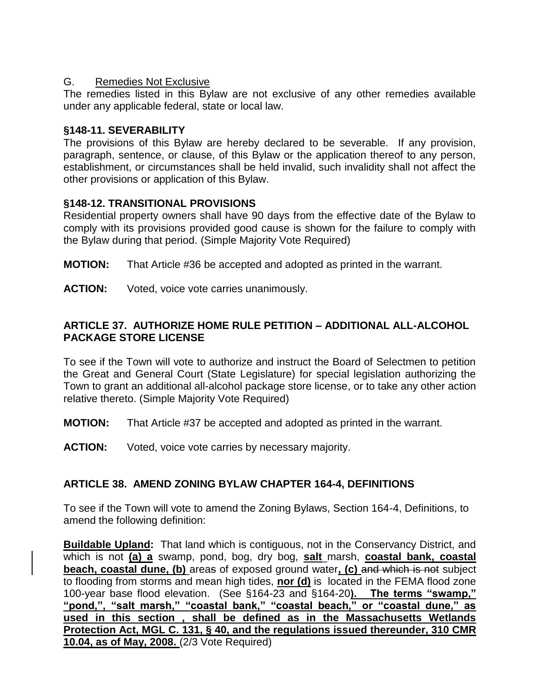### G. Remedies Not Exclusive

The remedies listed in this Bylaw are not exclusive of any other remedies available under any applicable federal, state or local law.

### **§148-11. SEVERABILITY**

The provisions of this Bylaw are hereby declared to be severable. If any provision, paragraph, sentence, or clause, of this Bylaw or the application thereof to any person, establishment, or circumstances shall be held invalid, such invalidity shall not affect the other provisions or application of this Bylaw.

### **§148-12. TRANSITIONAL PROVISIONS**

Residential property owners shall have 90 days from the effective date of the Bylaw to comply with its provisions provided good cause is shown for the failure to comply with the Bylaw during that period. (Simple Majority Vote Required)

- **MOTION:** That Article #36 be accepted and adopted as printed in the warrant.
- **ACTION:** Voted, voice vote carries unanimously.

# **ARTICLE 37. AUTHORIZE HOME RULE PETITION – ADDITIONAL ALL-ALCOHOL PACKAGE STORE LICENSE**

To see if the Town will vote to authorize and instruct the Board of Selectmen to petition the Great and General Court (State Legislature) for special legislation authorizing the Town to grant an additional all-alcohol package store license, or to take any other action relative thereto. (Simple Majority Vote Required)

**MOTION:** That Article #37 be accepted and adopted as printed in the warrant.

**ACTION:** Voted, voice vote carries by necessary majority.

### **ARTICLE 38. AMEND ZONING BYLAW CHAPTER 164-4, DEFINITIONS**

To see if the Town will vote to amend the Zoning Bylaws, Section 164-4, Definitions, to amend the following definition:

**Buildable Upland:** That land which is contiguous, not in the Conservancy District, and which is not **(a) a** swamp, pond, bog, dry bog, **salt** marsh, **coastal bank, coastal beach, coastal dune, (b)** areas of exposed ground water**, (c)** and which is not subject to flooding from storms and mean high tides, **nor (d)** is located in the FEMA flood zone 100-year base flood elevation. (See §164-23 and §164-20**). The terms "swamp," "pond,", "salt marsh," "coastal bank," "coastal beach," or "coastal dune," as used in this section , shall be defined as in the Massachusetts Wetlands Protection Act, MGL C. 131, § 40, and the regulations issued thereunder, 310 CMR 10.04, as of May, 2008.** (2/3 Vote Required)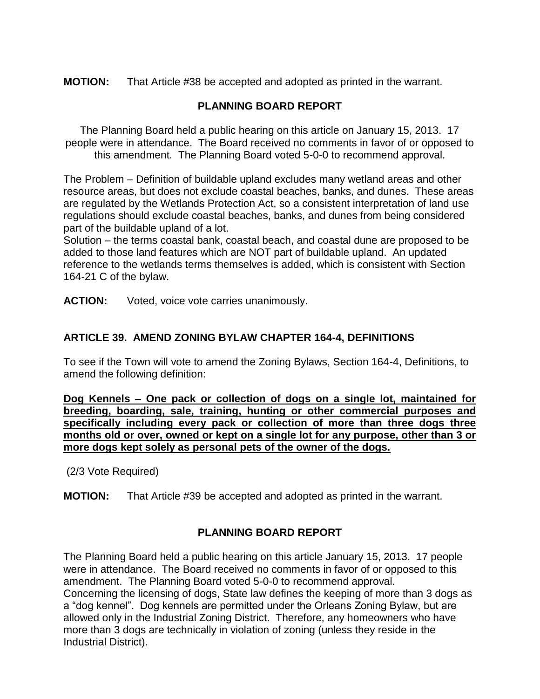**MOTION:** That Article #38 be accepted and adopted as printed in the warrant.

# **PLANNING BOARD REPORT**

The Planning Board held a public hearing on this article on January 15, 2013. 17 people were in attendance. The Board received no comments in favor of or opposed to this amendment. The Planning Board voted 5-0-0 to recommend approval.

The Problem – Definition of buildable upland excludes many wetland areas and other resource areas, but does not exclude coastal beaches, banks, and dunes. These areas are regulated by the Wetlands Protection Act, so a consistent interpretation of land use regulations should exclude coastal beaches, banks, and dunes from being considered part of the buildable upland of a lot.

Solution – the terms coastal bank, coastal beach, and coastal dune are proposed to be added to those land features which are NOT part of buildable upland. An updated reference to the wetlands terms themselves is added, which is consistent with Section 164-21 C of the bylaw.

**ACTION:** Voted, voice vote carries unanimously.

# **ARTICLE 39. AMEND ZONING BYLAW CHAPTER 164-4, DEFINITIONS**

To see if the Town will vote to amend the Zoning Bylaws, Section 164-4, Definitions, to amend the following definition:

**Dog Kennels – One pack or collection of dogs on a single lot, maintained for breeding, boarding, sale, training, hunting or other commercial purposes and specifically including every pack or collection of more than three dogs three months old or over, owned or kept on a single lot for any purpose, other than 3 or more dogs kept solely as personal pets of the owner of the dogs.**

(2/3 Vote Required)

**MOTION:** That Article #39 be accepted and adopted as printed in the warrant.

### **PLANNING BOARD REPORT**

The Planning Board held a public hearing on this article January 15, 2013. 17 people were in attendance. The Board received no comments in favor of or opposed to this amendment. The Planning Board voted 5-0-0 to recommend approval. Concerning the licensing of dogs, State law defines the keeping of more than 3 dogs as a "dog kennel". Dog kennels are permitted under the Orleans Zoning Bylaw, but are allowed only in the Industrial Zoning District. Therefore, any homeowners who have more than 3 dogs are technically in violation of zoning (unless they reside in the Industrial District).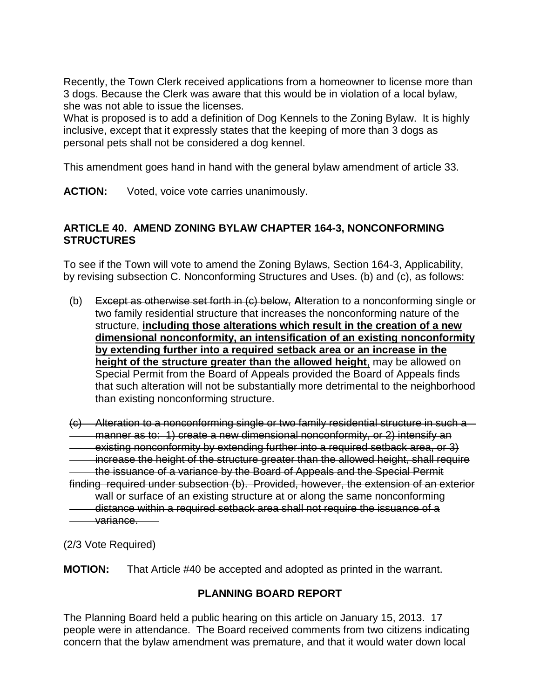Recently, the Town Clerk received applications from a homeowner to license more than 3 dogs. Because the Clerk was aware that this would be in violation of a local bylaw, she was not able to issue the licenses.

What is proposed is to add a definition of Dog Kennels to the Zoning Bylaw. It is highly inclusive, except that it expressly states that the keeping of more than 3 dogs as personal pets shall not be considered a dog kennel.

This amendment goes hand in hand with the general bylaw amendment of article 33.

**ACTION:** Voted, voice vote carries unanimously.

### **ARTICLE 40. AMEND ZONING BYLAW CHAPTER 164-3, NONCONFORMING STRUCTURES**

To see if the Town will vote to amend the Zoning Bylaws, Section 164-3, Applicability, by revising subsection C. Nonconforming Structures and Uses. (b) and (c), as follows:

(b) Except as otherwise set forth in (c) below, **A**lteration to a nonconforming single or two family residential structure that increases the nonconforming nature of the structure, **including those alterations which result in the creation of a new dimensional nonconformity, an intensification of an existing nonconformity by extending further into a required setback area or an increase in the height of the structure greater than the allowed height**, may be allowed on Special Permit from the Board of Appeals provided the Board of Appeals finds that such alteration will not be substantially more detrimental to the neighborhood than existing nonconforming structure.

(c) Alteration to a nonconforming single or two family residential structure in such a manner as to: 1) create a new dimensional nonconformity, or 2) intensify an existing nonconformity by extending further into a required setback area, or 3) increase the height of the structure greater than the allowed height, shall require the issuance of a variance by the Board of Appeals and the Special Permit finding required under subsection (b). Provided, however, the extension of an exterior wall or surface of an existing structure at or along the same nonconforming distance within a required setback area shall not require the issuance of a <del>\_\_va</del>riance.\_\_

(2/3 Vote Required)

**MOTION:** That Article #40 be accepted and adopted as printed in the warrant.

# **PLANNING BOARD REPORT**

The Planning Board held a public hearing on this article on January 15, 2013. 17 people were in attendance. The Board received comments from two citizens indicating concern that the bylaw amendment was premature, and that it would water down local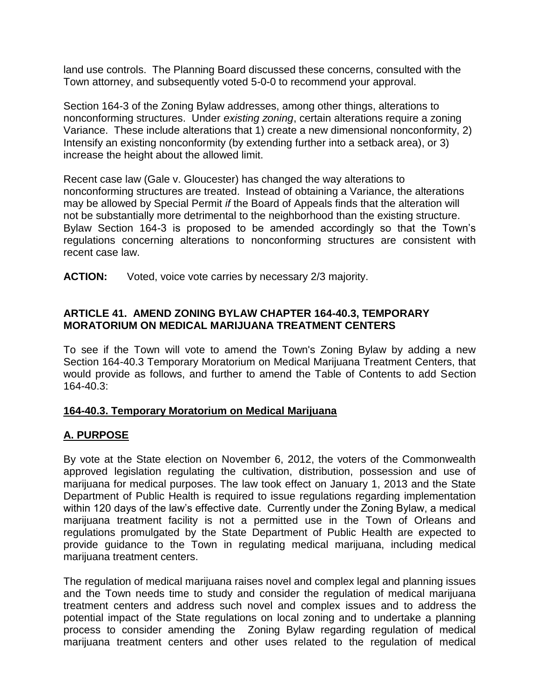land use controls. The Planning Board discussed these concerns, consulted with the Town attorney, and subsequently voted 5-0-0 to recommend your approval.

Section 164-3 of the Zoning Bylaw addresses, among other things, alterations to nonconforming structures. Under *existing zoning*, certain alterations require a zoning Variance. These include alterations that 1) create a new dimensional nonconformity, 2) Intensify an existing nonconformity (by extending further into a setback area), or 3) increase the height about the allowed limit.

Recent case law (Gale v. Gloucester) has changed the way alterations to nonconforming structures are treated. Instead of obtaining a Variance, the alterations may be allowed by Special Permit *if* the Board of Appeals finds that the alteration will not be substantially more detrimental to the neighborhood than the existing structure. Bylaw Section 164-3 is proposed to be amended accordingly so that the Town's regulations concerning alterations to nonconforming structures are consistent with recent case law.

**ACTION:** Voted, voice vote carries by necessary 2/3 majority.

### **ARTICLE 41. AMEND ZONING BYLAW CHAPTER 164-40.3, TEMPORARY MORATORIUM ON MEDICAL MARIJUANA TREATMENT CENTERS**

To see if the Town will vote to amend the Town's Zoning Bylaw by adding a new Section 164-40.3 Temporary Moratorium on Medical Marijuana Treatment Centers, that would provide as follows, and further to amend the Table of Contents to add Section 164-40.3:

#### **164-40.3. Temporary Moratorium on Medical Marijuana**

### **A. PURPOSE**

By vote at the State election on November 6, 2012, the voters of the Commonwealth approved legislation regulating the cultivation, distribution, possession and use of marijuana for medical purposes. The law took effect on January 1, 2013 and the State Department of Public Health is required to issue requiations regarding implementation within 120 days of the law's effective date. Currently under the Zoning Bylaw, a medical marijuana treatment facility is not a permitted use in the Town of Orleans and regulations promulgated by the State Department of Public Health are expected to provide guidance to the Town in regulating medical marijuana, including medical marijuana treatment centers.

The regulation of medical marijuana raises novel and complex legal and planning issues and the Town needs time to study and consider the regulation of medical marijuana treatment centers and address such novel and complex issues and to address the potential impact of the State regulations on local zoning and to undertake a planning process to consider amending the Zoning Bylaw regarding regulation of medical marijuana treatment centers and other uses related to the regulation of medical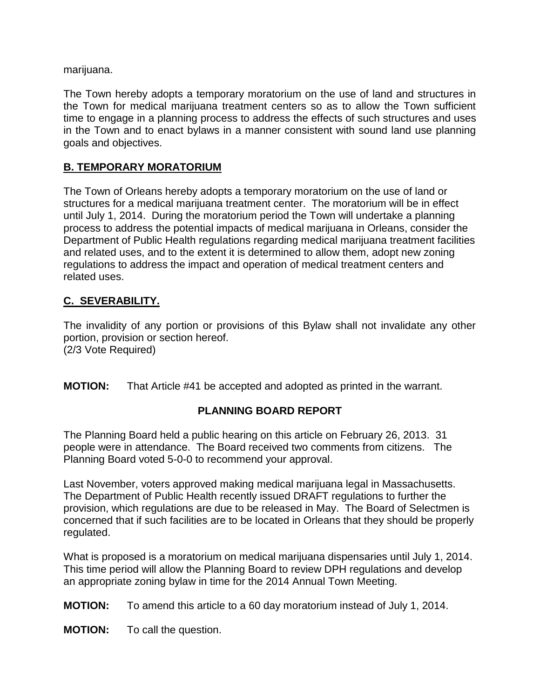marijuana.

The Town hereby adopts a temporary moratorium on the use of land and structures in the Town for medical marijuana treatment centers so as to allow the Town sufficient time to engage in a planning process to address the effects of such structures and uses in the Town and to enact bylaws in a manner consistent with sound land use planning goals and objectives.

# **B. TEMPORARY MORATORIUM**

The Town of Orleans hereby adopts a temporary moratorium on the use of land or structures for a medical marijuana treatment center. The moratorium will be in effect until July 1, 2014. During the moratorium period the Town will undertake a planning process to address the potential impacts of medical marijuana in Orleans, consider the Department of Public Health regulations regarding medical marijuana treatment facilities and related uses, and to the extent it is determined to allow them, adopt new zoning regulations to address the impact and operation of medical treatment centers and related uses.

# **C. SEVERABILITY.**

The invalidity of any portion or provisions of this Bylaw shall not invalidate any other portion, provision or section hereof. (2/3 Vote Required)

**MOTION:** That Article #41 be accepted and adopted as printed in the warrant.

### **PLANNING BOARD REPORT**

The Planning Board held a public hearing on this article on February 26, 2013. 31 people were in attendance. The Board received two comments from citizens. The Planning Board voted 5-0-0 to recommend your approval.

Last November, voters approved making medical marijuana legal in Massachusetts. The Department of Public Health recently issued DRAFT regulations to further the provision, which regulations are due to be released in May. The Board of Selectmen is concerned that if such facilities are to be located in Orleans that they should be properly regulated.

What is proposed is a moratorium on medical marijuana dispensaries until July 1, 2014. This time period will allow the Planning Board to review DPH regulations and develop an appropriate zoning bylaw in time for the 2014 Annual Town Meeting.

**MOTION:** To amend this article to a 60 day moratorium instead of July 1, 2014.

**MOTION:** To call the question.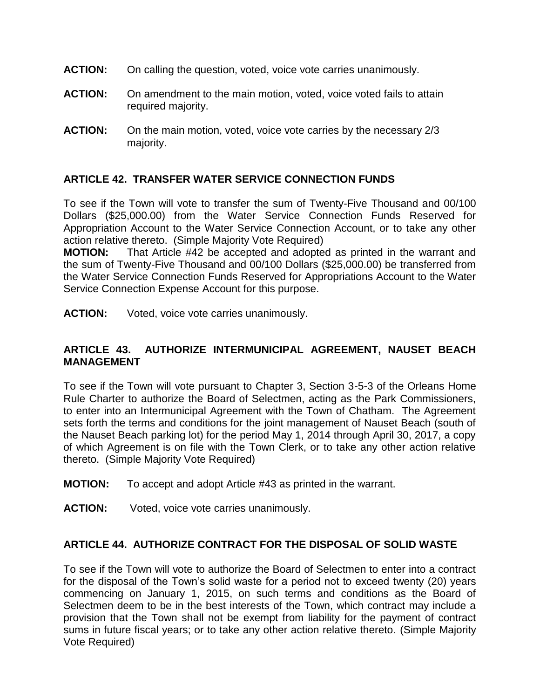- **ACTION:** On calling the question, voted, voice vote carries unanimously.
- **ACTION:** On amendment to the main motion, voted, voice voted fails to attain required majority.
- **ACTION:** On the main motion, voted, voice vote carries by the necessary 2/3 majority.

#### **ARTICLE 42. TRANSFER WATER SERVICE CONNECTION FUNDS**

To see if the Town will vote to transfer the sum of Twenty-Five Thousand and 00/100 Dollars (\$25,000.00) from the Water Service Connection Funds Reserved for Appropriation Account to the Water Service Connection Account, or to take any other action relative thereto. (Simple Majority Vote Required)

**MOTION:** That Article #42 be accepted and adopted as printed in the warrant and the sum of Twenty-Five Thousand and 00/100 Dollars (\$25,000.00) be transferred from the Water Service Connection Funds Reserved for Appropriations Account to the Water Service Connection Expense Account for this purpose.

**ACTION:** Voted, voice vote carries unanimously.

#### **ARTICLE 43. AUTHORIZE INTERMUNICIPAL AGREEMENT, NAUSET BEACH MANAGEMENT**

To see if the Town will vote pursuant to Chapter 3, Section 3-5-3 of the Orleans Home Rule Charter to authorize the Board of Selectmen, acting as the Park Commissioners, to enter into an Intermunicipal Agreement with the Town of Chatham. The Agreement sets forth the terms and conditions for the joint management of Nauset Beach (south of the Nauset Beach parking lot) for the period May 1, 2014 through April 30, 2017, a copy of which Agreement is on file with the Town Clerk, or to take any other action relative thereto. (Simple Majority Vote Required)

- **MOTION:** To accept and adopt Article #43 as printed in the warrant.
- **ACTION:** Voted, voice vote carries unanimously.

#### **ARTICLE 44. AUTHORIZE CONTRACT FOR THE DISPOSAL OF SOLID WASTE**

To see if the Town will vote to authorize the Board of Selectmen to enter into a contract for the disposal of the Town's solid waste for a period not to exceed twenty (20) years commencing on January 1, 2015, on such terms and conditions as the Board of Selectmen deem to be in the best interests of the Town, which contract may include a provision that the Town shall not be exempt from liability for the payment of contract sums in future fiscal years; or to take any other action relative thereto. (Simple Majority Vote Required)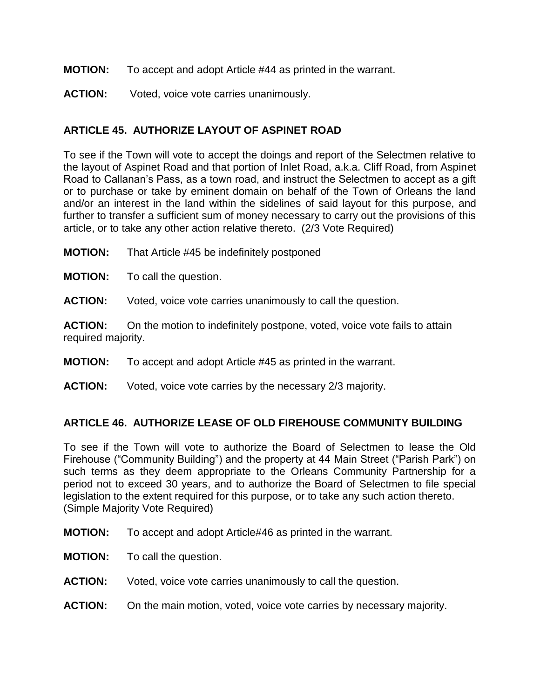#### **MOTION:** To accept and adopt Article #44 as printed in the warrant.

**ACTION:** Voted, voice vote carries unanimously.

### **ARTICLE 45. AUTHORIZE LAYOUT OF ASPINET ROAD**

To see if the Town will vote to accept the doings and report of the Selectmen relative to the layout of Aspinet Road and that portion of Inlet Road, a.k.a. Cliff Road, from Aspinet Road to Callanan's Pass, as a town road, and instruct the Selectmen to accept as a gift or to purchase or take by eminent domain on behalf of the Town of Orleans the land and/or an interest in the land within the sidelines of said layout for this purpose, and further to transfer a sufficient sum of money necessary to carry out the provisions of this article, or to take any other action relative thereto. (2/3 Vote Required)

**MOTION:** That Article #45 be indefinitely postponed

**MOTION:** To call the question.

**ACTION:** Voted, voice vote carries unanimously to call the question.

**ACTION:** On the motion to indefinitely postpone, voted, voice vote fails to attain required majority.

- **MOTION:** To accept and adopt Article #45 as printed in the warrant.
- **ACTION:** Voted, voice vote carries by the necessary 2/3 majority.

#### **ARTICLE 46. AUTHORIZE LEASE OF OLD FIREHOUSE COMMUNITY BUILDING**

To see if the Town will vote to authorize the Board of Selectmen to lease the Old Firehouse ("Community Building") and the property at 44 Main Street ("Parish Park") on such terms as they deem appropriate to the Orleans Community Partnership for a period not to exceed 30 years, and to authorize the Board of Selectmen to file special legislation to the extent required for this purpose, or to take any such action thereto. (Simple Majority Vote Required)

- **MOTION:** To accept and adopt Article#46 as printed in the warrant.
- **MOTION:** To call the question.
- **ACTION:** Voted, voice vote carries unanimously to call the question.
- **ACTION:** On the main motion, voted, voice vote carries by necessary majority.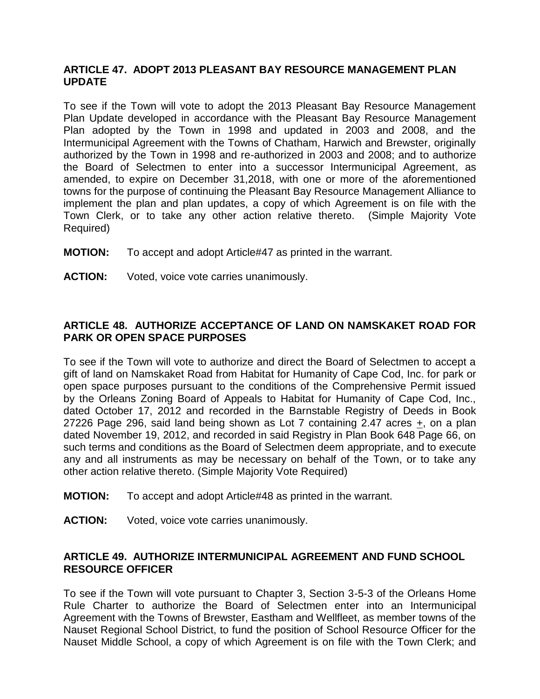#### **ARTICLE 47. ADOPT 2013 PLEASANT BAY RESOURCE MANAGEMENT PLAN UPDATE**

To see if the Town will vote to adopt the 2013 Pleasant Bay Resource Management Plan Update developed in accordance with the Pleasant Bay Resource Management Plan adopted by the Town in 1998 and updated in 2003 and 2008, and the Intermunicipal Agreement with the Towns of Chatham, Harwich and Brewster, originally authorized by the Town in 1998 and re-authorized in 2003 and 2008; and to authorize the Board of Selectmen to enter into a successor Intermunicipal Agreement, as amended, to expire on December 31,2018, with one or more of the aforementioned towns for the purpose of continuing the Pleasant Bay Resource Management Alliance to implement the plan and plan updates, a copy of which Agreement is on file with the Town Clerk, or to take any other action relative thereto. (Simple Majority Vote Required)

- **MOTION:** To accept and adopt Article#47 as printed in the warrant.
- **ACTION:** Voted, voice vote carries unanimously.

# **ARTICLE 48. AUTHORIZE ACCEPTANCE OF LAND ON NAMSKAKET ROAD FOR PARK OR OPEN SPACE PURPOSES**

To see if the Town will vote to authorize and direct the Board of Selectmen to accept a gift of land on Namskaket Road from Habitat for Humanity of Cape Cod, Inc. for park or open space purposes pursuant to the conditions of the Comprehensive Permit issued by the Orleans Zoning Board of Appeals to Habitat for Humanity of Cape Cod, Inc., dated October 17, 2012 and recorded in the Barnstable Registry of Deeds in Book 27226 Page 296, said land being shown as Lot 7 containing 2.47 acres +, on a plan dated November 19, 2012, and recorded in said Registry in Plan Book 648 Page 66, on such terms and conditions as the Board of Selectmen deem appropriate, and to execute any and all instruments as may be necessary on behalf of the Town, or to take any other action relative thereto. (Simple Majority Vote Required)

- **MOTION:** To accept and adopt Article#48 as printed in the warrant.
- **ACTION:** Voted, voice vote carries unanimously.

#### **ARTICLE 49. AUTHORIZE INTERMUNICIPAL AGREEMENT AND FUND SCHOOL RESOURCE OFFICER**

To see if the Town will vote pursuant to Chapter 3, Section 3-5-3 of the Orleans Home Rule Charter to authorize the Board of Selectmen enter into an Intermunicipal Agreement with the Towns of Brewster, Eastham and Wellfleet, as member towns of the Nauset Regional School District, to fund the position of School Resource Officer for the Nauset Middle School, a copy of which Agreement is on file with the Town Clerk; and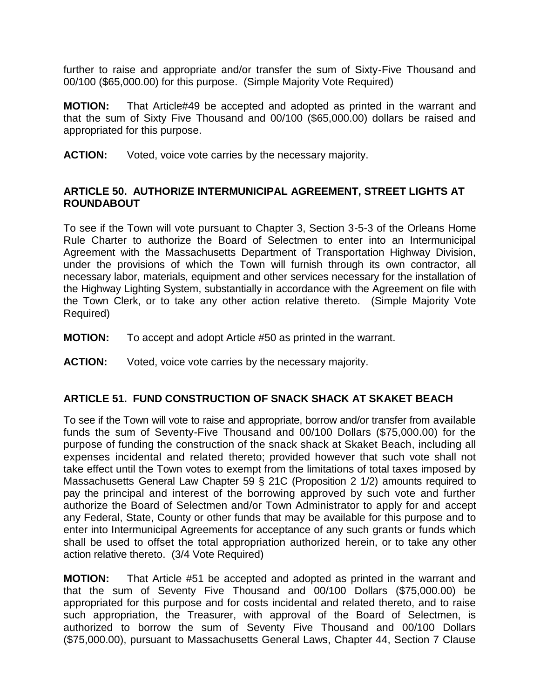further to raise and appropriate and/or transfer the sum of Sixty-Five Thousand and 00/100 (\$65,000.00) for this purpose. (Simple Majority Vote Required)

**MOTION:** That Article#49 be accepted and adopted as printed in the warrant and that the sum of Sixty Five Thousand and 00/100 (\$65,000.00) dollars be raised and appropriated for this purpose.

**ACTION:** Voted, voice vote carries by the necessary majority.

#### **ARTICLE 50. AUTHORIZE INTERMUNICIPAL AGREEMENT, STREET LIGHTS AT ROUNDABOUT**

To see if the Town will vote pursuant to Chapter 3, Section 3-5-3 of the Orleans Home Rule Charter to authorize the Board of Selectmen to enter into an Intermunicipal Agreement with the Massachusetts Department of Transportation Highway Division, under the provisions of which the Town will furnish through its own contractor, all necessary labor, materials, equipment and other services necessary for the installation of the Highway Lighting System, substantially in accordance with the Agreement on file with the Town Clerk, or to take any other action relative thereto. (Simple Majority Vote Required)

- **MOTION:** To accept and adopt Article #50 as printed in the warrant.
- **ACTION:** Voted, voice vote carries by the necessary majority.

#### **ARTICLE 51. FUND CONSTRUCTION OF SNACK SHACK AT SKAKET BEACH**

To see if the Town will vote to raise and appropriate, borrow and/or transfer from available funds the sum of Seventy-Five Thousand and 00/100 Dollars (\$75,000.00) for the purpose of funding the construction of the snack shack at Skaket Beach, including all expenses incidental and related thereto; provided however that such vote shall not take effect until the Town votes to exempt from the limitations of total taxes imposed by Massachusetts General Law Chapter 59 § 21C (Proposition 2 1/2) amounts required to pay the principal and interest of the borrowing approved by such vote and further authorize the Board of Selectmen and/or Town Administrator to apply for and accept any Federal, State, County or other funds that may be available for this purpose and to enter into Intermunicipal Agreements for acceptance of any such grants or funds which shall be used to offset the total appropriation authorized herein, or to take any other action relative thereto. (3/4 Vote Required)

**MOTION:** That Article #51 be accepted and adopted as printed in the warrant and that the sum of Seventy Five Thousand and 00/100 Dollars (\$75,000.00) be appropriated for this purpose and for costs incidental and related thereto, and to raise such appropriation, the Treasurer, with approval of the Board of Selectmen, is authorized to borrow the sum of Seventy Five Thousand and 00/100 Dollars (\$75,000.00), pursuant to Massachusetts General Laws, Chapter 44, Section 7 Clause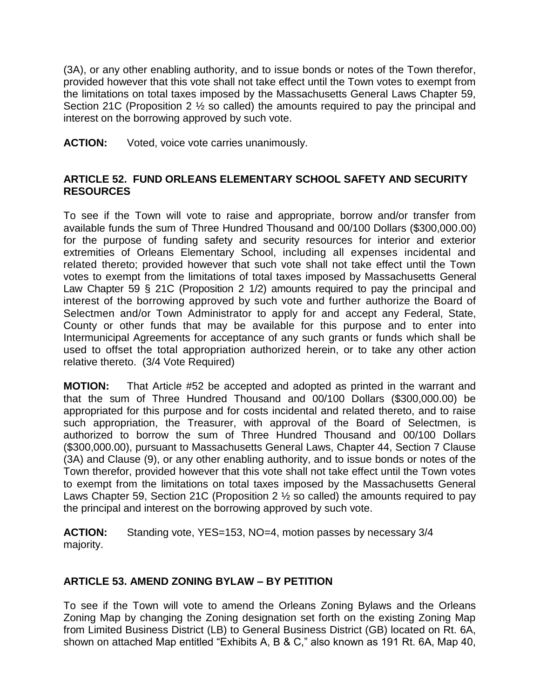(3A), or any other enabling authority, and to issue bonds or notes of the Town therefor, provided however that this vote shall not take effect until the Town votes to exempt from the limitations on total taxes imposed by the Massachusetts General Laws Chapter 59, Section 21C (Proposition 2 ½ so called) the amounts required to pay the principal and interest on the borrowing approved by such vote.

**ACTION:** Voted, voice vote carries unanimously.

### **ARTICLE 52. FUND ORLEANS ELEMENTARY SCHOOL SAFETY AND SECURITY RESOURCES**

To see if the Town will vote to raise and appropriate, borrow and/or transfer from available funds the sum of Three Hundred Thousand and 00/100 Dollars (\$300,000.00) for the purpose of funding safety and security resources for interior and exterior extremities of Orleans Elementary School, including all expenses incidental and related thereto; provided however that such vote shall not take effect until the Town votes to exempt from the limitations of total taxes imposed by Massachusetts General Law Chapter 59 § 21C (Proposition 2 1/2) amounts required to pay the principal and interest of the borrowing approved by such vote and further authorize the Board of Selectmen and/or Town Administrator to apply for and accept any Federal, State, County or other funds that may be available for this purpose and to enter into Intermunicipal Agreements for acceptance of any such grants or funds which shall be used to offset the total appropriation authorized herein, or to take any other action relative thereto. (3/4 Vote Required)

**MOTION:** That Article #52 be accepted and adopted as printed in the warrant and that the sum of Three Hundred Thousand and 00/100 Dollars (\$300,000.00) be appropriated for this purpose and for costs incidental and related thereto, and to raise such appropriation, the Treasurer, with approval of the Board of Selectmen, is authorized to borrow the sum of Three Hundred Thousand and 00/100 Dollars (\$300,000.00), pursuant to Massachusetts General Laws, Chapter 44, Section 7 Clause (3A) and Clause (9), or any other enabling authority, and to issue bonds or notes of the Town therefor, provided however that this vote shall not take effect until the Town votes to exempt from the limitations on total taxes imposed by the Massachusetts General Laws Chapter 59, Section 21C (Proposition 2 ½ so called) the amounts required to pay the principal and interest on the borrowing approved by such vote.

**ACTION:** Standing vote, YES=153, NO=4, motion passes by necessary 3/4 majority.

# **ARTICLE 53. AMEND ZONING BYLAW – BY PETITION**

To see if the Town will vote to amend the Orleans Zoning Bylaws and the Orleans Zoning Map by changing the Zoning designation set forth on the existing Zoning Map from Limited Business District (LB) to General Business District (GB) located on Rt. 6A, shown on attached Map entitled "Exhibits A, B & C," also known as 191 Rt. 6A, Map 40,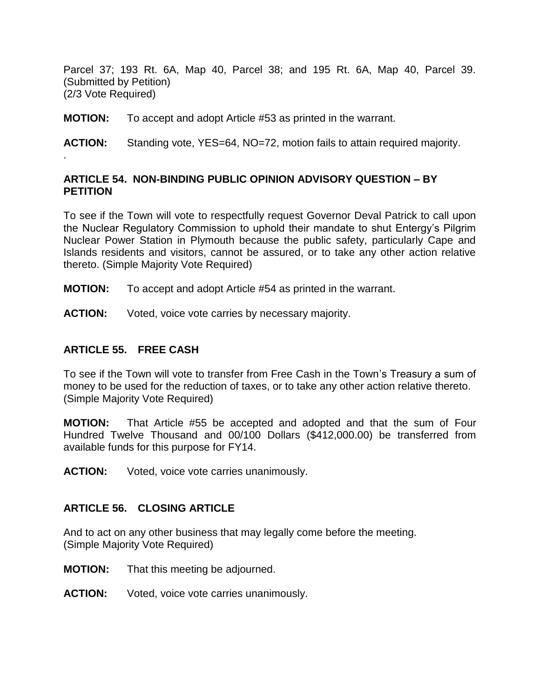Parcel 37; 193 Rt. 6A, Map 40, Parcel 38; and 195 Rt. 6A, Map 40, Parcel 39. (Submitted by Petition) (2/3 Vote Required)

**MOTION:** To accept and adopt Article #53 as printed in the warrant.

**ACTION:** Standing vote, YES=64, NO=72, motion fails to attain required majority.

### **ARTICLE 54. NON-BINDING PUBLIC OPINION ADVISORY QUESTION – BY PETITION**

To see if the Town will vote to respectfully request Governor Deval Patrick to call upon the Nuclear Regulatory Commission to uphold their mandate to shut Entergy's Pilgrim Nuclear Power Station in Plymouth because the public safety, particularly Cape and Islands residents and visitors, cannot be assured, or to take any other action relative thereto. (Simple Majority Vote Required)

- **MOTION:** To accept and adopt Article #54 as printed in the warrant.
- **ACTION:** Voted, voice vote carries by necessary majority.

#### **ARTICLE 55. FREE CASH**

.

To see if the Town will vote to transfer from Free Cash in the Town's Treasury a sum of money to be used for the reduction of taxes, or to take any other action relative thereto. (Simple Majority Vote Required)

**MOTION:** That Article #55 be accepted and adopted and that the sum of Four Hundred Twelve Thousand and 00/100 Dollars (\$412,000.00) be transferred from available funds for this purpose for FY14.

**ACTION:** Voted, voice vote carries unanimously.

#### **ARTICLE 56. CLOSING ARTICLE**

And to act on any other business that may legally come before the meeting. (Simple Majority Vote Required)

- **MOTION:** That this meeting be adjourned.
- **ACTION:** Voted, voice vote carries unanimously.